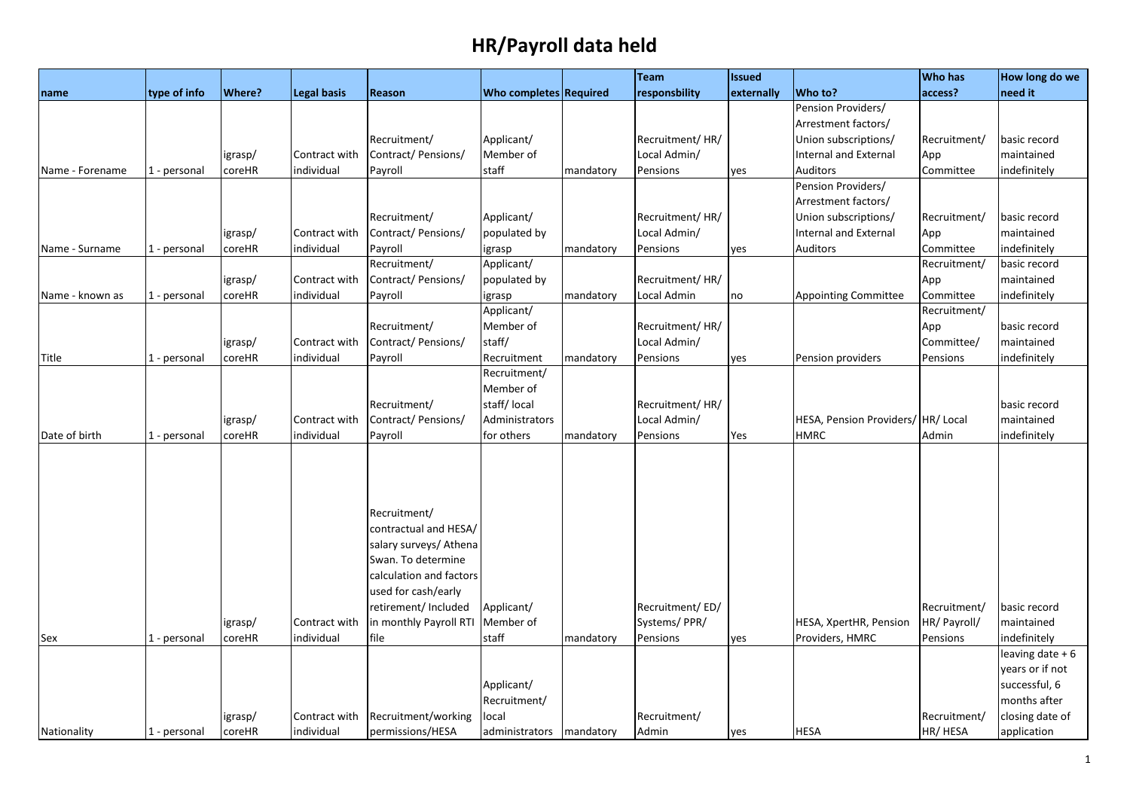|                 |              |         |                    |                         |                               |           | <b>Team</b>     | <b>Issued</b> |                                    | <b>Who has</b> | How long do we    |
|-----------------|--------------|---------|--------------------|-------------------------|-------------------------------|-----------|-----------------|---------------|------------------------------------|----------------|-------------------|
| name            | type of info | Where?  | <b>Legal basis</b> | Reason                  | <b>Who completes Required</b> |           | responsbility   | externally    | Who to?                            | access?        | need it           |
|                 |              |         |                    |                         |                               |           |                 |               | Pension Providers/                 |                |                   |
|                 |              |         |                    |                         |                               |           |                 |               | Arrestment factors/                |                |                   |
|                 |              |         |                    | Recruitment/            | Applicant/                    |           | Recruitment/HR/ |               | Union subscriptions/               | Recruitment/   | basic record      |
|                 |              | igrasp/ | Contract with      | Contract/ Pensions/     | Member of                     |           | Local Admin/    |               | <b>Internal and External</b>       | App            | maintained        |
| Name - Forename | 1 - personal | coreHR  | individual         | Payroll                 | staff                         | mandatory | Pensions        | yes           | Auditors                           | Committee      | indefinitely      |
|                 |              |         |                    |                         |                               |           |                 |               | Pension Providers/                 |                |                   |
|                 |              |         |                    |                         |                               |           |                 |               | Arrestment factors/                |                |                   |
|                 |              |         |                    | Recruitment/            | Applicant/                    |           | Recruitment/HR/ |               | Union subscriptions/               | Recruitment/   | basic record      |
|                 |              | igrasp/ | Contract with      | Contract/Pensions/      | populated by                  |           | Local Admin/    |               | <b>Internal and External</b>       | App            | maintained        |
| Name - Surname  | 1 - personal | coreHR  | individual         | Payroll                 | igrasp                        | mandatory | Pensions        | yes           | Auditors                           | Committee      | indefinitely      |
|                 |              |         |                    | Recruitment/            | Applicant/                    |           |                 |               |                                    | Recruitment/   | basic record      |
|                 |              | igrasp/ | Contract with      | Contract/Pensions/      | populated by                  |           | Recruitment/HR/ |               |                                    | App            | maintained        |
| Name - known as | 1 - personal | coreHR  | individual         | Payroll                 | igrasp                        | mandatory | Local Admin     | no            | <b>Appointing Committee</b>        | Committee      | indefinitely      |
|                 |              |         |                    |                         | Applicant/                    |           |                 |               |                                    | Recruitment/   |                   |
|                 |              |         |                    | Recruitment/            | Member of                     |           | Recruitment/HR/ |               |                                    | App            | basic record      |
|                 |              | igrasp/ | Contract with      | Contract/Pensions/      | staff/                        |           | Local Admin/    |               |                                    | Committee/     | maintained        |
| Title           | 1 - personal | coreHR  | individual         | Payroll                 | Recruitment                   | mandatory | Pensions        | yes           | Pension providers                  | Pensions       | indefinitely      |
|                 |              |         |                    |                         | Recruitment/                  |           |                 |               |                                    |                |                   |
|                 |              |         |                    |                         | Member of                     |           |                 |               |                                    |                |                   |
|                 |              |         |                    | Recruitment/            | staff/local                   |           | Recruitment/HR/ |               |                                    |                | basic record      |
|                 |              | igrasp/ | Contract with      | Contract/ Pensions/     | Administrators                |           | Local Admin/    |               | HESA, Pension Providers/ HR/ Local |                | maintained        |
| Date of birth   | 1 - personal | coreHR  | individual         | Payroll                 | for others                    | mandatory | Pensions        | Yes           | <b>HMRC</b>                        | Admin          | indefinitely      |
|                 |              |         |                    |                         |                               |           |                 |               |                                    |                |                   |
|                 |              |         |                    |                         |                               |           |                 |               |                                    |                |                   |
|                 |              |         |                    |                         |                               |           |                 |               |                                    |                |                   |
|                 |              |         |                    | Recruitment/            |                               |           |                 |               |                                    |                |                   |
|                 |              |         |                    | contractual and HESA/   |                               |           |                 |               |                                    |                |                   |
|                 |              |         |                    | salary surveys/ Athena  |                               |           |                 |               |                                    |                |                   |
|                 |              |         |                    | Swan. To determine      |                               |           |                 |               |                                    |                |                   |
|                 |              |         |                    | calculation and factors |                               |           |                 |               |                                    |                |                   |
|                 |              |         |                    | used for cash/early     |                               |           |                 |               |                                    |                |                   |
|                 |              |         |                    | retirement/ Included    | Applicant/                    |           | Recruitment/ED/ |               |                                    | Recruitment/   | basic record      |
|                 |              | igrasp/ | Contract with      | in monthly Payroll RTI  | Member of                     |           | Systems/PPR/    |               | HESA, XpertHR, Pension             | HR/ Payroll/   | maintained        |
| Sex             | 1 - personal | coreHR  | individual         | file                    | staff                         | mandatory | Pensions        | yes           | Providers, HMRC                    | Pensions       | indefinitely      |
|                 |              |         |                    |                         |                               |           |                 |               |                                    |                | leaving date $+6$ |
|                 |              |         |                    |                         |                               |           |                 |               |                                    |                | years or if not   |
|                 |              |         |                    |                         | Applicant/                    |           |                 |               |                                    |                | successful, 6     |
|                 |              |         |                    |                         | Recruitment/                  |           |                 |               |                                    |                | months after      |
|                 |              | igrasp/ | Contract with      | Recruitment/working     | local                         |           | Recruitment/    |               |                                    | Recruitment/   | closing date of   |
| Nationality     | 1 - personal | coreHR  | individual         | permissions/HESA        | administrators                | mandatory | Admin           | yes           | <b>HESA</b>                        | HR/ HESA       | application       |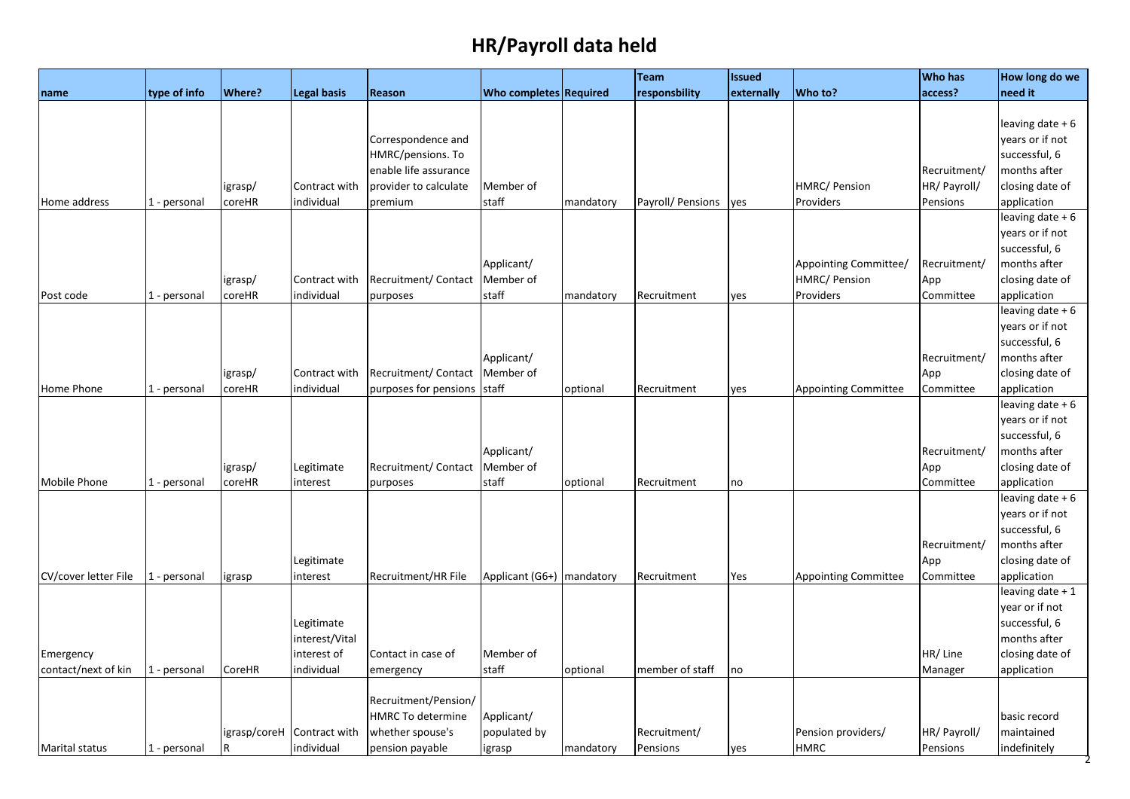|                       |              |               |                            |                       |                             |           | Team              | <b>Issued</b> |                             | <b>Who has</b> | How long do we    |
|-----------------------|--------------|---------------|----------------------------|-----------------------|-----------------------------|-----------|-------------------|---------------|-----------------------------|----------------|-------------------|
| name                  | type of info | <b>Where?</b> | <b>Legal basis</b>         | <b>Reason</b>         | Who completes Required      |           | responsbility     | externally    | Who to?                     | access?        | need it           |
|                       |              |               |                            |                       |                             |           |                   |               |                             |                |                   |
|                       |              |               |                            |                       |                             |           |                   |               |                             |                | leaving date + 6  |
|                       |              |               |                            | Correspondence and    |                             |           |                   |               |                             |                | years or if not   |
|                       |              |               |                            | HMRC/pensions. To     |                             |           |                   |               |                             |                | successful, 6     |
|                       |              |               |                            | enable life assurance |                             |           |                   |               |                             | Recruitment/   | months after      |
|                       |              | igrasp/       | Contract with              | provider to calculate | Member of                   |           |                   |               | HMRC/ Pension               | HR/ Payroll/   | closing date of   |
| Home address          | 1 - personal | coreHR        | individual                 | premium               | staff                       | mandatory | Payroll/ Pensions | yes           | Providers                   | Pensions       | application       |
|                       |              |               |                            |                       |                             |           |                   |               |                             |                | leaving date + 6  |
|                       |              |               |                            |                       |                             |           |                   |               |                             |                | years or if not   |
|                       |              |               |                            |                       |                             |           |                   |               |                             |                | successful, 6     |
|                       |              |               |                            |                       | Applicant/                  |           |                   |               | Appointing Committee/       | Recruitment/   | months after      |
|                       |              | igrasp/       | Contract with              | Recruitment/Contact   | Member of                   |           |                   |               | HMRC/ Pension               | App            | closing date of   |
| Post code             | 1 - personal | coreHR        | individual                 | purposes              | staff                       | mandatory | Recruitment       | yes           | Providers                   | Committee      | application       |
|                       |              |               |                            |                       |                             |           |                   |               |                             |                | leaving date $+6$ |
|                       |              |               |                            |                       |                             |           |                   |               |                             |                | years or if not   |
|                       |              |               |                            |                       |                             |           |                   |               |                             |                | successful, 6     |
|                       |              |               |                            |                       | Applicant/                  |           |                   |               |                             | Recruitment/   | months after      |
|                       |              | igrasp/       | Contract with              | Recruitment/ Contact  | Member of                   |           |                   |               |                             | App            | closing date of   |
| Home Phone            | 1 - personal | coreHR        | individual                 | purposes for pensions | staff                       | optional  | Recruitment       | yes           | <b>Appointing Committee</b> | Committee      | application       |
|                       |              |               |                            |                       |                             |           |                   |               |                             |                | leaving date $+6$ |
|                       |              |               |                            |                       |                             |           |                   |               |                             |                | years or if not   |
|                       |              |               |                            |                       |                             |           |                   |               |                             |                | successful, 6     |
|                       |              |               |                            |                       | Applicant/                  |           |                   |               |                             | Recruitment/   | months after      |
|                       |              | igrasp/       | Legitimate                 | Recruitment/ Contact  | Member of                   |           |                   |               |                             | App            | closing date of   |
| Mobile Phone          | 1 - personal | coreHR        | interest                   | purposes              | staff                       | optional  | Recruitment       | no            |                             | Committee      | application       |
|                       |              |               |                            |                       |                             |           |                   |               |                             |                | leaving date $+6$ |
|                       |              |               |                            |                       |                             |           |                   |               |                             |                | years or if not   |
|                       |              |               |                            |                       |                             |           |                   |               |                             |                | successful, 6     |
|                       |              |               |                            |                       |                             |           |                   |               |                             | Recruitment/   | months after      |
|                       |              |               | Legitimate                 |                       |                             |           |                   |               |                             | App            | closing date of   |
| CV/cover letter File  | 1 - personal | igrasp        | interest                   | Recruitment/HR File   | Applicant (G6+)   mandatory |           | Recruitment       | Yes           | <b>Appointing Committee</b> | Committee      | application       |
|                       |              |               |                            |                       |                             |           |                   |               |                             |                | leaving date + 1  |
|                       |              |               |                            |                       |                             |           |                   |               |                             |                | year or if not    |
|                       |              |               | Legitimate                 |                       |                             |           |                   |               |                             |                | successful, 6     |
|                       |              |               | interest/Vital             |                       |                             |           |                   |               |                             |                | months after      |
| Emergency             |              |               | interest of                | Contact in case of    | Member of                   |           |                   |               |                             | HR/Line        | closing date of   |
| contact/next of kin   | 1 - personal | CoreHR        | individual                 | emergency             | staff                       | optional  | member of staff   | no            |                             | Manager        | application       |
|                       |              |               |                            |                       |                             |           |                   |               |                             |                |                   |
|                       |              |               |                            | Recruitment/Pension/  |                             |           |                   |               |                             |                |                   |
|                       |              |               |                            | HMRC To determine     | Applicant/                  |           |                   |               |                             |                | basic record      |
|                       |              |               | igrasp/coreH Contract with | whether spouse's      | populated by                |           | Recruitment/      |               | Pension providers/          | HR/ Payroll/   | maintained        |
| <b>Marital status</b> | 1 - personal | IR.           | individual                 | pension payable       | igrasp                      | mandatory | Pensions          | yes           | <b>HMRC</b>                 | Pensions       | indefinitely      |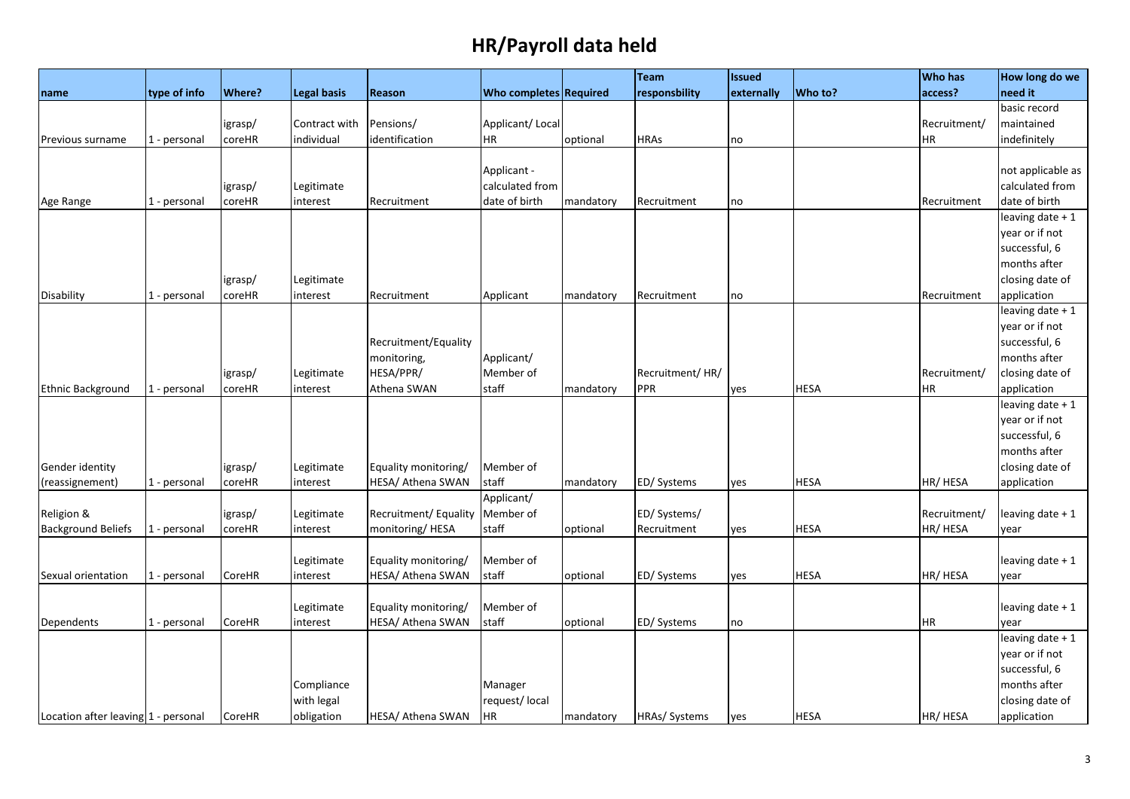|                                     |              |               |                    |                       |                        |           | Team            | <b>Issued</b> |             | Who has      | How long do we    |
|-------------------------------------|--------------|---------------|--------------------|-----------------------|------------------------|-----------|-----------------|---------------|-------------|--------------|-------------------|
| name                                | type of info | <b>Where?</b> | <b>Legal basis</b> | Reason                | Who completes Required |           | responsbility   | externally    | Who to?     | access?      | need it           |
|                                     |              |               |                    |                       |                        |           |                 |               |             |              | basic record      |
|                                     |              | igrasp/       | Contract with      | Pensions/             | Applicant/Local        |           |                 |               |             | Recruitment/ | maintained        |
| Previous surname                    | 1 - personal | coreHR        | individual         | identification        | <b>HR</b>              | optional  | <b>HRAs</b>     | no            |             | HR           | indefinitely      |
|                                     |              |               |                    |                       |                        |           |                 |               |             |              |                   |
|                                     |              |               |                    |                       | Applicant -            |           |                 |               |             |              | not applicable as |
|                                     |              | igrasp/       | Legitimate         |                       | calculated from        |           |                 |               |             |              | calculated from   |
| Age Range                           | 1 - personal | coreHR        | interest           | Recruitment           | date of birth          | mandatory | Recruitment     | no            |             | Recruitment  | date of birth     |
|                                     |              |               |                    |                       |                        |           |                 |               |             |              | leaving date + 1  |
|                                     |              |               |                    |                       |                        |           |                 |               |             |              | year or if not    |
|                                     |              |               |                    |                       |                        |           |                 |               |             |              | successful, 6     |
|                                     |              |               |                    |                       |                        |           |                 |               |             |              | months after      |
|                                     |              | igrasp/       | Legitimate         |                       |                        |           |                 |               |             |              | closing date of   |
| Disability                          | 1 - personal | coreHR        | interest           | Recruitment           | Applicant              | mandatory | Recruitment     | no            |             | Recruitment  | application       |
|                                     |              |               |                    |                       |                        |           |                 |               |             |              | leaving date + 1  |
|                                     |              |               |                    |                       |                        |           |                 |               |             |              | year or if not    |
|                                     |              |               |                    | Recruitment/Equality  |                        |           |                 |               |             |              | successful, 6     |
|                                     |              |               |                    | monitoring,           | Applicant/             |           |                 |               |             |              | months after      |
|                                     |              | igrasp/       | Legitimate         | HESA/PPR/             | Member of              |           | Recruitment/HR/ |               |             | Recruitment/ | closing date of   |
| Ethnic Background                   | 1 - personal | coreHR        | interest           | Athena SWAN           | staff                  | mandatory | <b>PPR</b>      | yes           | <b>HESA</b> | HR           | application       |
|                                     |              |               |                    |                       |                        |           |                 |               |             |              | leaving date + 1  |
|                                     |              |               |                    |                       |                        |           |                 |               |             |              | year or if not    |
|                                     |              |               |                    |                       |                        |           |                 |               |             |              | successful, 6     |
|                                     |              |               |                    |                       |                        |           |                 |               |             |              | months after      |
| Gender identity                     |              | igrasp/       | Legitimate         | Equality monitoring/  | Member of              |           |                 |               |             |              | closing date of   |
| (reassignement)                     | 1 - personal | coreHR        | interest           | HESA/ Athena SWAN     | staff                  | mandatory | ED/Systems      | yes           | <b>HESA</b> | HR/ HESA     | application       |
|                                     |              |               |                    |                       | Applicant/             |           |                 |               |             |              |                   |
| Religion &                          |              | igrasp/       | Legitimate         | Recruitment/ Equality | Member of              |           | ED/ Systems/    |               |             | Recruitment/ | leaving date + 1  |
| <b>Background Beliefs</b>           | 1 - personal | coreHR        | interest           | monitoring/HESA       | staff                  | optional  | Recruitment     | yes           | <b>HESA</b> | HR/ HESA     | vear              |
|                                     |              |               |                    |                       |                        |           |                 |               |             |              |                   |
|                                     |              |               | Legitimate         | Equality monitoring/  | Member of              |           |                 |               |             |              | leaving date + 1  |
| Sexual orientation                  | 1 - personal | CoreHR        | interest           | HESA/ Athena SWAN     | staff                  | optional  | ED/ Systems     | yes           | <b>HESA</b> | HR/ HESA     | year              |
|                                     |              |               |                    |                       |                        |           |                 |               |             |              |                   |
|                                     |              |               | Legitimate         | Equality monitoring/  | Member of              |           |                 |               |             |              | leaving date + 1  |
| Dependents                          | 1 - personal | CoreHR        | interest           | HESA/ Athena SWAN     | staff                  | optional  | ED/ Systems     | no            |             | <b>HR</b>    | vear              |
|                                     |              |               |                    |                       |                        |           |                 |               |             |              | leaving date + 1  |
|                                     |              |               |                    |                       |                        |           |                 |               |             |              | year or if not    |
|                                     |              |               |                    |                       |                        |           |                 |               |             |              | successful, 6     |
|                                     |              |               | Compliance         |                       | Manager                |           |                 |               |             |              | months after      |
|                                     |              |               | with legal         |                       | request/local          |           |                 |               |             |              | closing date of   |
| Location after leaving 1 - personal |              | CoreHR        | obligation         | HESA/ Athena SWAN     | <b>HR</b>              | mandatory | HRAs/ Systems   | yes           | <b>HESA</b> | HR/ HESA     | application       |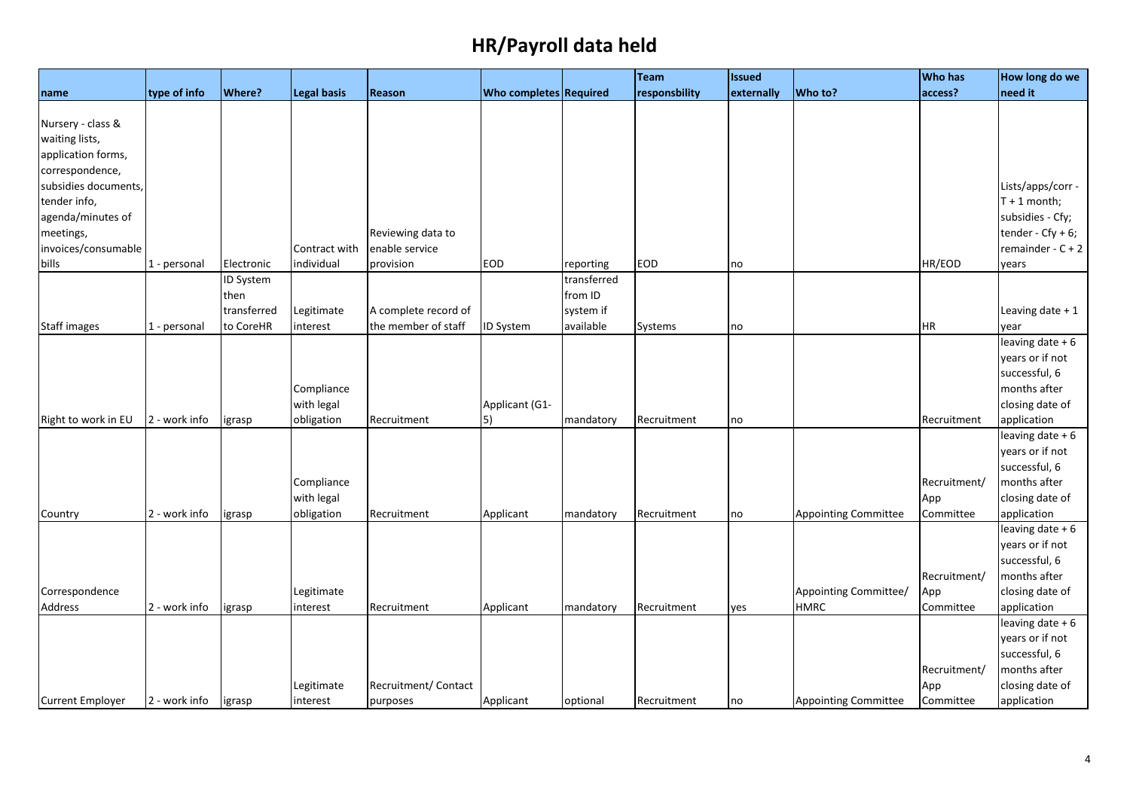|                         |               |             |                    |                      |                               |             | Team          | <b>Issued</b> |                             | <b>Who has</b> | How long do we       |
|-------------------------|---------------|-------------|--------------------|----------------------|-------------------------------|-------------|---------------|---------------|-----------------------------|----------------|----------------------|
| name                    | type of info  | Where?      | <b>Legal basis</b> | Reason               | <b>Who completes Required</b> |             | responsbility | externally    | Who to?                     | access?        | need it              |
|                         |               |             |                    |                      |                               |             |               |               |                             |                |                      |
| Nursery - class &       |               |             |                    |                      |                               |             |               |               |                             |                |                      |
| waiting lists,          |               |             |                    |                      |                               |             |               |               |                             |                |                      |
| application forms,      |               |             |                    |                      |                               |             |               |               |                             |                |                      |
| correspondence,         |               |             |                    |                      |                               |             |               |               |                             |                |                      |
| subsidies documents,    |               |             |                    |                      |                               |             |               |               |                             |                | Lists/apps/corr -    |
| tender info,            |               |             |                    |                      |                               |             |               |               |                             |                | $T + 1$ month;       |
| agenda/minutes of       |               |             |                    |                      |                               |             |               |               |                             |                | subsidies - Cfy;     |
| meetings,               |               |             |                    | Reviewing data to    |                               |             |               |               |                             |                | tender - $Cfy + 6$ ; |
| invoices/consumable     |               |             | Contract with      | enable service       |                               |             |               |               |                             |                | remainder - $C + 2$  |
| bills                   | 1 - personal  | Electronic  | individual         | provision            | <b>EOD</b>                    | reporting   | <b>EOD</b>    | no            |                             | HR/EOD         | years                |
|                         |               | ID System   |                    |                      |                               | transferred |               |               |                             |                |                      |
|                         |               | then        |                    |                      |                               | from ID     |               |               |                             |                |                      |
|                         |               | transferred | Legitimate         | A complete record of |                               | system if   |               |               |                             |                | Leaving date $+1$    |
| <b>Staff images</b>     | 1 - personal  | to CoreHR   | interest           | the member of staff  | ID System                     | available   | Systems       | no            |                             | <b>HR</b>      | year                 |
|                         |               |             |                    |                      |                               |             |               |               |                             |                | leaving date $+6$    |
|                         |               |             |                    |                      |                               |             |               |               |                             |                | years or if not      |
|                         |               |             |                    |                      |                               |             |               |               |                             |                | successful, 6        |
|                         |               |             | Compliance         |                      |                               |             |               |               |                             |                | months after         |
|                         |               |             | with legal         |                      | Applicant (G1-                |             |               |               |                             |                | closing date of      |
| Right to work in EU     | 2 - work info | igrasp      | obligation         | Recruitment          | 5)                            | mandatory   | Recruitment   | no            |                             | Recruitment    | application          |
|                         |               |             |                    |                      |                               |             |               |               |                             |                | leaving date + 6     |
|                         |               |             |                    |                      |                               |             |               |               |                             |                | years or if not      |
|                         |               |             |                    |                      |                               |             |               |               |                             |                | successful, 6        |
|                         |               |             | Compliance         |                      |                               |             |               |               |                             | Recruitment/   | months after         |
|                         |               |             | with legal         |                      |                               |             |               |               |                             | App            | closing date of      |
| Country                 | 2 - work info | igrasp      | obligation         | Recruitment          | Applicant                     | mandatory   | Recruitment   | no            | <b>Appointing Committee</b> | Committee      | application          |
|                         |               |             |                    |                      |                               |             |               |               |                             |                | leaving date $+6$    |
|                         |               |             |                    |                      |                               |             |               |               |                             |                | years or if not      |
|                         |               |             |                    |                      |                               |             |               |               |                             |                | successful, 6        |
|                         |               |             |                    |                      |                               |             |               |               |                             | Recruitment/   | months after         |
| Correspondence          |               |             | Legitimate         |                      |                               |             |               |               | Appointing Committee/       | App            | closing date of      |
| Address                 | 2 - work info | igrasp      | interest           | Recruitment          | Applicant                     | mandatory   | Recruitment   | yes           | <b>HMRC</b>                 | Committee      | application          |
|                         |               |             |                    |                      |                               |             |               |               |                             |                | leaving date + 6     |
|                         |               |             |                    |                      |                               |             |               |               |                             |                | years or if not      |
|                         |               |             |                    |                      |                               |             |               |               |                             |                | successful, 6        |
|                         |               |             |                    |                      |                               |             |               |               |                             | Recruitment/   | months after         |
|                         |               |             | Legitimate         | Recruitment/ Contact |                               |             |               |               |                             | App            | closing date of      |
| <b>Current Employer</b> | 2 - work info | igrasp      | interest           | purposes             | Applicant                     | optional    | Recruitment   | no            | <b>Appointing Committee</b> | Committee      | application          |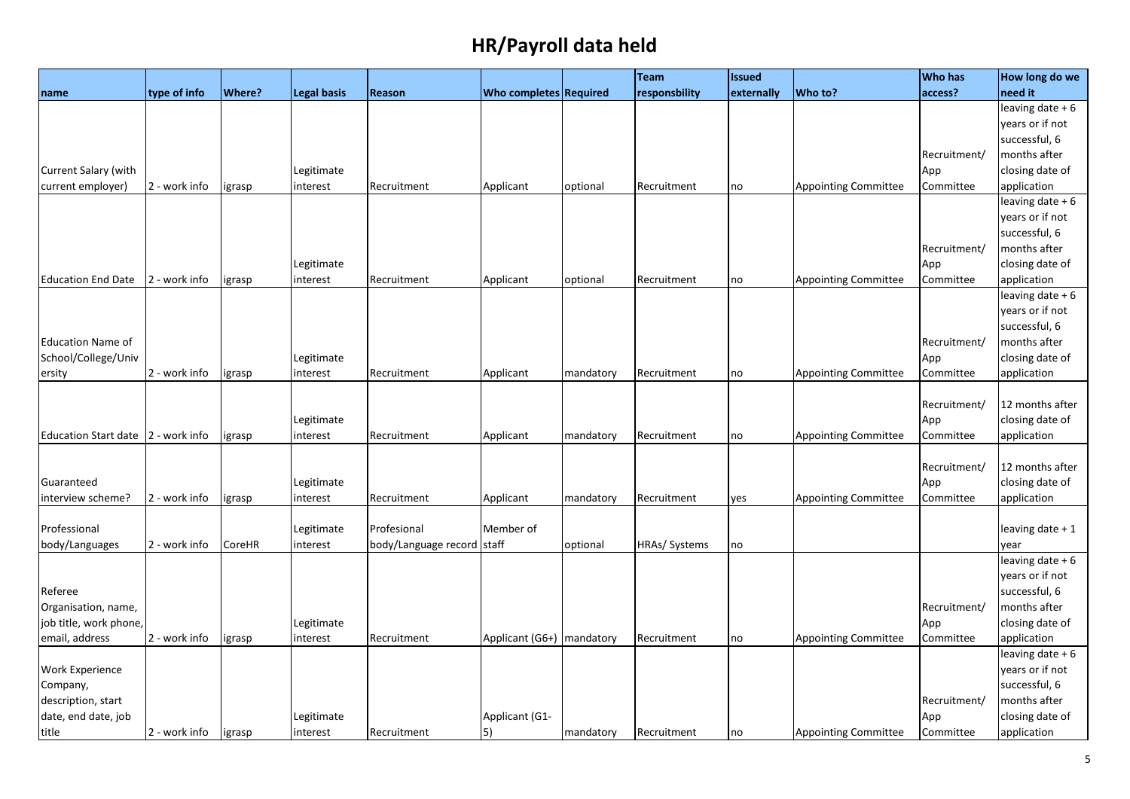|                             |               |               |                        |                      |                               |           | Team          | <b>Issued</b> |                             | <b>Who has</b>   | How long do we                     |
|-----------------------------|---------------|---------------|------------------------|----------------------|-------------------------------|-----------|---------------|---------------|-----------------------------|------------------|------------------------------------|
| name                        | type of info  | <b>Where?</b> | <b>Legal basis</b>     | Reason               | <b>Who completes Required</b> |           | responsbility | externally    | Who to?                     | access?          | need it                            |
|                             |               |               |                        |                      |                               |           |               |               |                             |                  | leaving date $+6$                  |
|                             |               |               |                        |                      |                               |           |               |               |                             |                  | years or if not                    |
|                             |               |               |                        |                      |                               |           |               |               |                             |                  | successful, 6                      |
|                             |               |               |                        |                      |                               |           |               |               |                             | Recruitment/     | months after                       |
| Current Salary (with        |               |               | Legitimate             |                      |                               |           |               |               |                             | App              | closing date of                    |
| current employer)           | 2 - work info | igrasp        | interest               | Recruitment          | Applicant                     | optional  | Recruitment   | no            | <b>Appointing Committee</b> | Committee        | application                        |
|                             |               |               |                        |                      |                               |           |               |               |                             |                  | leaving date + 6                   |
|                             |               |               |                        |                      |                               |           |               |               |                             |                  | years or if not                    |
|                             |               |               |                        |                      |                               |           |               |               |                             |                  | successful, 6                      |
|                             |               |               |                        |                      |                               |           |               |               |                             | Recruitment/     | months after                       |
|                             |               |               | Legitimate             |                      |                               |           |               |               |                             | App              | closing date of                    |
| <b>Education End Date</b>   | 2 - work info | igrasp        | interest               | Recruitment          | Applicant                     | optional  | Recruitment   | no            | <b>Appointing Committee</b> | Committee        | application                        |
|                             |               |               |                        |                      |                               |           |               |               |                             |                  | leaving date $+6$                  |
|                             |               |               |                        |                      |                               |           |               |               |                             |                  | years or if not                    |
|                             |               |               |                        |                      |                               |           |               |               |                             |                  | successful, 6                      |
| <b>Education Name of</b>    |               |               |                        |                      |                               |           |               |               |                             | Recruitment/     | months after                       |
| School/College/Univ         |               |               | Legitimate             |                      |                               |           |               |               |                             | App              | closing date of                    |
| ersity                      | 2 - work info | igrasp        | interest               | Recruitment          | Applicant                     | mandatory | Recruitment   | no            | <b>Appointing Committee</b> | Committee        | application                        |
|                             |               |               |                        |                      |                               |           |               |               |                             |                  |                                    |
|                             |               |               |                        |                      |                               |           |               |               |                             | Recruitment/     | 12 months after<br>closing date of |
| <b>Education Start date</b> | 2 - work info |               | Legitimate<br>interest | Recruitment          | Applicant                     | mandatory | Recruitment   | no            | <b>Appointing Committee</b> | App<br>Committee | application                        |
|                             |               | igrasp        |                        |                      |                               |           |               |               |                             |                  |                                    |
|                             |               |               |                        |                      |                               |           |               |               |                             | Recruitment/     | 12 months after                    |
| Guaranteed                  |               |               | Legitimate             |                      |                               |           |               |               |                             | App              | closing date of                    |
| interview scheme?           | 2 - work info | igrasp        | interest               | Recruitment          | Applicant                     | mandatory | Recruitment   | yes           | <b>Appointing Committee</b> | Committee        | application                        |
|                             |               |               |                        |                      |                               |           |               |               |                             |                  |                                    |
| Professional                |               |               | Legitimate             | Profesional          | Member of                     |           |               |               |                             |                  | leaving date + 1                   |
| body/Languages              | 2 - work info | <b>CoreHR</b> | interest               | body/Language record | staff                         | optional  | HRAs/ Systems | no            |                             |                  | year                               |
|                             |               |               |                        |                      |                               |           |               |               |                             |                  | leaving date $+6$                  |
|                             |               |               |                        |                      |                               |           |               |               |                             |                  | years or if not                    |
| Referee                     |               |               |                        |                      |                               |           |               |               |                             |                  | successful, 6                      |
| Organisation, name,         |               |               |                        |                      |                               |           |               |               |                             | Recruitment/     | months after                       |
| job title, work phone,      |               |               | Legitimate             |                      |                               |           |               |               |                             | App              | closing date of                    |
| email, address              | 2 - work info | igrasp        | interest               | Recruitment          | Applicant (G6+)   mandatory   |           | Recruitment   | no            | <b>Appointing Committee</b> | Committee        | application                        |
|                             |               |               |                        |                      |                               |           |               |               |                             |                  | leaving date + 6                   |
| <b>Work Experience</b>      |               |               |                        |                      |                               |           |               |               |                             |                  | years or if not                    |
| Company,                    |               |               |                        |                      |                               |           |               |               |                             |                  | successful, 6                      |
| description, start          |               |               |                        |                      |                               |           |               |               |                             | Recruitment/     | months after                       |
| date, end date, job         |               |               | Legitimate             |                      | Applicant (G1-                |           |               |               |                             | App              | closing date of                    |
| title                       | 2 - work info | igrasp        | interest               | Recruitment          | $\vert 5 \rangle$             | mandatory | Recruitment   | no            | <b>Appointing Committee</b> | Committee        | application                        |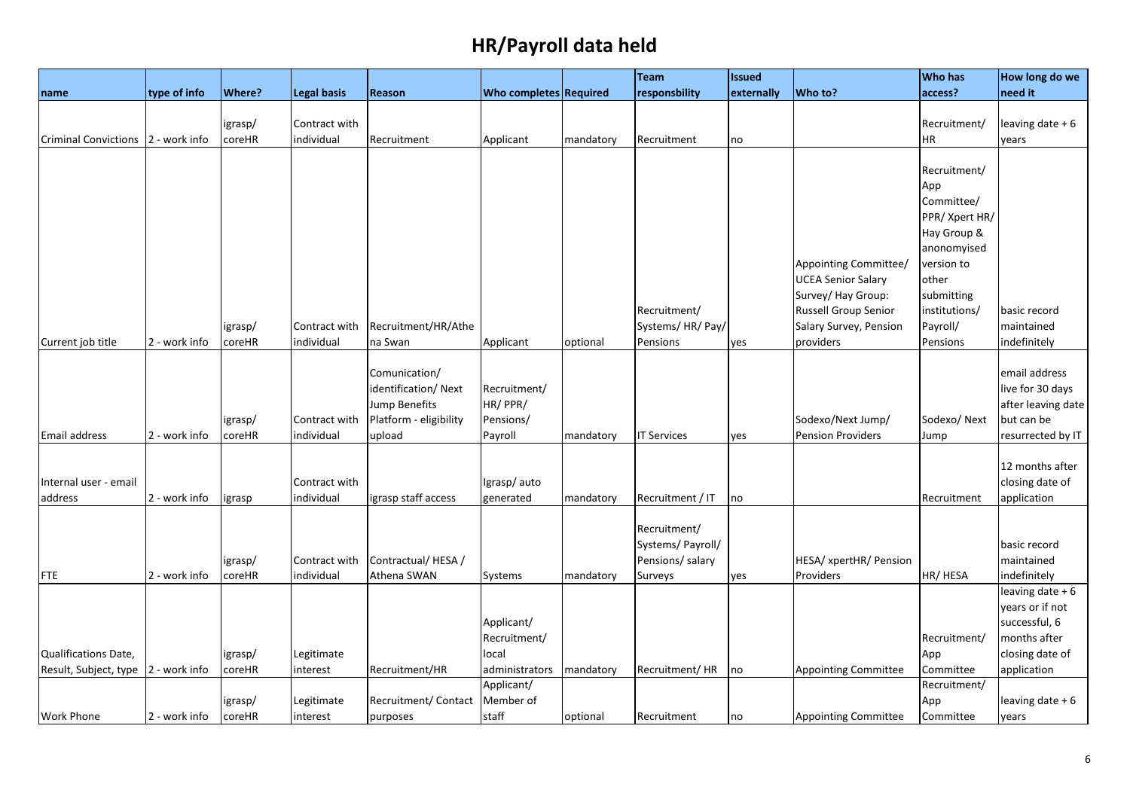|                                       |               |               |                             |                        |                               |           | Team                            | <b>Issued</b> |                                            | <b>Who has</b>              | How long do we     |
|---------------------------------------|---------------|---------------|-----------------------------|------------------------|-------------------------------|-----------|---------------------------------|---------------|--------------------------------------------|-----------------------------|--------------------|
| name                                  | type of info  | <b>Where?</b> | <b>Legal basis</b>          | <b>Reason</b>          | <b>Who completes Required</b> |           | responsbility                   | externally    | Who to?                                    | access?                     | need it            |
|                                       |               |               |                             |                        |                               |           |                                 |               |                                            |                             |                    |
|                                       |               | igrasp/       | Contract with               |                        |                               |           |                                 |               |                                            | Recruitment/                | leaving date + 6   |
| <b>Criminal Convictions</b>           | 2 - work info | coreHR        | individual                  | Recruitment            | Applicant                     | mandatory | Recruitment                     | no            |                                            | HR                          | years              |
|                                       |               |               |                             |                        |                               |           |                                 |               |                                            |                             |                    |
|                                       |               |               |                             |                        |                               |           |                                 |               |                                            | Recruitment/                |                    |
|                                       |               |               |                             |                        |                               |           |                                 |               |                                            | App                         |                    |
|                                       |               |               |                             |                        |                               |           |                                 |               |                                            | Committee/                  |                    |
|                                       |               |               |                             |                        |                               |           |                                 |               |                                            | PPR/ Xpert HR/              |                    |
|                                       |               |               |                             |                        |                               |           |                                 |               |                                            | Hay Group &                 |                    |
|                                       |               |               |                             |                        |                               |           |                                 |               |                                            | anonomyised                 |                    |
|                                       |               |               |                             |                        |                               |           |                                 |               | Appointing Committee/                      | version to                  |                    |
|                                       |               |               |                             |                        |                               |           |                                 |               | <b>UCEA Senior Salary</b>                  | other                       |                    |
|                                       |               |               |                             |                        |                               |           |                                 |               | Survey/ Hay Group:<br>Russell Group Senior | submitting<br>institutions/ | basic record       |
|                                       |               |               |                             |                        |                               |           | Recruitment/<br>Systems/HR/Pay/ |               | Salary Survey, Pension                     |                             | maintained         |
|                                       | 2 - work info | igrasp/       | Contract with<br>individual | Recruitment/HR/Athe    |                               |           |                                 |               | providers                                  | Payroll/                    | indefinitely       |
| Current job title                     |               | coreHR        |                             | na Swan                | Applicant                     | optional  | Pensions                        | yes           |                                            | Pensions                    |                    |
|                                       |               |               |                             | Comunication/          |                               |           |                                 |               |                                            |                             | email address      |
|                                       |               |               |                             | identification/ Next   | Recruitment/                  |           |                                 |               |                                            |                             | live for 30 days   |
|                                       |               |               |                             | Jump Benefits          | HR/PPR/                       |           |                                 |               |                                            |                             | after leaving date |
|                                       |               | igrasp/       | Contract with               | Platform - eligibility | Pensions/                     |           |                                 |               | Sodexo/Next Jump/                          | Sodexo/Next                 | but can be         |
| Email address                         | 2 - work info | coreHR        | individual                  | upload                 | Payroll                       | mandatory | <b>IT Services</b>              | yes           | <b>Pension Providers</b>                   | Jump                        | resurrected by IT  |
|                                       |               |               |                             |                        |                               |           |                                 |               |                                            |                             |                    |
|                                       |               |               |                             |                        |                               |           |                                 |               |                                            |                             | 12 months after    |
| Internal user - email                 |               |               | Contract with               |                        | Igrasp/auto                   |           |                                 |               |                                            |                             | closing date of    |
| address                               | 2 - work info | igrasp        | individual                  | igrasp staff access    | generated                     | mandatory | Recruitment / IT                | no            |                                            | Recruitment                 | application        |
|                                       |               |               |                             |                        |                               |           |                                 |               |                                            |                             |                    |
|                                       |               |               |                             |                        |                               |           | Recruitment/                    |               |                                            |                             |                    |
|                                       |               |               |                             |                        |                               |           | Systems/ Payroll/               |               |                                            |                             | basic record       |
|                                       |               | igrasp/       | Contract with               | Contractual/HESA/      |                               |           | Pensions/ salary                |               | HESA/ xpertHR/ Pension                     |                             | maintained         |
| <b>FTE</b>                            | 2 - work info | coreHR        | individual                  | Athena SWAN            | Systems                       | mandatory | Surveys                         | yes           | Providers                                  | HR/ HESA                    | indefinitely       |
|                                       |               |               |                             |                        |                               |           |                                 |               |                                            |                             | leaving date $+6$  |
|                                       |               |               |                             |                        |                               |           |                                 |               |                                            |                             | years or if not    |
|                                       |               |               |                             |                        | Applicant/                    |           |                                 |               |                                            |                             | successful, 6      |
|                                       |               |               |                             |                        | Recruitment/                  |           |                                 |               |                                            | Recruitment/                | months after       |
| <b>Qualifications Date,</b>           |               | igrasp/       | Legitimate                  |                        | local                         |           |                                 |               |                                            | App                         | closing date of    |
| Result, Subject, type   2 - work info |               | coreHR        | interest                    | Recruitment/HR         | administrators                | mandatory | Recruitment/HR                  | no            | <b>Appointing Committee</b>                | Committee                   | application        |
|                                       |               |               |                             |                        | Applicant/                    |           |                                 |               |                                            | Recruitment/                |                    |
|                                       | 2 - work info | igrasp/       | Legitimate                  | Recruitment/ Contact   | Member of<br>staff            |           |                                 |               |                                            | App<br>Committee            | leaving date + 6   |
| <b>Work Phone</b>                     |               | coreHR        | interest                    | purposes               |                               | optional  | Recruitment                     | no            | <b>Appointing Committee</b>                |                             | years              |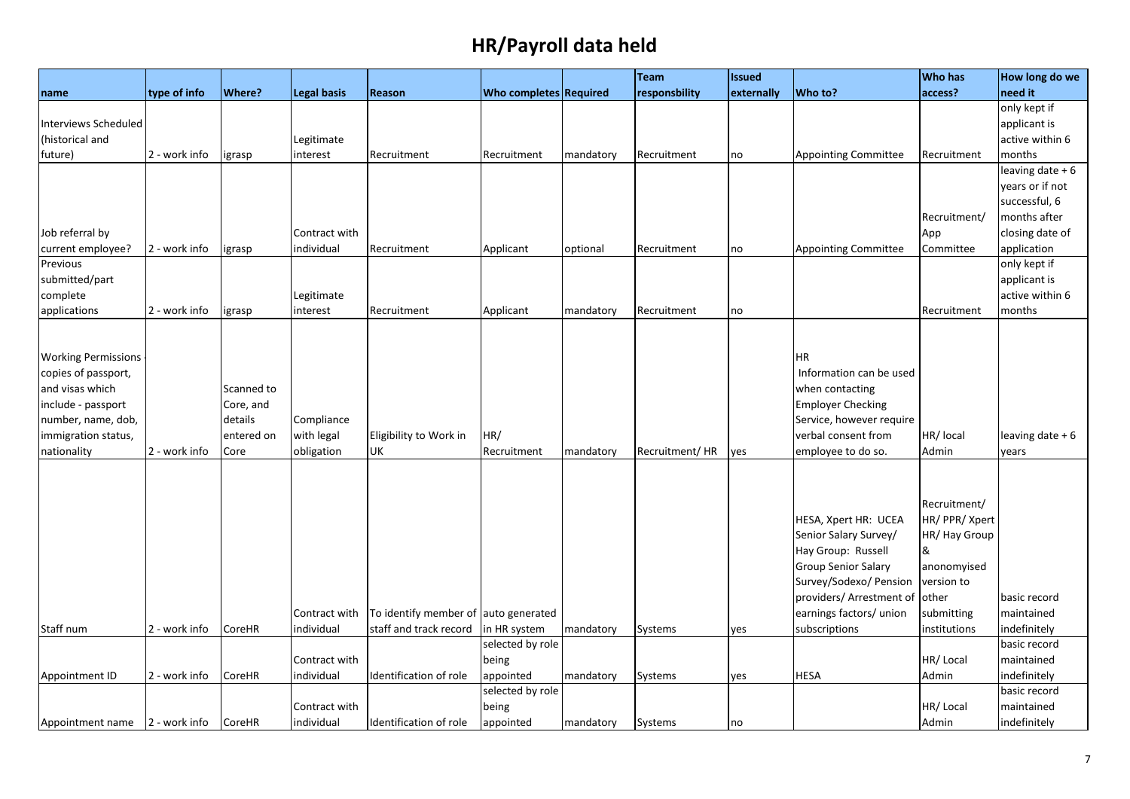| <b>Where?</b><br>need it<br>Who completes Required<br>responsbility<br>Who to?<br>access?<br>type of info<br>Legal basis<br>Reason<br>externally<br>name<br>only kept if<br>Interviews Scheduled<br>applicant is<br>(historical and<br>active within 6<br>Legitimate<br>months<br>future)<br>2 - work info<br>interest<br>Recruitment<br>Recruitment<br>mandatory<br>Recruitment<br><b>Appointing Committee</b><br>Recruitment<br>igrasp<br>no<br>years or if not<br>successful, 6<br>months after<br>Recruitment/<br>Job referral by<br>Contract with<br>App<br>current employee?<br>2 - work info<br>individual<br>application<br>Recruitment<br>Applicant<br>Recruitment<br><b>Appointing Committee</b><br>Committee<br>igrasp<br>optional<br>no<br>only kept if<br>Previous<br>submitted/part<br>applicant is<br>complete<br>active within 6<br>Legitimate |  |  |  | Team | <b>Issued</b> | <b>Who has</b> | How long do we    |
|----------------------------------------------------------------------------------------------------------------------------------------------------------------------------------------------------------------------------------------------------------------------------------------------------------------------------------------------------------------------------------------------------------------------------------------------------------------------------------------------------------------------------------------------------------------------------------------------------------------------------------------------------------------------------------------------------------------------------------------------------------------------------------------------------------------------------------------------------------------|--|--|--|------|---------------|----------------|-------------------|
|                                                                                                                                                                                                                                                                                                                                                                                                                                                                                                                                                                                                                                                                                                                                                                                                                                                                |  |  |  |      |               |                |                   |
|                                                                                                                                                                                                                                                                                                                                                                                                                                                                                                                                                                                                                                                                                                                                                                                                                                                                |  |  |  |      |               |                |                   |
|                                                                                                                                                                                                                                                                                                                                                                                                                                                                                                                                                                                                                                                                                                                                                                                                                                                                |  |  |  |      |               |                |                   |
|                                                                                                                                                                                                                                                                                                                                                                                                                                                                                                                                                                                                                                                                                                                                                                                                                                                                |  |  |  |      |               |                |                   |
|                                                                                                                                                                                                                                                                                                                                                                                                                                                                                                                                                                                                                                                                                                                                                                                                                                                                |  |  |  |      |               |                |                   |
|                                                                                                                                                                                                                                                                                                                                                                                                                                                                                                                                                                                                                                                                                                                                                                                                                                                                |  |  |  |      |               |                | leaving date $+6$ |
|                                                                                                                                                                                                                                                                                                                                                                                                                                                                                                                                                                                                                                                                                                                                                                                                                                                                |  |  |  |      |               |                |                   |
|                                                                                                                                                                                                                                                                                                                                                                                                                                                                                                                                                                                                                                                                                                                                                                                                                                                                |  |  |  |      |               |                |                   |
|                                                                                                                                                                                                                                                                                                                                                                                                                                                                                                                                                                                                                                                                                                                                                                                                                                                                |  |  |  |      |               |                |                   |
|                                                                                                                                                                                                                                                                                                                                                                                                                                                                                                                                                                                                                                                                                                                                                                                                                                                                |  |  |  |      |               |                | closing date of   |
|                                                                                                                                                                                                                                                                                                                                                                                                                                                                                                                                                                                                                                                                                                                                                                                                                                                                |  |  |  |      |               |                |                   |
|                                                                                                                                                                                                                                                                                                                                                                                                                                                                                                                                                                                                                                                                                                                                                                                                                                                                |  |  |  |      |               |                |                   |
|                                                                                                                                                                                                                                                                                                                                                                                                                                                                                                                                                                                                                                                                                                                                                                                                                                                                |  |  |  |      |               |                |                   |
|                                                                                                                                                                                                                                                                                                                                                                                                                                                                                                                                                                                                                                                                                                                                                                                                                                                                |  |  |  |      |               |                |                   |
| applications<br>2 - work info<br>months<br>interest<br>Recruitment<br>Applicant<br>mandatory<br>Recruitment<br>grasp<br>no<br>Recruitment                                                                                                                                                                                                                                                                                                                                                                                                                                                                                                                                                                                                                                                                                                                      |  |  |  |      |               |                |                   |
|                                                                                                                                                                                                                                                                                                                                                                                                                                                                                                                                                                                                                                                                                                                                                                                                                                                                |  |  |  |      |               |                |                   |
|                                                                                                                                                                                                                                                                                                                                                                                                                                                                                                                                                                                                                                                                                                                                                                                                                                                                |  |  |  |      |               |                |                   |
| <b>HR</b><br><b>Working Permissions</b>                                                                                                                                                                                                                                                                                                                                                                                                                                                                                                                                                                                                                                                                                                                                                                                                                        |  |  |  |      |               |                |                   |
| Information can be used<br>copies of passport,                                                                                                                                                                                                                                                                                                                                                                                                                                                                                                                                                                                                                                                                                                                                                                                                                 |  |  |  |      |               |                |                   |
| and visas which<br>when contacting<br>Scanned to                                                                                                                                                                                                                                                                                                                                                                                                                                                                                                                                                                                                                                                                                                                                                                                                               |  |  |  |      |               |                |                   |
| <b>Employer Checking</b><br>include - passport<br>Core, and                                                                                                                                                                                                                                                                                                                                                                                                                                                                                                                                                                                                                                                                                                                                                                                                    |  |  |  |      |               |                |                   |
| details<br>Compliance<br>Service, however require<br>number, name, dob,                                                                                                                                                                                                                                                                                                                                                                                                                                                                                                                                                                                                                                                                                                                                                                                        |  |  |  |      |               |                |                   |
| with legal<br>verbal consent from<br>immigration status,<br>entered on<br>HR/<br>HR/ local<br>Eligibility to Work in                                                                                                                                                                                                                                                                                                                                                                                                                                                                                                                                                                                                                                                                                                                                           |  |  |  |      |               |                | leaving date + 6  |
| nationality<br>2 - work info<br>obligation<br>UK<br>Recruitment<br>Recruitment/HR<br>employee to do so.<br>Admin<br>Core<br>mandatory<br>yes<br>years                                                                                                                                                                                                                                                                                                                                                                                                                                                                                                                                                                                                                                                                                                          |  |  |  |      |               |                |                   |
|                                                                                                                                                                                                                                                                                                                                                                                                                                                                                                                                                                                                                                                                                                                                                                                                                                                                |  |  |  |      |               |                |                   |
|                                                                                                                                                                                                                                                                                                                                                                                                                                                                                                                                                                                                                                                                                                                                                                                                                                                                |  |  |  |      |               |                |                   |
| Recruitment/                                                                                                                                                                                                                                                                                                                                                                                                                                                                                                                                                                                                                                                                                                                                                                                                                                                   |  |  |  |      |               |                |                   |
| HESA, Xpert HR: UCEA<br>HR/ PPR/ Xpert                                                                                                                                                                                                                                                                                                                                                                                                                                                                                                                                                                                                                                                                                                                                                                                                                         |  |  |  |      |               |                |                   |
| Senior Salary Survey/<br>HR/ Hay Group                                                                                                                                                                                                                                                                                                                                                                                                                                                                                                                                                                                                                                                                                                                                                                                                                         |  |  |  |      |               |                |                   |
| Hay Group: Russell<br>$\boldsymbol{8}$                                                                                                                                                                                                                                                                                                                                                                                                                                                                                                                                                                                                                                                                                                                                                                                                                         |  |  |  |      |               |                |                   |
| <b>Group Senior Salary</b><br>anonomyised                                                                                                                                                                                                                                                                                                                                                                                                                                                                                                                                                                                                                                                                                                                                                                                                                      |  |  |  |      |               |                |                   |
| Survey/Sodexo/ Pension<br>version to                                                                                                                                                                                                                                                                                                                                                                                                                                                                                                                                                                                                                                                                                                                                                                                                                           |  |  |  |      |               |                |                   |
| providers/ Arrestment of other<br>basic record                                                                                                                                                                                                                                                                                                                                                                                                                                                                                                                                                                                                                                                                                                                                                                                                                 |  |  |  |      |               |                |                   |
| To identify member of auto generated<br>earnings factors/ union<br>maintained<br>Contract with<br>submitting                                                                                                                                                                                                                                                                                                                                                                                                                                                                                                                                                                                                                                                                                                                                                   |  |  |  |      |               |                |                   |
| indefinitely<br>Staff num<br>2 - work info<br>individual<br>staff and track record<br>in HR system<br>subscriptions<br>CoreHR<br>mandatory<br>Systems<br>institutions<br>yes                                                                                                                                                                                                                                                                                                                                                                                                                                                                                                                                                                                                                                                                                   |  |  |  |      |               |                |                   |
| selected by role<br>basic record                                                                                                                                                                                                                                                                                                                                                                                                                                                                                                                                                                                                                                                                                                                                                                                                                               |  |  |  |      |               |                |                   |
| maintained<br>Contract with<br>being<br>HR/Local                                                                                                                                                                                                                                                                                                                                                                                                                                                                                                                                                                                                                                                                                                                                                                                                               |  |  |  |      |               |                |                   |
| individual<br><b>HESA</b><br>indefinitely<br>2 - work info<br>CoreHR<br>Identification of role<br>appointed<br>mandatory<br>Systems<br>Admin<br>Appointment ID<br>yes                                                                                                                                                                                                                                                                                                                                                                                                                                                                                                                                                                                                                                                                                          |  |  |  |      |               |                |                   |
| selected by role<br>basic record                                                                                                                                                                                                                                                                                                                                                                                                                                                                                                                                                                                                                                                                                                                                                                                                                               |  |  |  |      |               |                |                   |
| HR/Local<br>maintained<br>Contract with<br>being                                                                                                                                                                                                                                                                                                                                                                                                                                                                                                                                                                                                                                                                                                                                                                                                               |  |  |  |      |               |                |                   |
| individual<br>indefinitely<br>2 - work info<br>CoreHR<br>Identification of role<br>appointed<br>mandatory<br>Admin<br>Appointment name<br>Systems<br>no                                                                                                                                                                                                                                                                                                                                                                                                                                                                                                                                                                                                                                                                                                        |  |  |  |      |               |                |                   |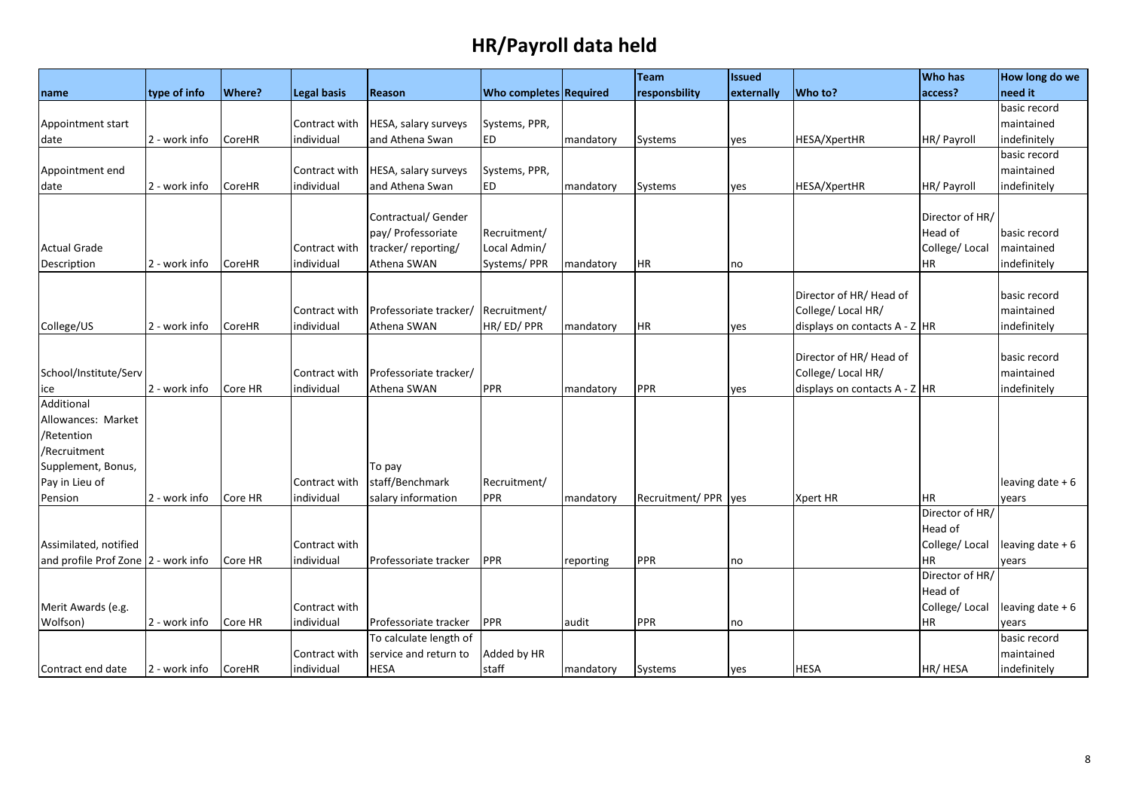|                                     |               |               |                    |                             |                               |           | Team                  | <b>Issued</b> |                                 | <b>Who has</b>  | How long do we    |
|-------------------------------------|---------------|---------------|--------------------|-----------------------------|-------------------------------|-----------|-----------------------|---------------|---------------------------------|-----------------|-------------------|
| name                                | type of info  | <b>Where?</b> | <b>Legal basis</b> | Reason                      | <b>Who completes Required</b> |           | responsbility         | externally    | Who to?                         | access?         | need it           |
|                                     |               |               |                    |                             |                               |           |                       |               |                                 |                 | basic record      |
| Appointment start                   |               |               | Contract with      | <b>HESA, salary surveys</b> | Systems, PPR,                 |           |                       |               |                                 |                 | maintained        |
| date                                | 2 - work info | CoreHR        | individual         | and Athena Swan             | <b>ED</b>                     | mandatory | <b>Systems</b>        | yes           | <b>HESA/XpertHR</b>             | HR/ Payroll     | indefinitely      |
|                                     |               |               |                    |                             |                               |           |                       |               |                                 |                 | basic record      |
| Appointment end                     |               |               | Contract with      | HESA, salary surveys        | Systems, PPR,                 |           |                       |               |                                 |                 | maintained        |
| date                                | 2 - work info | CoreHR        | individual         | and Athena Swan             | <b>ED</b>                     | mandatory | Systems               | yes           | HESA/XpertHR                    | HR/ Payroll     | indefinitely      |
|                                     |               |               |                    |                             |                               |           |                       |               |                                 |                 |                   |
|                                     |               |               |                    | Contractual/ Gender         |                               |           |                       |               |                                 | Director of HR/ |                   |
|                                     |               |               |                    | pay/ Professoriate          | Recruitment/                  |           |                       |               |                                 | Head of         | basic record      |
| <b>Actual Grade</b>                 |               |               | Contract with      | tracker/reporting/          | Local Admin/                  |           |                       |               |                                 | College/Local   | maintained        |
| Description                         | 2 - work info | CoreHR        | individual         | Athena SWAN                 | Systems/PPR                   | mandatory | <b>HR</b>             | no            |                                 | <b>HR</b>       | indefinitely      |
|                                     |               |               |                    |                             |                               |           |                       |               |                                 |                 |                   |
|                                     |               |               |                    |                             |                               |           |                       |               | Director of HR/ Head of         |                 | basic record      |
|                                     |               |               | Contract with      | Professoriate tracker/      | Recruitment/                  |           |                       |               | College/ Local HR/              |                 | maintained        |
| College/US                          | 2 - work info | CoreHR        | individual         | Athena SWAN                 | HR/ED/PPR                     | mandatory | <b>HR</b>             | yes           | displays on contacts $A - Z$ HR |                 | indefinitely      |
|                                     |               |               |                    |                             |                               |           |                       |               |                                 |                 |                   |
|                                     |               |               |                    |                             |                               |           |                       |               | Director of HR/ Head of         |                 | basic record      |
| School/Institute/Serv               |               |               | Contract with      | Professoriate tracker/      |                               |           |                       |               | College/ Local HR/              |                 | maintained        |
| ice                                 | 2 - work info | Core HR       | individual         | Athena SWAN                 | PPR                           | mandatory | <b>PPR</b>            | yes           | displays on contacts $A - Z$ HR |                 | indefinitely      |
| Additional                          |               |               |                    |                             |                               |           |                       |               |                                 |                 |                   |
| Allowances: Market                  |               |               |                    |                             |                               |           |                       |               |                                 |                 |                   |
| /Retention                          |               |               |                    |                             |                               |           |                       |               |                                 |                 |                   |
| /Recruitment                        |               |               |                    |                             |                               |           |                       |               |                                 |                 |                   |
| Supplement, Bonus,                  |               |               |                    | To pay                      |                               |           |                       |               |                                 |                 |                   |
| Pay in Lieu of                      |               |               | Contract with      | staff/Benchmark             | Recruitment/                  |           |                       |               |                                 |                 | leaving date $+6$ |
| Pension                             | 2 - work info | Core HR       | individual         | salary information          | PPR                           | mandatory | Recruitment/PPR   yes |               | <b>Xpert HR</b>                 | <b>HR</b>       | years             |
|                                     |               |               |                    |                             |                               |           |                       |               |                                 | Director of HR/ |                   |
|                                     |               |               |                    |                             |                               |           |                       |               |                                 | Head of         |                   |
| Assimilated, notified               |               |               | Contract with      |                             |                               |           |                       |               |                                 | College/Local   | leaving date $+6$ |
| and profile Prof Zone 2 - work info |               | Core HR       | individual         | Professoriate tracker       | PPR                           | reporting | <b>PPR</b>            | no            |                                 | <b>HR</b>       | years             |
|                                     |               |               |                    |                             |                               |           |                       |               |                                 | Director of HR/ |                   |
|                                     |               |               |                    |                             |                               |           |                       |               |                                 | Head of         |                   |
| Merit Awards (e.g.                  |               |               | Contract with      |                             |                               |           |                       |               |                                 | College/Local   | leaving date + 6  |
| Wolfson)                            | 2 - work info | Core HR       | individual         | Professoriate tracker       | PPR                           | audit     | PPR                   | no            |                                 | <b>HR</b>       | years             |
|                                     |               |               |                    | To calculate length of      |                               |           |                       |               |                                 |                 | basic record      |
|                                     |               |               | Contract with      | service and return to       | Added by HR                   |           |                       |               |                                 |                 | maintained        |
| Contract end date                   | 2 - work info | <b>CoreHR</b> | individual         | <b>HESA</b>                 | staff                         | mandatory | <b>Systems</b>        | yes           | <b>HESA</b>                     | HR/HESA         | indefinitely      |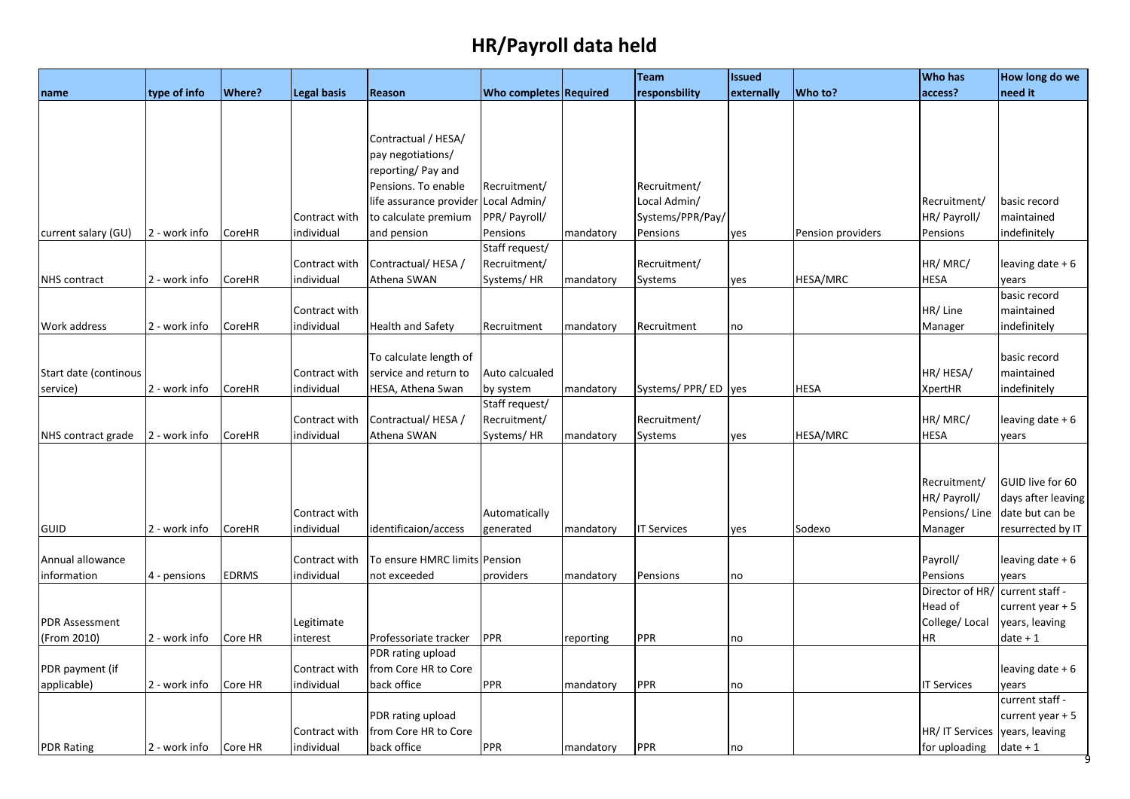|                       |               |               |                             |                                     |                               |           | <b>Team</b>        | <b>Issued</b> |                   | <b>Who has</b>     | How long do we               |
|-----------------------|---------------|---------------|-----------------------------|-------------------------------------|-------------------------------|-----------|--------------------|---------------|-------------------|--------------------|------------------------------|
| name                  | type of info  | <b>Where?</b> | <b>Legal basis</b>          | Reason                              | <b>Who completes Required</b> |           | responsbility      | externally    | Who to?           | access?            | need it                      |
|                       |               |               |                             |                                     |                               |           |                    |               |                   |                    |                              |
|                       |               |               |                             |                                     |                               |           |                    |               |                   |                    |                              |
|                       |               |               |                             | Contractual / HESA/                 |                               |           |                    |               |                   |                    |                              |
|                       |               |               |                             | pay negotiations/                   |                               |           |                    |               |                   |                    |                              |
|                       |               |               |                             | reporting/ Pay and                  |                               |           |                    |               |                   |                    |                              |
|                       |               |               |                             | Pensions. To enable                 | Recruitment/                  |           | Recruitment/       |               |                   |                    |                              |
|                       |               |               |                             | life assurance provider             | Local Admin/                  |           | Local Admin/       |               |                   | Recruitment/       | basic record                 |
|                       |               |               | Contract with               | to calculate premium                | PPR/ Payroll/                 |           | Systems/PPR/Pay/   |               |                   | HR/ Payroll/       | maintained                   |
| current salary (GU)   | 2 - work info | CoreHR        | individual                  | and pension                         | Pensions                      | mandatory | Pensions           | yes           | Pension providers | Pensions           | indefinitely                 |
|                       |               |               |                             |                                     | Staff request/                |           |                    |               |                   |                    |                              |
|                       |               |               | Contract with               | Contractual/HESA/                   | Recruitment/                  |           | Recruitment/       |               |                   | HR/MRC/            | leaving date + 6             |
| <b>NHS</b> contract   | 2 - work info | CoreHR        | individual                  | Athena SWAN                         | Systems/HR                    | mandatory | Systems            | yes           | HESA/MRC          | <b>HESA</b>        | years                        |
|                       |               |               |                             |                                     |                               |           |                    |               |                   |                    | basic record                 |
|                       |               |               | Contract with               |                                     |                               |           |                    |               |                   | HR/Line            | maintained                   |
| Work address          | 2 - work info | CoreHR        | individual                  | <b>Health and Safety</b>            | Recruitment                   | mandatory | Recruitment        | no            |                   | Manager            | indefinitely                 |
|                       |               |               |                             |                                     |                               |           |                    |               |                   |                    |                              |
|                       |               |               |                             | To calculate length of              |                               |           |                    |               |                   |                    | basic record                 |
| Start date (continous |               |               | Contract with               | service and return to               | Auto calcualed                |           |                    |               |                   | HR/ HESA/          | maintained                   |
| service)              | 2 - work info | CoreHR        | individual                  | HESA, Athena Swan                   | by system                     | mandatory | Systems/PPR/ED yes |               | <b>HESA</b>       | XpertHR            | indefinitely                 |
|                       |               |               |                             |                                     | Staff request/                |           |                    |               |                   |                    |                              |
|                       |               |               | Contract with               | Contractual/HESA /                  | Recruitment/                  |           | Recruitment/       |               |                   | HR/MRC/            | leaving date + 6             |
| NHS contract grade    | 2 - work info | CoreHR        | individual                  | Athena SWAN                         | Systems/HR                    | mandatory | Systems            | yes           | HESA/MRC          | <b>HESA</b>        | years                        |
|                       |               |               |                             |                                     |                               |           |                    |               |                   |                    |                              |
|                       |               |               |                             |                                     |                               |           |                    |               |                   |                    |                              |
|                       |               |               |                             |                                     |                               |           |                    |               |                   | Recruitment/       | GUID live for 60             |
|                       |               |               |                             |                                     |                               |           |                    |               |                   | HR/ Payroll/       | days after leaving           |
|                       |               |               | Contract with               |                                     | Automatically                 |           |                    |               |                   | Pensions/Line      | date but can be              |
| <b>GUID</b>           | 2 - work info | CoreHR        | individual                  | identificaion/access                | generated                     | mandatory | <b>IT Services</b> | yes           | Sodexo            | Manager            | resurrected by IT            |
|                       |               |               |                             |                                     |                               |           |                    |               |                   |                    |                              |
| Annual allowance      |               |               | Contract with               | To ensure HMRC limits Pension       |                               |           |                    |               |                   | Payroll/           | leaving date + 6             |
| information           | 4 - pensions  | <b>EDRMS</b>  | individual                  | not exceeded                        | providers                     | mandatory | Pensions           | no            |                   | Pensions           | years                        |
|                       |               |               |                             |                                     |                               |           |                    |               |                   | Director of HR/    | current staff -              |
|                       |               |               |                             |                                     |                               |           |                    |               |                   | Head of            | current year + 5             |
| <b>PDR Assessment</b> |               |               | Legitimate                  |                                     |                               |           |                    |               |                   | College/Local      | years, leaving               |
| (From 2010)           | 2 - work info | Core HR       | interest                    | Professoriate tracker               | PPR                           | reporting | PPR                | no            |                   | ΗR                 | $date + 1$                   |
|                       |               |               |                             | PDR rating upload                   |                               |           |                    |               |                   |                    |                              |
| PDR payment (if       |               |               | Contract with               | from Core HR to Core                |                               |           |                    |               |                   |                    | leaving date + 6             |
| applicable)           | 2 - work info | Core HR       | individual                  | back office                         | PPR                           | mandatory | PPR                | no            |                   | <b>IT Services</b> | years                        |
|                       |               |               |                             |                                     |                               |           |                    |               |                   |                    | current staff -              |
|                       |               |               |                             |                                     |                               |           |                    |               |                   |                    | current year + 5             |
|                       |               |               |                             | PDR rating upload                   |                               |           |                    |               |                   |                    |                              |
|                       |               | Core HR       | Contract with<br>individual | from Core HR to Core<br>back office | PPR                           |           | PPR                |               |                   | HR/ IT Services    | years, leaving<br>$date + 1$ |
| <b>PDR Rating</b>     | 2 - work info |               |                             |                                     |                               | mandatory |                    | no            |                   | for uploading      |                              |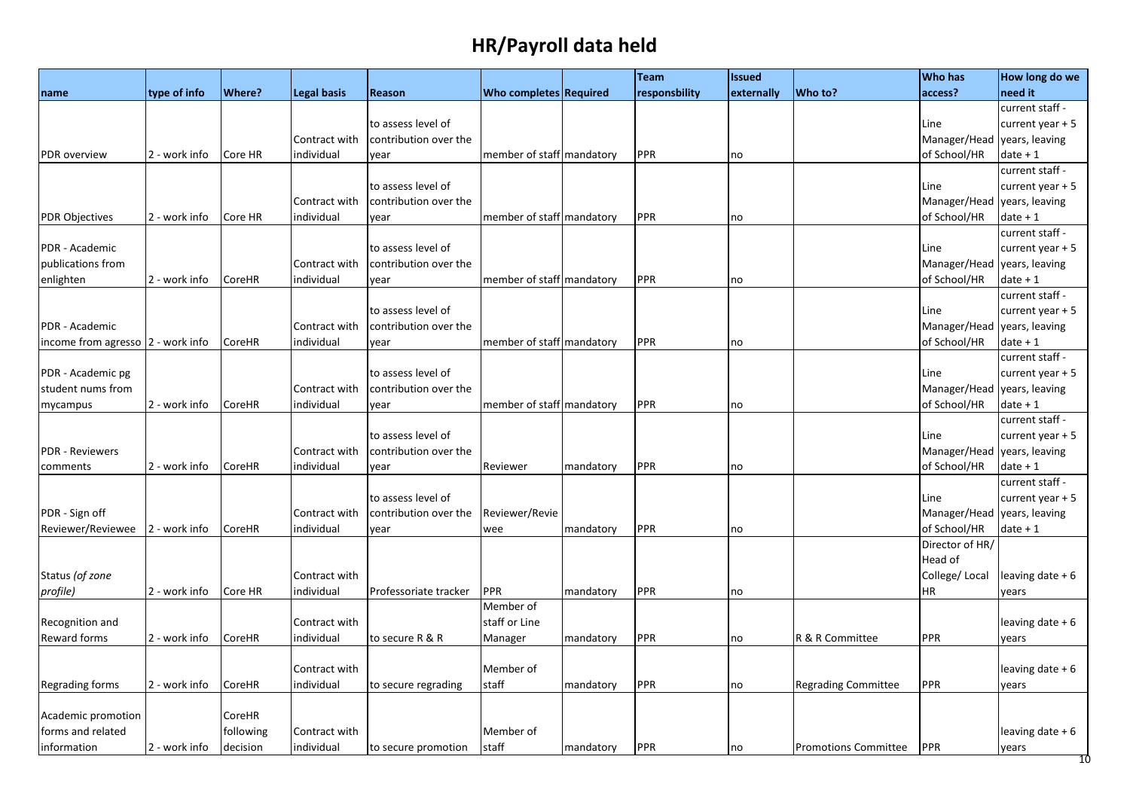| need it<br>Where?<br>Who completes Required<br>Who to?<br>type of info<br>Legal basis<br>responsbility<br>externally<br>access?<br><b>Reason</b><br>name<br>current staff -<br>to assess level of<br>current year $+5$<br>Line<br>Manager/Head<br>Contract with<br>contribution over the<br>years, leaving<br>PPR<br>2 - work info<br>individual<br>member of staff mandatory<br>of School/HR<br>$date + 1$<br>PDR overview<br>Core HR<br>vear<br>no<br>current staff -<br>to assess level of<br>Line<br>current year $+5$<br>years, leaving<br>Contract with<br>contribution over the<br>Manager/Head<br><b>PPR</b><br>2 - work info<br>Core HR<br>individual<br>member of staff mandatory<br>of School/HR<br>date + 1<br><b>PDR Objectives</b><br>year<br>no<br>current staff -<br>PDR - Academic<br>to assess level of<br>current year $+5$<br>Line<br>publications from<br>contribution over the<br>Manager/Head<br>years, leaving<br>Contract with<br>PPR<br>2 - work info<br>CoreHR<br>individual<br>member of staff mandatory<br>of School/HR<br>date + 1<br>enlighten<br>year<br>no<br>current staff -<br>to assess level of<br>current year $+5$<br>Line<br>Manager/Head<br>years, leaving<br>PDR - Academic<br>contribution over the<br>Contract with<br>individual<br>PPR<br>of School/HR<br>$date + 1$<br>income from agresso  2 - work info<br>CoreHR<br>member of staff mandatory<br>year<br>no<br>current staff -<br>PDR - Academic pg<br>to assess level of<br>current year + 5<br>Line<br>student nums from<br>Manager/Head<br>Contract with<br>contribution over the<br>years, leaving<br>PPR<br>2 - work info<br>individual<br>member of staff mandatory<br>of School/HR<br>$date + 1$<br>mycampus<br>CoreHR<br>vear<br>no<br>current staff -<br>to assess level of<br>current year $+5$<br>Line<br><b>PDR - Reviewers</b><br>Manager/Head<br>years, leaving<br>Contract with<br>contribution over the<br>individual<br><b>PPR</b><br>of School/HR<br>$date + 1$<br>2 - work info<br>CoreHR<br>mandatory<br>comments<br>year<br>Reviewer<br>no<br>current staff -<br>to assess level of<br>current year $+5$<br>Line<br>PDR - Sign off<br>contribution over the<br>Reviewer/Revie<br>Manager/Head<br>years, leaving<br>Contract with<br>PPR<br>of School/HR<br>Reviewer/Reviewee<br>2 - work info<br>CoreHR<br>individual<br>date + 1<br>mandatory<br>year<br>wee<br>no<br>Director of HR/<br>Head of |
|--------------------------------------------------------------------------------------------------------------------------------------------------------------------------------------------------------------------------------------------------------------------------------------------------------------------------------------------------------------------------------------------------------------------------------------------------------------------------------------------------------------------------------------------------------------------------------------------------------------------------------------------------------------------------------------------------------------------------------------------------------------------------------------------------------------------------------------------------------------------------------------------------------------------------------------------------------------------------------------------------------------------------------------------------------------------------------------------------------------------------------------------------------------------------------------------------------------------------------------------------------------------------------------------------------------------------------------------------------------------------------------------------------------------------------------------------------------------------------------------------------------------------------------------------------------------------------------------------------------------------------------------------------------------------------------------------------------------------------------------------------------------------------------------------------------------------------------------------------------------------------------------------------------------------------------------------------------------------------------------------------------------------------------------------------------------------------------------------------------------------------------------------------------------------------------------------------------------------------------------------------------------------------------------------------------------------------------------------------------------------------------------------------------------------|
|                                                                                                                                                                                                                                                                                                                                                                                                                                                                                                                                                                                                                                                                                                                                                                                                                                                                                                                                                                                                                                                                                                                                                                                                                                                                                                                                                                                                                                                                                                                                                                                                                                                                                                                                                                                                                                                                                                                                                                                                                                                                                                                                                                                                                                                                                                                                                                                                                          |
|                                                                                                                                                                                                                                                                                                                                                                                                                                                                                                                                                                                                                                                                                                                                                                                                                                                                                                                                                                                                                                                                                                                                                                                                                                                                                                                                                                                                                                                                                                                                                                                                                                                                                                                                                                                                                                                                                                                                                                                                                                                                                                                                                                                                                                                                                                                                                                                                                          |
|                                                                                                                                                                                                                                                                                                                                                                                                                                                                                                                                                                                                                                                                                                                                                                                                                                                                                                                                                                                                                                                                                                                                                                                                                                                                                                                                                                                                                                                                                                                                                                                                                                                                                                                                                                                                                                                                                                                                                                                                                                                                                                                                                                                                                                                                                                                                                                                                                          |
|                                                                                                                                                                                                                                                                                                                                                                                                                                                                                                                                                                                                                                                                                                                                                                                                                                                                                                                                                                                                                                                                                                                                                                                                                                                                                                                                                                                                                                                                                                                                                                                                                                                                                                                                                                                                                                                                                                                                                                                                                                                                                                                                                                                                                                                                                                                                                                                                                          |
|                                                                                                                                                                                                                                                                                                                                                                                                                                                                                                                                                                                                                                                                                                                                                                                                                                                                                                                                                                                                                                                                                                                                                                                                                                                                                                                                                                                                                                                                                                                                                                                                                                                                                                                                                                                                                                                                                                                                                                                                                                                                                                                                                                                                                                                                                                                                                                                                                          |
|                                                                                                                                                                                                                                                                                                                                                                                                                                                                                                                                                                                                                                                                                                                                                                                                                                                                                                                                                                                                                                                                                                                                                                                                                                                                                                                                                                                                                                                                                                                                                                                                                                                                                                                                                                                                                                                                                                                                                                                                                                                                                                                                                                                                                                                                                                                                                                                                                          |
|                                                                                                                                                                                                                                                                                                                                                                                                                                                                                                                                                                                                                                                                                                                                                                                                                                                                                                                                                                                                                                                                                                                                                                                                                                                                                                                                                                                                                                                                                                                                                                                                                                                                                                                                                                                                                                                                                                                                                                                                                                                                                                                                                                                                                                                                                                                                                                                                                          |
|                                                                                                                                                                                                                                                                                                                                                                                                                                                                                                                                                                                                                                                                                                                                                                                                                                                                                                                                                                                                                                                                                                                                                                                                                                                                                                                                                                                                                                                                                                                                                                                                                                                                                                                                                                                                                                                                                                                                                                                                                                                                                                                                                                                                                                                                                                                                                                                                                          |
|                                                                                                                                                                                                                                                                                                                                                                                                                                                                                                                                                                                                                                                                                                                                                                                                                                                                                                                                                                                                                                                                                                                                                                                                                                                                                                                                                                                                                                                                                                                                                                                                                                                                                                                                                                                                                                                                                                                                                                                                                                                                                                                                                                                                                                                                                                                                                                                                                          |
|                                                                                                                                                                                                                                                                                                                                                                                                                                                                                                                                                                                                                                                                                                                                                                                                                                                                                                                                                                                                                                                                                                                                                                                                                                                                                                                                                                                                                                                                                                                                                                                                                                                                                                                                                                                                                                                                                                                                                                                                                                                                                                                                                                                                                                                                                                                                                                                                                          |
|                                                                                                                                                                                                                                                                                                                                                                                                                                                                                                                                                                                                                                                                                                                                                                                                                                                                                                                                                                                                                                                                                                                                                                                                                                                                                                                                                                                                                                                                                                                                                                                                                                                                                                                                                                                                                                                                                                                                                                                                                                                                                                                                                                                                                                                                                                                                                                                                                          |
|                                                                                                                                                                                                                                                                                                                                                                                                                                                                                                                                                                                                                                                                                                                                                                                                                                                                                                                                                                                                                                                                                                                                                                                                                                                                                                                                                                                                                                                                                                                                                                                                                                                                                                                                                                                                                                                                                                                                                                                                                                                                                                                                                                                                                                                                                                                                                                                                                          |
|                                                                                                                                                                                                                                                                                                                                                                                                                                                                                                                                                                                                                                                                                                                                                                                                                                                                                                                                                                                                                                                                                                                                                                                                                                                                                                                                                                                                                                                                                                                                                                                                                                                                                                                                                                                                                                                                                                                                                                                                                                                                                                                                                                                                                                                                                                                                                                                                                          |
|                                                                                                                                                                                                                                                                                                                                                                                                                                                                                                                                                                                                                                                                                                                                                                                                                                                                                                                                                                                                                                                                                                                                                                                                                                                                                                                                                                                                                                                                                                                                                                                                                                                                                                                                                                                                                                                                                                                                                                                                                                                                                                                                                                                                                                                                                                                                                                                                                          |
|                                                                                                                                                                                                                                                                                                                                                                                                                                                                                                                                                                                                                                                                                                                                                                                                                                                                                                                                                                                                                                                                                                                                                                                                                                                                                                                                                                                                                                                                                                                                                                                                                                                                                                                                                                                                                                                                                                                                                                                                                                                                                                                                                                                                                                                                                                                                                                                                                          |
|                                                                                                                                                                                                                                                                                                                                                                                                                                                                                                                                                                                                                                                                                                                                                                                                                                                                                                                                                                                                                                                                                                                                                                                                                                                                                                                                                                                                                                                                                                                                                                                                                                                                                                                                                                                                                                                                                                                                                                                                                                                                                                                                                                                                                                                                                                                                                                                                                          |
|                                                                                                                                                                                                                                                                                                                                                                                                                                                                                                                                                                                                                                                                                                                                                                                                                                                                                                                                                                                                                                                                                                                                                                                                                                                                                                                                                                                                                                                                                                                                                                                                                                                                                                                                                                                                                                                                                                                                                                                                                                                                                                                                                                                                                                                                                                                                                                                                                          |
|                                                                                                                                                                                                                                                                                                                                                                                                                                                                                                                                                                                                                                                                                                                                                                                                                                                                                                                                                                                                                                                                                                                                                                                                                                                                                                                                                                                                                                                                                                                                                                                                                                                                                                                                                                                                                                                                                                                                                                                                                                                                                                                                                                                                                                                                                                                                                                                                                          |
|                                                                                                                                                                                                                                                                                                                                                                                                                                                                                                                                                                                                                                                                                                                                                                                                                                                                                                                                                                                                                                                                                                                                                                                                                                                                                                                                                                                                                                                                                                                                                                                                                                                                                                                                                                                                                                                                                                                                                                                                                                                                                                                                                                                                                                                                                                                                                                                                                          |
|                                                                                                                                                                                                                                                                                                                                                                                                                                                                                                                                                                                                                                                                                                                                                                                                                                                                                                                                                                                                                                                                                                                                                                                                                                                                                                                                                                                                                                                                                                                                                                                                                                                                                                                                                                                                                                                                                                                                                                                                                                                                                                                                                                                                                                                                                                                                                                                                                          |
|                                                                                                                                                                                                                                                                                                                                                                                                                                                                                                                                                                                                                                                                                                                                                                                                                                                                                                                                                                                                                                                                                                                                                                                                                                                                                                                                                                                                                                                                                                                                                                                                                                                                                                                                                                                                                                                                                                                                                                                                                                                                                                                                                                                                                                                                                                                                                                                                                          |
|                                                                                                                                                                                                                                                                                                                                                                                                                                                                                                                                                                                                                                                                                                                                                                                                                                                                                                                                                                                                                                                                                                                                                                                                                                                                                                                                                                                                                                                                                                                                                                                                                                                                                                                                                                                                                                                                                                                                                                                                                                                                                                                                                                                                                                                                                                                                                                                                                          |
|                                                                                                                                                                                                                                                                                                                                                                                                                                                                                                                                                                                                                                                                                                                                                                                                                                                                                                                                                                                                                                                                                                                                                                                                                                                                                                                                                                                                                                                                                                                                                                                                                                                                                                                                                                                                                                                                                                                                                                                                                                                                                                                                                                                                                                                                                                                                                                                                                          |
|                                                                                                                                                                                                                                                                                                                                                                                                                                                                                                                                                                                                                                                                                                                                                                                                                                                                                                                                                                                                                                                                                                                                                                                                                                                                                                                                                                                                                                                                                                                                                                                                                                                                                                                                                                                                                                                                                                                                                                                                                                                                                                                                                                                                                                                                                                                                                                                                                          |
|                                                                                                                                                                                                                                                                                                                                                                                                                                                                                                                                                                                                                                                                                                                                                                                                                                                                                                                                                                                                                                                                                                                                                                                                                                                                                                                                                                                                                                                                                                                                                                                                                                                                                                                                                                                                                                                                                                                                                                                                                                                                                                                                                                                                                                                                                                                                                                                                                          |
|                                                                                                                                                                                                                                                                                                                                                                                                                                                                                                                                                                                                                                                                                                                                                                                                                                                                                                                                                                                                                                                                                                                                                                                                                                                                                                                                                                                                                                                                                                                                                                                                                                                                                                                                                                                                                                                                                                                                                                                                                                                                                                                                                                                                                                                                                                                                                                                                                          |
|                                                                                                                                                                                                                                                                                                                                                                                                                                                                                                                                                                                                                                                                                                                                                                                                                                                                                                                                                                                                                                                                                                                                                                                                                                                                                                                                                                                                                                                                                                                                                                                                                                                                                                                                                                                                                                                                                                                                                                                                                                                                                                                                                                                                                                                                                                                                                                                                                          |
|                                                                                                                                                                                                                                                                                                                                                                                                                                                                                                                                                                                                                                                                                                                                                                                                                                                                                                                                                                                                                                                                                                                                                                                                                                                                                                                                                                                                                                                                                                                                                                                                                                                                                                                                                                                                                                                                                                                                                                                                                                                                                                                                                                                                                                                                                                                                                                                                                          |
|                                                                                                                                                                                                                                                                                                                                                                                                                                                                                                                                                                                                                                                                                                                                                                                                                                                                                                                                                                                                                                                                                                                                                                                                                                                                                                                                                                                                                                                                                                                                                                                                                                                                                                                                                                                                                                                                                                                                                                                                                                                                                                                                                                                                                                                                                                                                                                                                                          |
|                                                                                                                                                                                                                                                                                                                                                                                                                                                                                                                                                                                                                                                                                                                                                                                                                                                                                                                                                                                                                                                                                                                                                                                                                                                                                                                                                                                                                                                                                                                                                                                                                                                                                                                                                                                                                                                                                                                                                                                                                                                                                                                                                                                                                                                                                                                                                                                                                          |
|                                                                                                                                                                                                                                                                                                                                                                                                                                                                                                                                                                                                                                                                                                                                                                                                                                                                                                                                                                                                                                                                                                                                                                                                                                                                                                                                                                                                                                                                                                                                                                                                                                                                                                                                                                                                                                                                                                                                                                                                                                                                                                                                                                                                                                                                                                                                                                                                                          |
| Status (of zone<br>College/Local<br>leaving date $+6$<br>Contract with                                                                                                                                                                                                                                                                                                                                                                                                                                                                                                                                                                                                                                                                                                                                                                                                                                                                                                                                                                                                                                                                                                                                                                                                                                                                                                                                                                                                                                                                                                                                                                                                                                                                                                                                                                                                                                                                                                                                                                                                                                                                                                                                                                                                                                                                                                                                                   |
| PPR<br>profile)<br>2 - work info<br>Core HR<br>individual<br>Professoriate tracker<br><b>PPR</b><br><b>HR</b><br>mandatory<br>vears<br>no                                                                                                                                                                                                                                                                                                                                                                                                                                                                                                                                                                                                                                                                                                                                                                                                                                                                                                                                                                                                                                                                                                                                                                                                                                                                                                                                                                                                                                                                                                                                                                                                                                                                                                                                                                                                                                                                                                                                                                                                                                                                                                                                                                                                                                                                                |
| Member of                                                                                                                                                                                                                                                                                                                                                                                                                                                                                                                                                                                                                                                                                                                                                                                                                                                                                                                                                                                                                                                                                                                                                                                                                                                                                                                                                                                                                                                                                                                                                                                                                                                                                                                                                                                                                                                                                                                                                                                                                                                                                                                                                                                                                                                                                                                                                                                                                |
| Recognition and<br>staff or Line<br>leaving date $+6$<br>Contract with                                                                                                                                                                                                                                                                                                                                                                                                                                                                                                                                                                                                                                                                                                                                                                                                                                                                                                                                                                                                                                                                                                                                                                                                                                                                                                                                                                                                                                                                                                                                                                                                                                                                                                                                                                                                                                                                                                                                                                                                                                                                                                                                                                                                                                                                                                                                                   |
| Reward forms<br>individual<br>PPR<br>R & R Committee<br>PPR<br>2 - work info<br>CoreHR<br>to secure R & R<br>Manager<br>mandatory<br>years<br>no                                                                                                                                                                                                                                                                                                                                                                                                                                                                                                                                                                                                                                                                                                                                                                                                                                                                                                                                                                                                                                                                                                                                                                                                                                                                                                                                                                                                                                                                                                                                                                                                                                                                                                                                                                                                                                                                                                                                                                                                                                                                                                                                                                                                                                                                         |
|                                                                                                                                                                                                                                                                                                                                                                                                                                                                                                                                                                                                                                                                                                                                                                                                                                                                                                                                                                                                                                                                                                                                                                                                                                                                                                                                                                                                                                                                                                                                                                                                                                                                                                                                                                                                                                                                                                                                                                                                                                                                                                                                                                                                                                                                                                                                                                                                                          |
| Member of<br>leaving date + 6<br>Contract with                                                                                                                                                                                                                                                                                                                                                                                                                                                                                                                                                                                                                                                                                                                                                                                                                                                                                                                                                                                                                                                                                                                                                                                                                                                                                                                                                                                                                                                                                                                                                                                                                                                                                                                                                                                                                                                                                                                                                                                                                                                                                                                                                                                                                                                                                                                                                                           |
| PPR<br><b>PPR</b><br>2 - work info<br>individual<br>staff<br><b>Regrading forms</b><br>CoreHR<br>to secure regrading<br>mandatory<br><b>Regrading Committee</b><br>no<br>vears                                                                                                                                                                                                                                                                                                                                                                                                                                                                                                                                                                                                                                                                                                                                                                                                                                                                                                                                                                                                                                                                                                                                                                                                                                                                                                                                                                                                                                                                                                                                                                                                                                                                                                                                                                                                                                                                                                                                                                                                                                                                                                                                                                                                                                           |
|                                                                                                                                                                                                                                                                                                                                                                                                                                                                                                                                                                                                                                                                                                                                                                                                                                                                                                                                                                                                                                                                                                                                                                                                                                                                                                                                                                                                                                                                                                                                                                                                                                                                                                                                                                                                                                                                                                                                                                                                                                                                                                                                                                                                                                                                                                                                                                                                                          |
| Academic promotion<br>CoreHR                                                                                                                                                                                                                                                                                                                                                                                                                                                                                                                                                                                                                                                                                                                                                                                                                                                                                                                                                                                                                                                                                                                                                                                                                                                                                                                                                                                                                                                                                                                                                                                                                                                                                                                                                                                                                                                                                                                                                                                                                                                                                                                                                                                                                                                                                                                                                                                             |
| forms and related<br>following<br>Member of<br>leaving date $+6$<br>Contract with                                                                                                                                                                                                                                                                                                                                                                                                                                                                                                                                                                                                                                                                                                                                                                                                                                                                                                                                                                                                                                                                                                                                                                                                                                                                                                                                                                                                                                                                                                                                                                                                                                                                                                                                                                                                                                                                                                                                                                                                                                                                                                                                                                                                                                                                                                                                        |
| PPR<br>information<br>2 - work info<br>decision<br>individual<br>staff<br>mandatory<br><b>Promotions Committee</b><br><b>PPR</b><br>to secure promotion<br>years<br>no                                                                                                                                                                                                                                                                                                                                                                                                                                                                                                                                                                                                                                                                                                                                                                                                                                                                                                                                                                                                                                                                                                                                                                                                                                                                                                                                                                                                                                                                                                                                                                                                                                                                                                                                                                                                                                                                                                                                                                                                                                                                                                                                                                                                                                                   |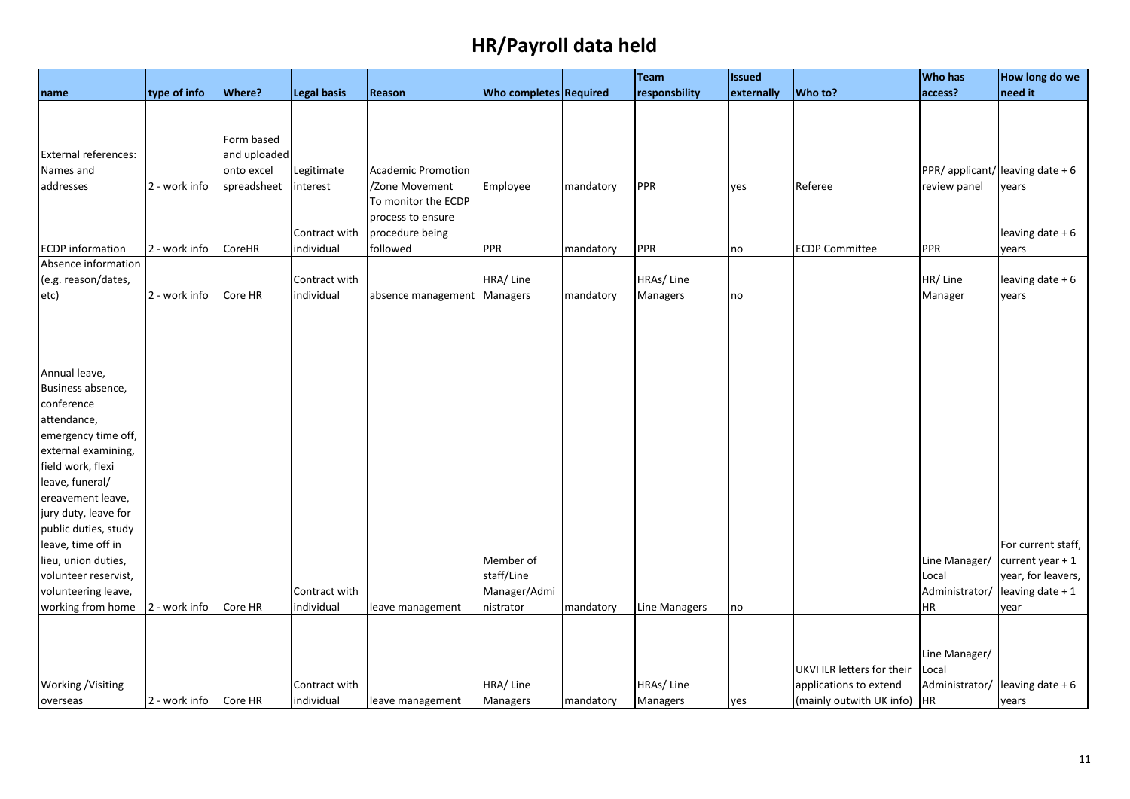|                                          |               |               |               |                             |                               |           | Team            | <b>Issued</b> |                               | <b>Who has</b> | How long do we                   |
|------------------------------------------|---------------|---------------|---------------|-----------------------------|-------------------------------|-----------|-----------------|---------------|-------------------------------|----------------|----------------------------------|
| name                                     | type of info  | <b>Where?</b> | Legal basis   | Reason                      | <b>Who completes Required</b> |           | responsbility   | externally    | Who to?                       | access?        | need it                          |
|                                          |               |               |               |                             |                               |           |                 |               |                               |                |                                  |
|                                          |               |               |               |                             |                               |           |                 |               |                               |                |                                  |
|                                          |               | Form based    |               |                             |                               |           |                 |               |                               |                |                                  |
| External references:                     |               | and uploaded  |               |                             |                               |           |                 |               |                               |                |                                  |
| Names and                                |               | onto excel    | Legitimate    | <b>Academic Promotion</b>   |                               |           |                 |               |                               |                | PPR/ applicant/ leaving date + 6 |
| addresses                                | 2 - work info | spreadsheet   | interest      | /Zone Movement              | Employee                      | mandatory | PPR             | yes           | Referee                       | review panel   | years                            |
|                                          |               |               |               | To monitor the ECDP         |                               |           |                 |               |                               |                |                                  |
|                                          |               |               |               | process to ensure           |                               |           |                 |               |                               |                |                                  |
|                                          |               |               | Contract with | procedure being             |                               |           |                 |               |                               |                | leaving date + 6                 |
| <b>ECDP</b> information                  | 2 - work info | <b>CoreHR</b> | individual    | followed                    | <b>PPR</b>                    | mandatory | PPR             | no            | <b>ECDP Committee</b>         | PPR            | years                            |
| Absence information                      |               |               |               |                             |                               |           |                 |               |                               |                |                                  |
| (e.g. reason/dates,                      |               |               | Contract with |                             | HRA/Line                      |           | HRAs/Line       |               |                               | HR/Line        | leaving date + 6                 |
| etc)                                     | 2 - work info | Core HR       | individual    | absence management Managers |                               | mandatory | Managers        | no            |                               | Manager        | years                            |
|                                          |               |               |               |                             |                               |           |                 |               |                               |                |                                  |
|                                          |               |               |               |                             |                               |           |                 |               |                               |                |                                  |
|                                          |               |               |               |                             |                               |           |                 |               |                               |                |                                  |
|                                          |               |               |               |                             |                               |           |                 |               |                               |                |                                  |
| Annual leave,                            |               |               |               |                             |                               |           |                 |               |                               |                |                                  |
| Business absence,                        |               |               |               |                             |                               |           |                 |               |                               |                |                                  |
| conference                               |               |               |               |                             |                               |           |                 |               |                               |                |                                  |
| attendance,                              |               |               |               |                             |                               |           |                 |               |                               |                |                                  |
| emergency time off,                      |               |               |               |                             |                               |           |                 |               |                               |                |                                  |
| external examining,<br>field work, flexi |               |               |               |                             |                               |           |                 |               |                               |                |                                  |
| leave, funeral/                          |               |               |               |                             |                               |           |                 |               |                               |                |                                  |
| ereavement leave,                        |               |               |               |                             |                               |           |                 |               |                               |                |                                  |
| jury duty, leave for                     |               |               |               |                             |                               |           |                 |               |                               |                |                                  |
| public duties, study                     |               |               |               |                             |                               |           |                 |               |                               |                |                                  |
| leave, time off in                       |               |               |               |                             |                               |           |                 |               |                               |                | For current staff,               |
| lieu, union duties,                      |               |               |               |                             | Member of                     |           |                 |               |                               | Line Manager/  | current year $+1$                |
| volunteer reservist,                     |               |               |               |                             | staff/Line                    |           |                 |               |                               | Local          | year, for leavers,               |
| volunteering leave,                      |               |               | Contract with |                             | Manager/Admi                  |           |                 |               |                               | Administrator/ | leaving date + 1                 |
| working from home                        | 2 - work info | Core HR       | individual    | leave management            | nistrator                     | mandatory | Line Managers   | no            |                               | <b>HR</b>      | year                             |
|                                          |               |               |               |                             |                               |           |                 |               |                               |                |                                  |
|                                          |               |               |               |                             |                               |           |                 |               |                               |                |                                  |
|                                          |               |               |               |                             |                               |           |                 |               |                               | Line Manager/  |                                  |
|                                          |               |               |               |                             |                               |           |                 |               | UKVI ILR letters for their    | Local          |                                  |
| <b>Working / Visiting</b>                |               |               | Contract with |                             | HRA/Line                      |           | HRAs/Line       |               | applications to extend        | Administrator/ | leaving date $+6$                |
| overseas                                 | 2 - work info | Core HR       | individual    | leave management            | Managers                      | mandatory | <b>Managers</b> | yes           | (mainly outwith UK info)   HR |                | years                            |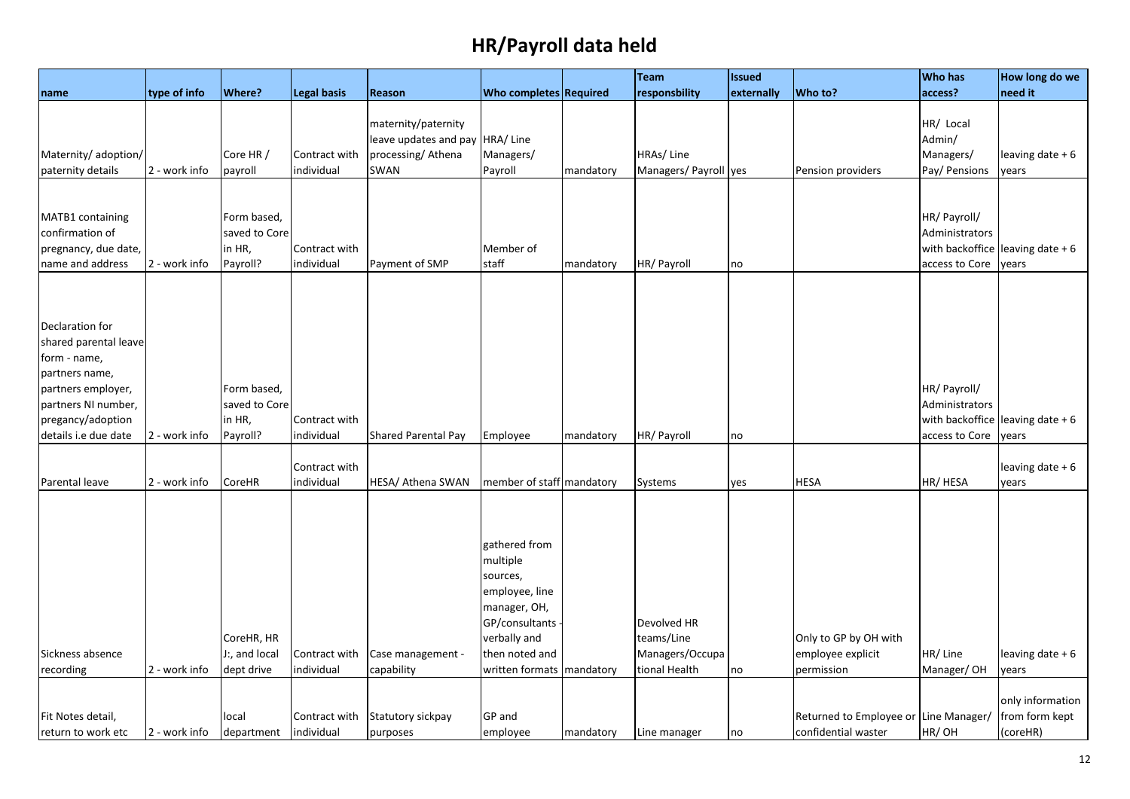|                                     |               |                              |                    |                                              |                                       |           | Team                  | <b>Issued</b> |                                       | <b>Who has</b>                 | How long do we                    |
|-------------------------------------|---------------|------------------------------|--------------------|----------------------------------------------|---------------------------------------|-----------|-----------------------|---------------|---------------------------------------|--------------------------------|-----------------------------------|
| name                                | type of info  | Where?                       | <b>Legal basis</b> | Reason                                       | Who completes Required                |           | responsbility         | externally    | Who to?                               | access?                        | need it                           |
|                                     |               |                              |                    | maternity/paternity<br>leave updates and pay | HRA/Line                              |           |                       |               |                                       | HR/ Local<br>Admin/            |                                   |
| Maternity/ adoption/                |               | Core HR /                    | Contract with      | processing/Athena                            | Managers/                             |           | HRAs/Line             |               |                                       | Managers/                      | leaving date $+6$                 |
| paternity details                   | 2 - work info | payroll                      | individual         | SWAN                                         | Payroll                               | mandatory | Managers/ Payroll yes |               | Pension providers                     | Pay/ Pensions                  | years                             |
|                                     |               |                              |                    |                                              |                                       |           |                       |               |                                       |                                |                                   |
| MATB1 containing<br>confirmation of |               | Form based,<br>saved to Core |                    |                                              |                                       |           |                       |               |                                       | HR/ Payroll/<br>Administrators |                                   |
| pregnancy, due date,                |               | in HR,                       | Contract with      |                                              | Member of                             |           |                       |               |                                       |                                | with backoffice leaving date $+6$ |
| name and address                    | 2 - work info | Payroll?                     | individual         | Payment of SMP                               | staff                                 | mandatory | HR/ Payroll           | no            |                                       | access to Core                 | years                             |
| Declaration for                     |               |                              |                    |                                              |                                       |           |                       |               |                                       |                                |                                   |
| shared parental leave               |               |                              |                    |                                              |                                       |           |                       |               |                                       |                                |                                   |
| form - name,                        |               |                              |                    |                                              |                                       |           |                       |               |                                       |                                |                                   |
| partners name,                      |               |                              |                    |                                              |                                       |           |                       |               |                                       |                                |                                   |
| partners employer,                  |               | Form based,                  |                    |                                              |                                       |           |                       |               |                                       | HR/ Payroll/                   |                                   |
| partners NI number,                 |               | saved to Core                |                    |                                              |                                       |           |                       |               |                                       | Administrators                 |                                   |
| pregancy/adoption                   |               | in HR,                       | Contract with      |                                              |                                       |           |                       |               |                                       |                                | with backoffice leaving date $+6$ |
| details i.e due date                | 2 - work info | Payroll?                     | individual         | Shared Parental Pay                          | Employee                              | mandatory | HR/ Payroll           | no            |                                       | access to Core                 | years                             |
|                                     |               |                              |                    |                                              |                                       |           |                       |               |                                       |                                |                                   |
|                                     |               |                              | Contract with      |                                              |                                       |           |                       |               |                                       |                                | leaving date $+6$                 |
| Parental leave                      | 2 - work info | CoreHR                       | individual         | HESA/ Athena SWAN                            | member of staff mandatory             |           | Systems               | yes           | <b>HESA</b>                           | HR/ HESA                       | years                             |
|                                     |               |                              |                    |                                              |                                       |           |                       |               |                                       |                                |                                   |
|                                     |               |                              |                    |                                              | gathered from<br>multiple<br>sources, |           |                       |               |                                       |                                |                                   |
|                                     |               |                              |                    |                                              | employee, line                        |           |                       |               |                                       |                                |                                   |
|                                     |               |                              |                    |                                              | manager, OH,                          |           |                       |               |                                       |                                |                                   |
|                                     |               |                              |                    |                                              | GP/consultants                        |           | Devolved HR           |               |                                       |                                |                                   |
|                                     |               | CoreHR, HR                   |                    |                                              | verbally and                          |           | teams/Line            |               | Only to GP by OH with                 |                                |                                   |
| Sickness absence                    |               | J:, and local                | Contract with      | Case management -                            | then noted and                        |           | Managers/Occupa       |               | employee explicit                     | HR/Line                        | leaving date $+6$                 |
| recording                           | 2 - work info | dept drive                   | individual         | capability                                   | written formats   mandatory           |           | tional Health         | no            | permission                            | Manager/OH                     | years                             |
|                                     |               |                              |                    |                                              |                                       |           |                       |               |                                       |                                | only information                  |
| Fit Notes detail,                   |               | local                        | Contract with      | Statutory sickpay                            | GP and                                |           |                       |               | Returned to Employee or Line Manager/ |                                | from form kept                    |
| return to work etc                  | 2 - work info | department                   | individual         | purposes                                     | employee                              | mandatory | Line manager          | no            | confidential waster                   | HR/OH                          | (coreHR)                          |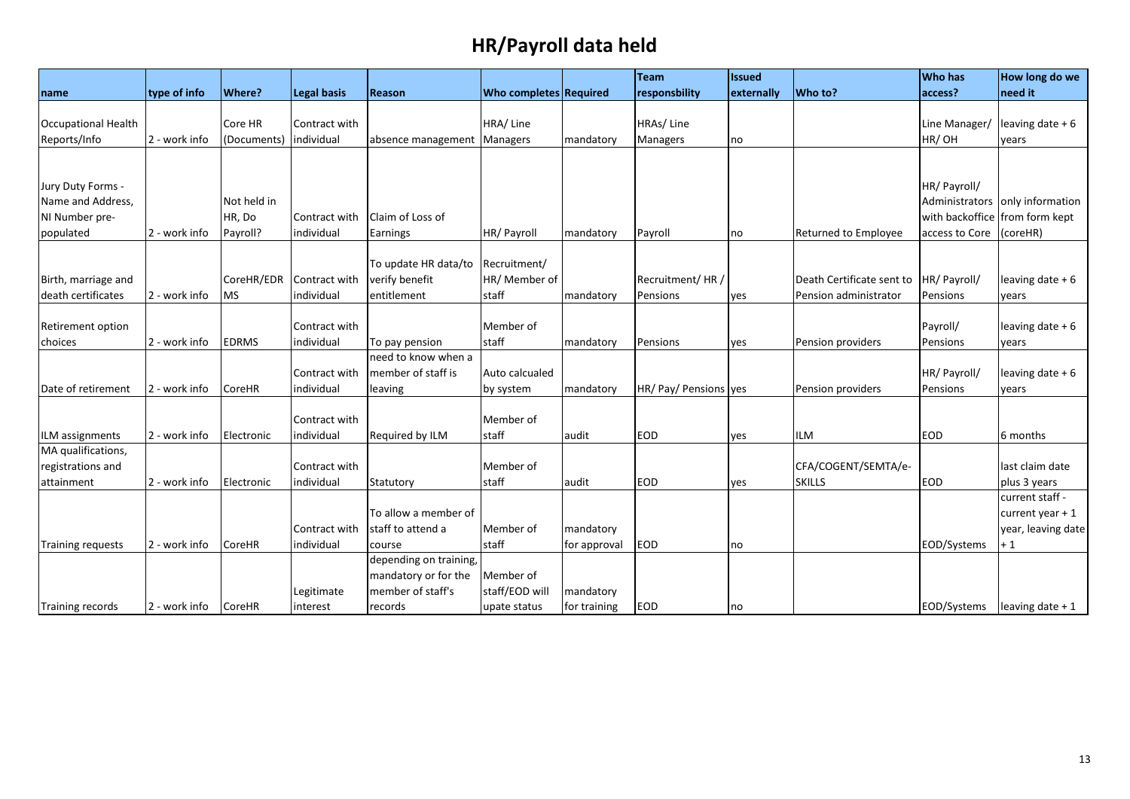|                          |               |               |                             |                                           |                               |              | <b>Team</b>           | <b>Issued</b> |                           | <b>Who has</b>                 | How long do we                  |
|--------------------------|---------------|---------------|-----------------------------|-------------------------------------------|-------------------------------|--------------|-----------------------|---------------|---------------------------|--------------------------------|---------------------------------|
| name                     | type of info  | <b>Where?</b> | <b>Legal basis</b>          | Reason                                    | <b>Who completes Required</b> |              | responsbility         | externally    | Who to?                   | access?                        | need it                         |
|                          |               |               |                             |                                           |                               |              |                       |               |                           |                                |                                 |
| Occupational Health      |               | Core HR       | Contract with               |                                           | HRA/Line                      |              | HRAs/Line             |               |                           | Line Manager/                  | leaving date $+6$               |
| Reports/Info             | 2 - work info | (Documents)   | individual                  | absence management                        | <b>Managers</b>               | mandatory    | Managers              | no            |                           | HR/OH                          | years                           |
|                          |               |               |                             |                                           |                               |              |                       |               |                           |                                |                                 |
|                          |               |               |                             |                                           |                               |              |                       |               |                           |                                |                                 |
| Jury Duty Forms -        |               |               |                             |                                           |                               |              |                       |               |                           | HR/ Payroll/                   |                                 |
| Name and Address,        |               | Not held in   |                             |                                           |                               |              |                       |               |                           |                                | Administrators only information |
| NI Number pre-           |               | HR, Do        | Contract with               | Claim of Loss of                          |                               |              |                       |               |                           | with backoffice from form kept |                                 |
| populated                | 2 - work info | Payroll?      | individual                  | Earnings                                  | HR/ Payroll                   | mandatory    | Payroll               | no            | Returned to Employee      | access to Core                 | (coreHR)                        |
|                          |               |               |                             |                                           |                               |              |                       |               |                           |                                |                                 |
|                          |               |               |                             | To update HR data/to                      | Recruitment/                  |              |                       |               |                           |                                |                                 |
| Birth, marriage and      |               | CoreHR/EDR    | Contract with               | verify benefit                            | HR/ Member of                 |              | Recruitment/HR /      |               | Death Certificate sent to | HR/ Payroll/                   | leaving date $+6$               |
| death certificates       | 2 - work info | <b>MS</b>     | individual                  | entitlement                               | staff                         | mandatory    | Pensions              | yes           | Pension administrator     | Pensions                       | years                           |
|                          |               |               |                             |                                           |                               |              |                       |               |                           |                                |                                 |
| Retirement option        |               |               | Contract with               |                                           | Member of                     |              |                       |               |                           | Payroll/                       | leaving date $+6$               |
| choices                  | 2 - work info | <b>EDRMS</b>  | individual                  | To pay pension                            | staff                         | mandatory    | Pensions              | yes           | Pension providers         | Pensions                       | vears                           |
|                          |               |               |                             | need to know when a                       |                               |              |                       |               |                           |                                |                                 |
|                          |               |               | Contract with               | member of staff is                        | Auto calcualed                |              |                       |               |                           | HR/ Payroll/                   | leaving date $+6$               |
| Date of retirement       | 2 - work info | <b>CoreHR</b> | individual                  | leaving                                   | by system                     | mandatory    | HR/ Pay/ Pensions yes |               | Pension providers         | Pensions                       | years                           |
|                          |               |               |                             |                                           |                               |              |                       |               |                           |                                |                                 |
|                          |               |               | Contract with               |                                           | Member of                     |              |                       |               |                           |                                |                                 |
| ILM assignments          | 2 - work info | Electronic    | individual                  | Required by ILM                           | staff                         | audit        | EOD                   | yes           | <b>ILM</b>                | <b>EOD</b>                     | 6 months                        |
| MA qualifications,       |               |               |                             |                                           |                               |              |                       |               |                           |                                |                                 |
| registrations and        | 2 - work info |               | Contract with<br>individual |                                           | Member of                     |              | EOD                   |               | CFA/COGENT/SEMTA/e-       |                                | last claim date                 |
| attainment               |               | Electronic    |                             | Statutory                                 | staff                         | audit        |                       | yes           | <b>SKILLS</b>             | EOD                            | plus 3 years                    |
|                          |               |               |                             | To allow a member of                      |                               |              |                       |               |                           |                                | current staff -                 |
|                          |               |               | Contract with               |                                           | Member of                     |              |                       |               |                           |                                | current year $+1$               |
|                          | 2 - work info | <b>CoreHR</b> | individual                  | staff to attend a                         | staff                         | mandatory    | EOD                   |               |                           |                                | year, leaving date              |
| <b>Training requests</b> |               |               |                             | course                                    |                               | for approval |                       | no            |                           | EOD/Systems                    | $+1$                            |
|                          |               |               |                             | depending on training,                    |                               |              |                       |               |                           |                                |                                 |
|                          |               |               | Legitimate                  | mandatory or for the<br>member of staff's | Member of<br>staff/EOD will   | mandatory    |                       |               |                           |                                |                                 |
|                          | 2 - work info |               |                             | records                                   |                               |              | EOD                   |               |                           | EOD/Systems                    |                                 |
| Training records         |               | <b>CoreHR</b> | interest                    |                                           | upate status                  | for training |                       | no            |                           |                                | leaving date $+1$               |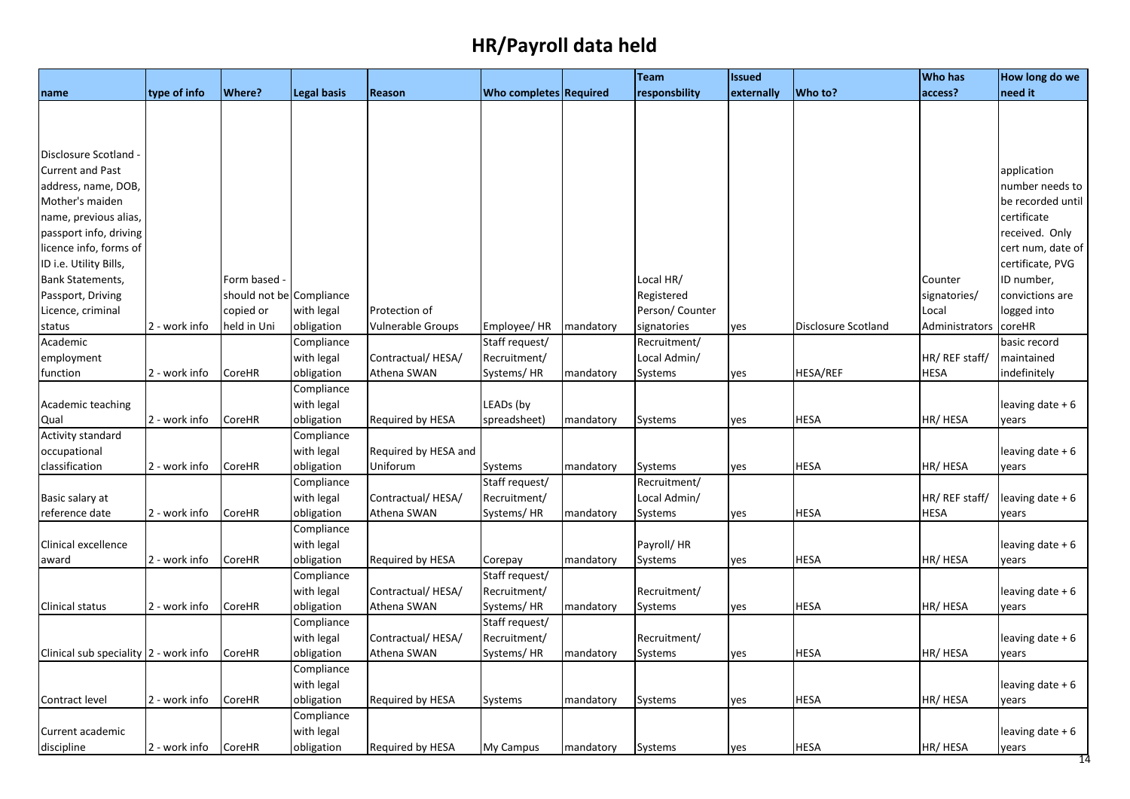|                                                                        |                                |                            |                                                                                                |                                                     |                                    |                                     | <b>Team</b>                   | <b>Issued</b>     |                            | <b>Who has</b>                  | How long do we                                                    |
|------------------------------------------------------------------------|--------------------------------|----------------------------|------------------------------------------------------------------------------------------------|-----------------------------------------------------|------------------------------------|-------------------------------------|-------------------------------|-------------------|----------------------------|---------------------------------|-------------------------------------------------------------------|
| name                                                                   | type of info                   | Where?                     | <b>Legal basis</b>                                                                             | Reason                                              | <b>Who completes Required</b>      |                                     | responsbility                 | externally        | Who to?                    | access?                         | need it                                                           |
|                                                                        |                                |                            |                                                                                                |                                                     |                                    |                                     |                               |                   |                            |                                 |                                                                   |
|                                                                        |                                |                            |                                                                                                |                                                     |                                    |                                     |                               |                   |                            |                                 |                                                                   |
|                                                                        |                                |                            |                                                                                                |                                                     |                                    |                                     |                               |                   |                            |                                 |                                                                   |
| Disclosure Scotland                                                    |                                |                            |                                                                                                |                                                     |                                    |                                     |                               |                   |                            |                                 |                                                                   |
| <b>Current and Past</b>                                                |                                |                            |                                                                                                |                                                     |                                    |                                     |                               |                   |                            |                                 | application                                                       |
| address, name, DOB,                                                    |                                |                            |                                                                                                |                                                     |                                    |                                     |                               |                   |                            |                                 | number needs to                                                   |
| Mother's maiden                                                        |                                |                            |                                                                                                |                                                     |                                    |                                     |                               |                   |                            |                                 | be recorded until                                                 |
| name, previous alias,                                                  |                                |                            |                                                                                                |                                                     |                                    |                                     |                               |                   |                            |                                 | certificate                                                       |
| passport info, driving                                                 |                                |                            |                                                                                                |                                                     |                                    |                                     |                               |                   |                            |                                 | received. Only                                                    |
| licence info, forms of                                                 |                                |                            |                                                                                                |                                                     |                                    |                                     |                               |                   |                            |                                 | cert num, date of                                                 |
| ID i.e. Utility Bills,                                                 |                                |                            |                                                                                                |                                                     |                                    |                                     |                               |                   |                            |                                 | certificate, PVG                                                  |
| Bank Statements,                                                       |                                | Form based -               |                                                                                                |                                                     |                                    |                                     | Local HR/                     |                   |                            | Counter                         | ID number,                                                        |
| Passport, Driving                                                      |                                | should not be Compliance   |                                                                                                |                                                     |                                    |                                     | Registered                    |                   |                            | signatories/                    | convictions are                                                   |
| Licence, criminal                                                      |                                | copied or                  | with legal                                                                                     | Protection of                                       |                                    |                                     | Person/ Counter               |                   |                            | Local                           | logged into                                                       |
| status                                                                 | 2 - work info                  | held in Uni                | obligation                                                                                     | <b>Vulnerable Groups</b>                            | Employee/ HR                       | mandatory                           | signatories                   | yes               | Disclosure Scotland        | Administrators                  | coreHR                                                            |
| Academic                                                               |                                |                            | Compliance                                                                                     |                                                     | Staff request/                     |                                     | Recruitment/                  |                   |                            |                                 | basic record                                                      |
| employment                                                             |                                |                            | with legal                                                                                     | Contractual/HESA/                                   | Recruitment/                       |                                     | Local Admin/                  |                   |                            | HR/ REF staff/                  | maintained                                                        |
| function                                                               | 2 - work info                  | CoreHR                     | obligation                                                                                     | Athena SWAN                                         | Systems/HR                         | mandatory                           | Systems                       | yes               | HESA/REF                   | <b>HESA</b>                     | indefinitely                                                      |
|                                                                        |                                |                            | Compliance                                                                                     |                                                     |                                    |                                     |                               |                   |                            |                                 |                                                                   |
| Academic teaching                                                      |                                |                            | with legal                                                                                     |                                                     | LEADs (by                          |                                     |                               |                   |                            |                                 | leaving date $+6$                                                 |
| Qual                                                                   | 2 - work info                  | CoreHR                     | obligation                                                                                     | Required by HESA                                    | spreadsheet)                       | mandatory                           | Systems                       | yes               | <b>HESA</b>                | HR/ HESA                        | years                                                             |
| <b>Activity standard</b>                                               |                                |                            | Compliance                                                                                     |                                                     |                                    |                                     |                               |                   |                            |                                 |                                                                   |
| occupational                                                           |                                |                            | with legal                                                                                     | Required by HESA and                                |                                    |                                     |                               |                   |                            |                                 | leaving date + 6                                                  |
| classification                                                         | 2 - work info                  | CoreHR                     | obligation                                                                                     | Uniforum                                            | Systems                            | mandatory                           | Systems                       | yes               | <b>HESA</b>                | HR/HESA                         | years                                                             |
|                                                                        |                                |                            | Compliance                                                                                     |                                                     | Staff request/                     |                                     | Recruitment/                  |                   |                            |                                 |                                                                   |
| Basic salary at                                                        |                                |                            | with legal                                                                                     | Contractual/HESA/                                   | Recruitment/                       |                                     | Local Admin/                  |                   |                            | HR/ REF staff/                  | leaving date + 6                                                  |
| reference date                                                         | 2 - work info                  | CoreHR                     | obligation                                                                                     | Athena SWAN                                         | Systems/HR                         | mandatory                           | Systems                       | yes               | HESA                       | <b>HESA</b>                     | years                                                             |
|                                                                        |                                |                            | Compliance                                                                                     |                                                     |                                    |                                     |                               |                   |                            |                                 |                                                                   |
| Clinical excellence                                                    |                                |                            | with legal                                                                                     |                                                     |                                    |                                     | Payroll/HR                    |                   |                            |                                 | leaving date $+6$                                                 |
| award                                                                  | 2 - work info                  | CoreHR                     | obligation                                                                                     | Required by HESA                                    | Corepay                            | mandatory                           | Systems                       | yes               | <b>HESA</b>                | HR/ HESA                        | years                                                             |
|                                                                        |                                |                            | Compliance                                                                                     |                                                     | Staff request/                     |                                     |                               |                   |                            |                                 |                                                                   |
|                                                                        |                                |                            | with legal                                                                                     | Contractual/HESA/                                   | Recruitment/                       |                                     | Recruitment/                  |                   |                            |                                 | leaving date $+6$                                                 |
| Clinical status                                                        | 2 - work info                  | CoreHR                     | obligation                                                                                     | Athena SWAN                                         | Systems/HR                         | mandatory                           | Systems                       | yes               | HESA                       | HR/ HESA                        | years                                                             |
|                                                                        |                                |                            | Compliance                                                                                     |                                                     | Staff request/                     |                                     |                               |                   |                            |                                 |                                                                   |
|                                                                        |                                |                            | with legal                                                                                     | Contractual/HESA/                                   | Recruitment/                       |                                     | Recruitment/                  |                   |                            |                                 | leaving date $+6$                                                 |
|                                                                        |                                |                            |                                                                                                |                                                     |                                    |                                     |                               |                   |                            |                                 |                                                                   |
|                                                                        |                                |                            |                                                                                                |                                                     |                                    |                                     |                               |                   |                            |                                 |                                                                   |
|                                                                        |                                |                            |                                                                                                |                                                     |                                    |                                     |                               |                   |                            |                                 |                                                                   |
|                                                                        |                                |                            |                                                                                                |                                                     |                                    |                                     |                               |                   |                            |                                 |                                                                   |
|                                                                        |                                |                            |                                                                                                |                                                     |                                    |                                     |                               |                   |                            |                                 |                                                                   |
| Current academic                                                       |                                |                            |                                                                                                |                                                     |                                    |                                     |                               |                   |                            |                                 |                                                                   |
|                                                                        |                                |                            |                                                                                                |                                                     |                                    |                                     |                               |                   | <b>HESA</b>                |                                 |                                                                   |
| Clinical sub speciality  2 - work info<br>Contract level<br>discipline | 2 - work info<br>2 - work info | CoreHR<br>CoreHR<br>CoreHR | obligation<br>Compliance<br>with legal<br>obligation<br>Compliance<br>with legal<br>obligation | Athena SWAN<br>Required by HESA<br>Required by HESA | Systems/HR<br>Systems<br>My Campus | mandatory<br>mandatory<br>mandatory | Systems<br>Systems<br>Systems | yes<br>yes<br>yes | <b>HESA</b><br><b>HESA</b> | HR/HESA<br>HR/ HESA<br>HR/ HESA | years<br>leaving date $+6$<br>years<br>leaving date $+6$<br>years |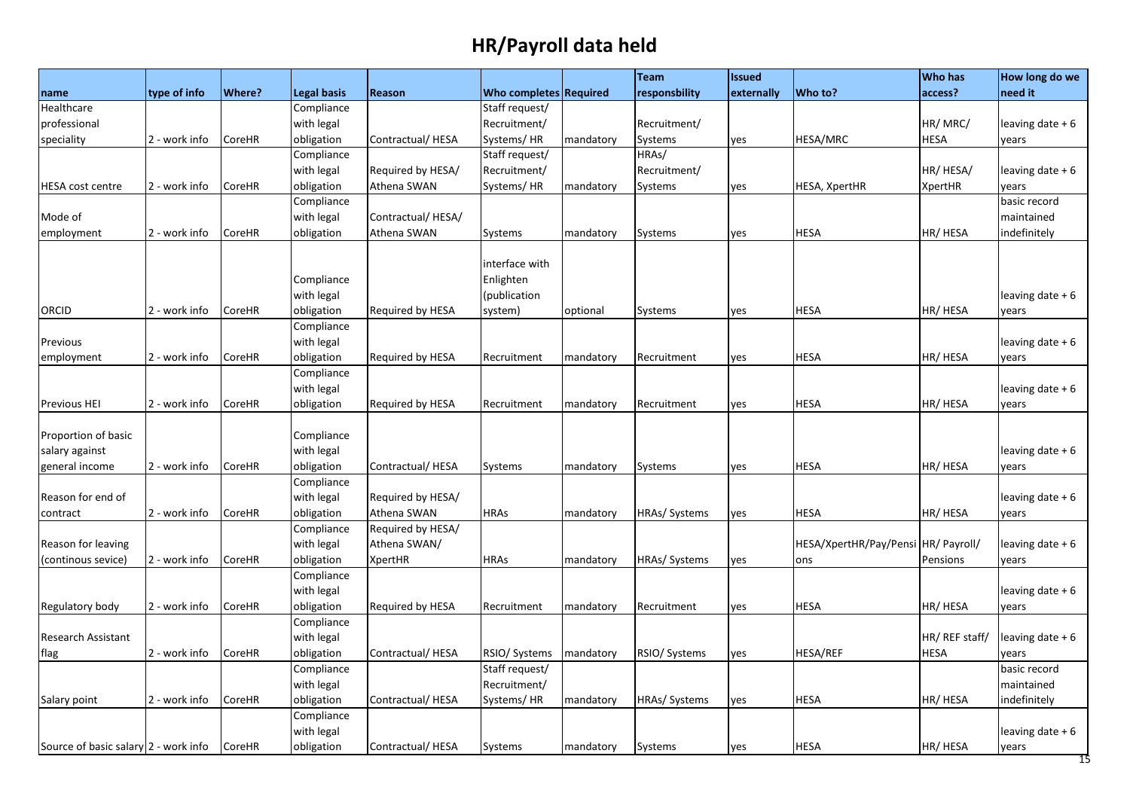| <b>Who completes Required</b><br>access?<br>need it<br>type of info<br>Where?<br><b>Legal basis</b><br>responsbility<br>externally<br>Who to?<br>Reason<br>name<br>Compliance<br>Staff request/<br>Healthcare<br>with legal<br>professional<br>Recruitment/<br>Recruitment/<br>HR/MRC/<br>leaving date + 6<br>obligation<br>Contractual/HESA<br>Systems/HR<br>HESA/MRC<br><b>HESA</b><br>2 - work info<br>CoreHR<br>mandatory<br>Systems<br>yes<br>years<br>Staff request/<br>HRAs/<br>Compliance<br>with legal<br>Recruitment/<br>HR/ HESA/<br>Required by HESA/<br>Recruitment/<br>leaving date + 6<br>obligation<br>Athena SWAN<br>2 - work info<br>Systems/HR<br><b>HESA, XpertHR</b><br><b>XpertHR</b><br><b>HESA</b> cost centre<br>CoreHR<br>mandatory<br>Systems<br>years<br>yes<br>basic record<br>Compliance<br>with legal<br>Contractual/HESA/<br>maintained<br>Mode of<br>Athena SWAN<br><b>HESA</b><br>HR/HESA<br>indefinitely<br>employment<br>2 - work info<br>CoreHR<br>obligation<br>Systems<br>Systems<br>mandatory<br>yes<br>interface with<br>Compliance<br>Enlighten<br>with legal<br>(publication<br>leaving date + 6<br>obligation<br>HR/ HESA<br>2 - work info<br>Required by HESA<br><b>HESA</b><br>ORCID<br>CoreHR<br>system)<br>optional<br>Systems<br>yes<br>years<br>Compliance<br>with legal<br>leaving date + 6<br>Previous<br>obligation<br><b>HESA</b><br>HR/ HESA<br>2 - work info<br>CoreHR<br>Required by HESA<br>Recruitment<br>employment<br>Recruitment<br>mandatory<br>yes<br>years<br>Compliance<br>with legal<br>leaving date + 6<br>2 - work info<br>CoreHR<br>obligation<br>Required by HESA<br><b>HESA</b><br>HR/HESA<br><b>Previous HEI</b><br>Recruitment<br>mandatory<br>Recruitment<br>yes<br>years<br>Compliance<br>Proportion of basic<br>with legal<br>salary against<br>leaving date $+6$<br>HR/HESA<br>obligation<br>Contractual/HESA<br><b>HESA</b><br>general income<br>2 - work info<br>CoreHR<br><b>Systems</b><br>Systems<br>yes<br>mandatory<br>years<br>Compliance<br>with legal<br>Reason for end of<br>Required by HESA/<br>leaving date + 6<br>2 - work info<br>CoreHR<br>obligation<br>Athena SWAN<br><b>HRAs</b><br>HRAs/ Systems<br><b>HESA</b><br>HR/HESA<br>contract<br>mandatory<br>yes<br>years<br>Compliance<br>Required by HESA/<br>with legal<br>Athena SWAN/<br>HESA/XpertHR/Pay/Pensi HR/ Payroll/<br>Reason for leaving<br>leaving date + 6<br>obligation<br><b>XpertHR</b><br><b>HRAs</b><br>HRAs/ Systems<br>(continous sevice)<br>2 - work info<br>CoreHR<br>yes<br>Pensions<br>mandatory<br>ons<br>years<br>Compliance<br>with legal<br>leaving date + 6<br>HR/ HESA<br>obligation<br>Required by HESA<br><b>HESA</b><br>2 - work info<br>CoreHR<br>Recruitment<br>mandatory<br>Recruitment<br>yes<br>years<br>Compliance<br>HR/ REF staff/<br>with legal<br>leaving date + 6<br><b>Research Assistant</b><br>obligation<br>RSIO/ Systems<br><b>HESA/REF</b><br><b>HESA</b><br>2 - work info<br>CoreHR<br>Contractual/HESA<br>RSIO/ Systems<br>mandatory<br>yes<br>years<br>Staff request/<br>basic record<br>Compliance<br>Recruitment/<br>with legal<br>maintained<br>HR/HESA<br>2 - work info<br>obligation<br>Contractual/HESA<br>Systems/HR<br>HRAs/ Systems<br><b>HESA</b><br>indefinitely<br>CoreHR<br>mandatory<br>yes<br>Compliance<br>with legal<br>leaving date + 6<br>Source of basic salary 2 - work info |                 |        |            |                  |         |           | <b>Team</b> | <b>Issued</b> |             | <b>Who has</b> | How long do we           |
|---------------------------------------------------------------------------------------------------------------------------------------------------------------------------------------------------------------------------------------------------------------------------------------------------------------------------------------------------------------------------------------------------------------------------------------------------------------------------------------------------------------------------------------------------------------------------------------------------------------------------------------------------------------------------------------------------------------------------------------------------------------------------------------------------------------------------------------------------------------------------------------------------------------------------------------------------------------------------------------------------------------------------------------------------------------------------------------------------------------------------------------------------------------------------------------------------------------------------------------------------------------------------------------------------------------------------------------------------------------------------------------------------------------------------------------------------------------------------------------------------------------------------------------------------------------------------------------------------------------------------------------------------------------------------------------------------------------------------------------------------------------------------------------------------------------------------------------------------------------------------------------------------------------------------------------------------------------------------------------------------------------------------------------------------------------------------------------------------------------------------------------------------------------------------------------------------------------------------------------------------------------------------------------------------------------------------------------------------------------------------------------------------------------------------------------------------------------------------------------------------------------------------------------------------------------------------------------------------------------------------------------------------------------------------------------------------------------------------------------------------------------------------------------------------------------------------------------------------------------------------------------------------------------------------------------------------------------------------------------------------------------------------------------------------------------------------------------------------------------------------------------------------------------------------------------------------------------------------------------------------------------------------------------------------------------------------------------------------------------------------------------------------------|-----------------|--------|------------|------------------|---------|-----------|-------------|---------------|-------------|----------------|--------------------------|
|                                                                                                                                                                                                                                                                                                                                                                                                                                                                                                                                                                                                                                                                                                                                                                                                                                                                                                                                                                                                                                                                                                                                                                                                                                                                                                                                                                                                                                                                                                                                                                                                                                                                                                                                                                                                                                                                                                                                                                                                                                                                                                                                                                                                                                                                                                                                                                                                                                                                                                                                                                                                                                                                                                                                                                                                                                                                                                                                                                                                                                                                                                                                                                                                                                                                                                                                                                                                         |                 |        |            |                  |         |           |             |               |             |                |                          |
|                                                                                                                                                                                                                                                                                                                                                                                                                                                                                                                                                                                                                                                                                                                                                                                                                                                                                                                                                                                                                                                                                                                                                                                                                                                                                                                                                                                                                                                                                                                                                                                                                                                                                                                                                                                                                                                                                                                                                                                                                                                                                                                                                                                                                                                                                                                                                                                                                                                                                                                                                                                                                                                                                                                                                                                                                                                                                                                                                                                                                                                                                                                                                                                                                                                                                                                                                                                                         |                 |        |            |                  |         |           |             |               |             |                |                          |
|                                                                                                                                                                                                                                                                                                                                                                                                                                                                                                                                                                                                                                                                                                                                                                                                                                                                                                                                                                                                                                                                                                                                                                                                                                                                                                                                                                                                                                                                                                                                                                                                                                                                                                                                                                                                                                                                                                                                                                                                                                                                                                                                                                                                                                                                                                                                                                                                                                                                                                                                                                                                                                                                                                                                                                                                                                                                                                                                                                                                                                                                                                                                                                                                                                                                                                                                                                                                         |                 |        |            |                  |         |           |             |               |             |                |                          |
|                                                                                                                                                                                                                                                                                                                                                                                                                                                                                                                                                                                                                                                                                                                                                                                                                                                                                                                                                                                                                                                                                                                                                                                                                                                                                                                                                                                                                                                                                                                                                                                                                                                                                                                                                                                                                                                                                                                                                                                                                                                                                                                                                                                                                                                                                                                                                                                                                                                                                                                                                                                                                                                                                                                                                                                                                                                                                                                                                                                                                                                                                                                                                                                                                                                                                                                                                                                                         | speciality      |        |            |                  |         |           |             |               |             |                |                          |
|                                                                                                                                                                                                                                                                                                                                                                                                                                                                                                                                                                                                                                                                                                                                                                                                                                                                                                                                                                                                                                                                                                                                                                                                                                                                                                                                                                                                                                                                                                                                                                                                                                                                                                                                                                                                                                                                                                                                                                                                                                                                                                                                                                                                                                                                                                                                                                                                                                                                                                                                                                                                                                                                                                                                                                                                                                                                                                                                                                                                                                                                                                                                                                                                                                                                                                                                                                                                         |                 |        |            |                  |         |           |             |               |             |                |                          |
|                                                                                                                                                                                                                                                                                                                                                                                                                                                                                                                                                                                                                                                                                                                                                                                                                                                                                                                                                                                                                                                                                                                                                                                                                                                                                                                                                                                                                                                                                                                                                                                                                                                                                                                                                                                                                                                                                                                                                                                                                                                                                                                                                                                                                                                                                                                                                                                                                                                                                                                                                                                                                                                                                                                                                                                                                                                                                                                                                                                                                                                                                                                                                                                                                                                                                                                                                                                                         |                 |        |            |                  |         |           |             |               |             |                |                          |
|                                                                                                                                                                                                                                                                                                                                                                                                                                                                                                                                                                                                                                                                                                                                                                                                                                                                                                                                                                                                                                                                                                                                                                                                                                                                                                                                                                                                                                                                                                                                                                                                                                                                                                                                                                                                                                                                                                                                                                                                                                                                                                                                                                                                                                                                                                                                                                                                                                                                                                                                                                                                                                                                                                                                                                                                                                                                                                                                                                                                                                                                                                                                                                                                                                                                                                                                                                                                         |                 |        |            |                  |         |           |             |               |             |                |                          |
|                                                                                                                                                                                                                                                                                                                                                                                                                                                                                                                                                                                                                                                                                                                                                                                                                                                                                                                                                                                                                                                                                                                                                                                                                                                                                                                                                                                                                                                                                                                                                                                                                                                                                                                                                                                                                                                                                                                                                                                                                                                                                                                                                                                                                                                                                                                                                                                                                                                                                                                                                                                                                                                                                                                                                                                                                                                                                                                                                                                                                                                                                                                                                                                                                                                                                                                                                                                                         |                 |        |            |                  |         |           |             |               |             |                |                          |
|                                                                                                                                                                                                                                                                                                                                                                                                                                                                                                                                                                                                                                                                                                                                                                                                                                                                                                                                                                                                                                                                                                                                                                                                                                                                                                                                                                                                                                                                                                                                                                                                                                                                                                                                                                                                                                                                                                                                                                                                                                                                                                                                                                                                                                                                                                                                                                                                                                                                                                                                                                                                                                                                                                                                                                                                                                                                                                                                                                                                                                                                                                                                                                                                                                                                                                                                                                                                         |                 |        |            |                  |         |           |             |               |             |                |                          |
|                                                                                                                                                                                                                                                                                                                                                                                                                                                                                                                                                                                                                                                                                                                                                                                                                                                                                                                                                                                                                                                                                                                                                                                                                                                                                                                                                                                                                                                                                                                                                                                                                                                                                                                                                                                                                                                                                                                                                                                                                                                                                                                                                                                                                                                                                                                                                                                                                                                                                                                                                                                                                                                                                                                                                                                                                                                                                                                                                                                                                                                                                                                                                                                                                                                                                                                                                                                                         |                 |        |            |                  |         |           |             |               |             |                |                          |
|                                                                                                                                                                                                                                                                                                                                                                                                                                                                                                                                                                                                                                                                                                                                                                                                                                                                                                                                                                                                                                                                                                                                                                                                                                                                                                                                                                                                                                                                                                                                                                                                                                                                                                                                                                                                                                                                                                                                                                                                                                                                                                                                                                                                                                                                                                                                                                                                                                                                                                                                                                                                                                                                                                                                                                                                                                                                                                                                                                                                                                                                                                                                                                                                                                                                                                                                                                                                         |                 |        |            |                  |         |           |             |               |             |                |                          |
|                                                                                                                                                                                                                                                                                                                                                                                                                                                                                                                                                                                                                                                                                                                                                                                                                                                                                                                                                                                                                                                                                                                                                                                                                                                                                                                                                                                                                                                                                                                                                                                                                                                                                                                                                                                                                                                                                                                                                                                                                                                                                                                                                                                                                                                                                                                                                                                                                                                                                                                                                                                                                                                                                                                                                                                                                                                                                                                                                                                                                                                                                                                                                                                                                                                                                                                                                                                                         |                 |        |            |                  |         |           |             |               |             |                |                          |
|                                                                                                                                                                                                                                                                                                                                                                                                                                                                                                                                                                                                                                                                                                                                                                                                                                                                                                                                                                                                                                                                                                                                                                                                                                                                                                                                                                                                                                                                                                                                                                                                                                                                                                                                                                                                                                                                                                                                                                                                                                                                                                                                                                                                                                                                                                                                                                                                                                                                                                                                                                                                                                                                                                                                                                                                                                                                                                                                                                                                                                                                                                                                                                                                                                                                                                                                                                                                         |                 |        |            |                  |         |           |             |               |             |                |                          |
|                                                                                                                                                                                                                                                                                                                                                                                                                                                                                                                                                                                                                                                                                                                                                                                                                                                                                                                                                                                                                                                                                                                                                                                                                                                                                                                                                                                                                                                                                                                                                                                                                                                                                                                                                                                                                                                                                                                                                                                                                                                                                                                                                                                                                                                                                                                                                                                                                                                                                                                                                                                                                                                                                                                                                                                                                                                                                                                                                                                                                                                                                                                                                                                                                                                                                                                                                                                                         |                 |        |            |                  |         |           |             |               |             |                |                          |
|                                                                                                                                                                                                                                                                                                                                                                                                                                                                                                                                                                                                                                                                                                                                                                                                                                                                                                                                                                                                                                                                                                                                                                                                                                                                                                                                                                                                                                                                                                                                                                                                                                                                                                                                                                                                                                                                                                                                                                                                                                                                                                                                                                                                                                                                                                                                                                                                                                                                                                                                                                                                                                                                                                                                                                                                                                                                                                                                                                                                                                                                                                                                                                                                                                                                                                                                                                                                         |                 |        |            |                  |         |           |             |               |             |                |                          |
|                                                                                                                                                                                                                                                                                                                                                                                                                                                                                                                                                                                                                                                                                                                                                                                                                                                                                                                                                                                                                                                                                                                                                                                                                                                                                                                                                                                                                                                                                                                                                                                                                                                                                                                                                                                                                                                                                                                                                                                                                                                                                                                                                                                                                                                                                                                                                                                                                                                                                                                                                                                                                                                                                                                                                                                                                                                                                                                                                                                                                                                                                                                                                                                                                                                                                                                                                                                                         |                 |        |            |                  |         |           |             |               |             |                |                          |
|                                                                                                                                                                                                                                                                                                                                                                                                                                                                                                                                                                                                                                                                                                                                                                                                                                                                                                                                                                                                                                                                                                                                                                                                                                                                                                                                                                                                                                                                                                                                                                                                                                                                                                                                                                                                                                                                                                                                                                                                                                                                                                                                                                                                                                                                                                                                                                                                                                                                                                                                                                                                                                                                                                                                                                                                                                                                                                                                                                                                                                                                                                                                                                                                                                                                                                                                                                                                         |                 |        |            |                  |         |           |             |               |             |                |                          |
|                                                                                                                                                                                                                                                                                                                                                                                                                                                                                                                                                                                                                                                                                                                                                                                                                                                                                                                                                                                                                                                                                                                                                                                                                                                                                                                                                                                                                                                                                                                                                                                                                                                                                                                                                                                                                                                                                                                                                                                                                                                                                                                                                                                                                                                                                                                                                                                                                                                                                                                                                                                                                                                                                                                                                                                                                                                                                                                                                                                                                                                                                                                                                                                                                                                                                                                                                                                                         |                 |        |            |                  |         |           |             |               |             |                |                          |
|                                                                                                                                                                                                                                                                                                                                                                                                                                                                                                                                                                                                                                                                                                                                                                                                                                                                                                                                                                                                                                                                                                                                                                                                                                                                                                                                                                                                                                                                                                                                                                                                                                                                                                                                                                                                                                                                                                                                                                                                                                                                                                                                                                                                                                                                                                                                                                                                                                                                                                                                                                                                                                                                                                                                                                                                                                                                                                                                                                                                                                                                                                                                                                                                                                                                                                                                                                                                         |                 |        |            |                  |         |           |             |               |             |                |                          |
|                                                                                                                                                                                                                                                                                                                                                                                                                                                                                                                                                                                                                                                                                                                                                                                                                                                                                                                                                                                                                                                                                                                                                                                                                                                                                                                                                                                                                                                                                                                                                                                                                                                                                                                                                                                                                                                                                                                                                                                                                                                                                                                                                                                                                                                                                                                                                                                                                                                                                                                                                                                                                                                                                                                                                                                                                                                                                                                                                                                                                                                                                                                                                                                                                                                                                                                                                                                                         |                 |        |            |                  |         |           |             |               |             |                |                          |
|                                                                                                                                                                                                                                                                                                                                                                                                                                                                                                                                                                                                                                                                                                                                                                                                                                                                                                                                                                                                                                                                                                                                                                                                                                                                                                                                                                                                                                                                                                                                                                                                                                                                                                                                                                                                                                                                                                                                                                                                                                                                                                                                                                                                                                                                                                                                                                                                                                                                                                                                                                                                                                                                                                                                                                                                                                                                                                                                                                                                                                                                                                                                                                                                                                                                                                                                                                                                         |                 |        |            |                  |         |           |             |               |             |                |                          |
|                                                                                                                                                                                                                                                                                                                                                                                                                                                                                                                                                                                                                                                                                                                                                                                                                                                                                                                                                                                                                                                                                                                                                                                                                                                                                                                                                                                                                                                                                                                                                                                                                                                                                                                                                                                                                                                                                                                                                                                                                                                                                                                                                                                                                                                                                                                                                                                                                                                                                                                                                                                                                                                                                                                                                                                                                                                                                                                                                                                                                                                                                                                                                                                                                                                                                                                                                                                                         |                 |        |            |                  |         |           |             |               |             |                |                          |
|                                                                                                                                                                                                                                                                                                                                                                                                                                                                                                                                                                                                                                                                                                                                                                                                                                                                                                                                                                                                                                                                                                                                                                                                                                                                                                                                                                                                                                                                                                                                                                                                                                                                                                                                                                                                                                                                                                                                                                                                                                                                                                                                                                                                                                                                                                                                                                                                                                                                                                                                                                                                                                                                                                                                                                                                                                                                                                                                                                                                                                                                                                                                                                                                                                                                                                                                                                                                         |                 |        |            |                  |         |           |             |               |             |                |                          |
|                                                                                                                                                                                                                                                                                                                                                                                                                                                                                                                                                                                                                                                                                                                                                                                                                                                                                                                                                                                                                                                                                                                                                                                                                                                                                                                                                                                                                                                                                                                                                                                                                                                                                                                                                                                                                                                                                                                                                                                                                                                                                                                                                                                                                                                                                                                                                                                                                                                                                                                                                                                                                                                                                                                                                                                                                                                                                                                                                                                                                                                                                                                                                                                                                                                                                                                                                                                                         |                 |        |            |                  |         |           |             |               |             |                |                          |
|                                                                                                                                                                                                                                                                                                                                                                                                                                                                                                                                                                                                                                                                                                                                                                                                                                                                                                                                                                                                                                                                                                                                                                                                                                                                                                                                                                                                                                                                                                                                                                                                                                                                                                                                                                                                                                                                                                                                                                                                                                                                                                                                                                                                                                                                                                                                                                                                                                                                                                                                                                                                                                                                                                                                                                                                                                                                                                                                                                                                                                                                                                                                                                                                                                                                                                                                                                                                         |                 |        |            |                  |         |           |             |               |             |                |                          |
|                                                                                                                                                                                                                                                                                                                                                                                                                                                                                                                                                                                                                                                                                                                                                                                                                                                                                                                                                                                                                                                                                                                                                                                                                                                                                                                                                                                                                                                                                                                                                                                                                                                                                                                                                                                                                                                                                                                                                                                                                                                                                                                                                                                                                                                                                                                                                                                                                                                                                                                                                                                                                                                                                                                                                                                                                                                                                                                                                                                                                                                                                                                                                                                                                                                                                                                                                                                                         |                 |        |            |                  |         |           |             |               |             |                |                          |
|                                                                                                                                                                                                                                                                                                                                                                                                                                                                                                                                                                                                                                                                                                                                                                                                                                                                                                                                                                                                                                                                                                                                                                                                                                                                                                                                                                                                                                                                                                                                                                                                                                                                                                                                                                                                                                                                                                                                                                                                                                                                                                                                                                                                                                                                                                                                                                                                                                                                                                                                                                                                                                                                                                                                                                                                                                                                                                                                                                                                                                                                                                                                                                                                                                                                                                                                                                                                         |                 |        |            |                  |         |           |             |               |             |                |                          |
|                                                                                                                                                                                                                                                                                                                                                                                                                                                                                                                                                                                                                                                                                                                                                                                                                                                                                                                                                                                                                                                                                                                                                                                                                                                                                                                                                                                                                                                                                                                                                                                                                                                                                                                                                                                                                                                                                                                                                                                                                                                                                                                                                                                                                                                                                                                                                                                                                                                                                                                                                                                                                                                                                                                                                                                                                                                                                                                                                                                                                                                                                                                                                                                                                                                                                                                                                                                                         |                 |        |            |                  |         |           |             |               |             |                |                          |
|                                                                                                                                                                                                                                                                                                                                                                                                                                                                                                                                                                                                                                                                                                                                                                                                                                                                                                                                                                                                                                                                                                                                                                                                                                                                                                                                                                                                                                                                                                                                                                                                                                                                                                                                                                                                                                                                                                                                                                                                                                                                                                                                                                                                                                                                                                                                                                                                                                                                                                                                                                                                                                                                                                                                                                                                                                                                                                                                                                                                                                                                                                                                                                                                                                                                                                                                                                                                         |                 |        |            |                  |         |           |             |               |             |                |                          |
|                                                                                                                                                                                                                                                                                                                                                                                                                                                                                                                                                                                                                                                                                                                                                                                                                                                                                                                                                                                                                                                                                                                                                                                                                                                                                                                                                                                                                                                                                                                                                                                                                                                                                                                                                                                                                                                                                                                                                                                                                                                                                                                                                                                                                                                                                                                                                                                                                                                                                                                                                                                                                                                                                                                                                                                                                                                                                                                                                                                                                                                                                                                                                                                                                                                                                                                                                                                                         |                 |        |            |                  |         |           |             |               |             |                |                          |
|                                                                                                                                                                                                                                                                                                                                                                                                                                                                                                                                                                                                                                                                                                                                                                                                                                                                                                                                                                                                                                                                                                                                                                                                                                                                                                                                                                                                                                                                                                                                                                                                                                                                                                                                                                                                                                                                                                                                                                                                                                                                                                                                                                                                                                                                                                                                                                                                                                                                                                                                                                                                                                                                                                                                                                                                                                                                                                                                                                                                                                                                                                                                                                                                                                                                                                                                                                                                         |                 |        |            |                  |         |           |             |               |             |                |                          |
|                                                                                                                                                                                                                                                                                                                                                                                                                                                                                                                                                                                                                                                                                                                                                                                                                                                                                                                                                                                                                                                                                                                                                                                                                                                                                                                                                                                                                                                                                                                                                                                                                                                                                                                                                                                                                                                                                                                                                                                                                                                                                                                                                                                                                                                                                                                                                                                                                                                                                                                                                                                                                                                                                                                                                                                                                                                                                                                                                                                                                                                                                                                                                                                                                                                                                                                                                                                                         |                 |        |            |                  |         |           |             |               |             |                |                          |
|                                                                                                                                                                                                                                                                                                                                                                                                                                                                                                                                                                                                                                                                                                                                                                                                                                                                                                                                                                                                                                                                                                                                                                                                                                                                                                                                                                                                                                                                                                                                                                                                                                                                                                                                                                                                                                                                                                                                                                                                                                                                                                                                                                                                                                                                                                                                                                                                                                                                                                                                                                                                                                                                                                                                                                                                                                                                                                                                                                                                                                                                                                                                                                                                                                                                                                                                                                                                         | Regulatory body |        |            |                  |         |           |             |               |             |                |                          |
|                                                                                                                                                                                                                                                                                                                                                                                                                                                                                                                                                                                                                                                                                                                                                                                                                                                                                                                                                                                                                                                                                                                                                                                                                                                                                                                                                                                                                                                                                                                                                                                                                                                                                                                                                                                                                                                                                                                                                                                                                                                                                                                                                                                                                                                                                                                                                                                                                                                                                                                                                                                                                                                                                                                                                                                                                                                                                                                                                                                                                                                                                                                                                                                                                                                                                                                                                                                                         |                 |        |            |                  |         |           |             |               |             |                |                          |
|                                                                                                                                                                                                                                                                                                                                                                                                                                                                                                                                                                                                                                                                                                                                                                                                                                                                                                                                                                                                                                                                                                                                                                                                                                                                                                                                                                                                                                                                                                                                                                                                                                                                                                                                                                                                                                                                                                                                                                                                                                                                                                                                                                                                                                                                                                                                                                                                                                                                                                                                                                                                                                                                                                                                                                                                                                                                                                                                                                                                                                                                                                                                                                                                                                                                                                                                                                                                         |                 |        |            |                  |         |           |             |               |             |                |                          |
|                                                                                                                                                                                                                                                                                                                                                                                                                                                                                                                                                                                                                                                                                                                                                                                                                                                                                                                                                                                                                                                                                                                                                                                                                                                                                                                                                                                                                                                                                                                                                                                                                                                                                                                                                                                                                                                                                                                                                                                                                                                                                                                                                                                                                                                                                                                                                                                                                                                                                                                                                                                                                                                                                                                                                                                                                                                                                                                                                                                                                                                                                                                                                                                                                                                                                                                                                                                                         | flag            |        |            |                  |         |           |             |               |             |                |                          |
|                                                                                                                                                                                                                                                                                                                                                                                                                                                                                                                                                                                                                                                                                                                                                                                                                                                                                                                                                                                                                                                                                                                                                                                                                                                                                                                                                                                                                                                                                                                                                                                                                                                                                                                                                                                                                                                                                                                                                                                                                                                                                                                                                                                                                                                                                                                                                                                                                                                                                                                                                                                                                                                                                                                                                                                                                                                                                                                                                                                                                                                                                                                                                                                                                                                                                                                                                                                                         |                 |        |            |                  |         |           |             |               |             |                |                          |
|                                                                                                                                                                                                                                                                                                                                                                                                                                                                                                                                                                                                                                                                                                                                                                                                                                                                                                                                                                                                                                                                                                                                                                                                                                                                                                                                                                                                                                                                                                                                                                                                                                                                                                                                                                                                                                                                                                                                                                                                                                                                                                                                                                                                                                                                                                                                                                                                                                                                                                                                                                                                                                                                                                                                                                                                                                                                                                                                                                                                                                                                                                                                                                                                                                                                                                                                                                                                         |                 |        |            |                  |         |           |             |               |             |                |                          |
|                                                                                                                                                                                                                                                                                                                                                                                                                                                                                                                                                                                                                                                                                                                                                                                                                                                                                                                                                                                                                                                                                                                                                                                                                                                                                                                                                                                                                                                                                                                                                                                                                                                                                                                                                                                                                                                                                                                                                                                                                                                                                                                                                                                                                                                                                                                                                                                                                                                                                                                                                                                                                                                                                                                                                                                                                                                                                                                                                                                                                                                                                                                                                                                                                                                                                                                                                                                                         | Salary point    |        |            |                  |         |           |             |               |             |                |                          |
|                                                                                                                                                                                                                                                                                                                                                                                                                                                                                                                                                                                                                                                                                                                                                                                                                                                                                                                                                                                                                                                                                                                                                                                                                                                                                                                                                                                                                                                                                                                                                                                                                                                                                                                                                                                                                                                                                                                                                                                                                                                                                                                                                                                                                                                                                                                                                                                                                                                                                                                                                                                                                                                                                                                                                                                                                                                                                                                                                                                                                                                                                                                                                                                                                                                                                                                                                                                                         |                 |        |            |                  |         |           |             |               |             |                |                          |
|                                                                                                                                                                                                                                                                                                                                                                                                                                                                                                                                                                                                                                                                                                                                                                                                                                                                                                                                                                                                                                                                                                                                                                                                                                                                                                                                                                                                                                                                                                                                                                                                                                                                                                                                                                                                                                                                                                                                                                                                                                                                                                                                                                                                                                                                                                                                                                                                                                                                                                                                                                                                                                                                                                                                                                                                                                                                                                                                                                                                                                                                                                                                                                                                                                                                                                                                                                                                         |                 |        |            |                  |         |           |             |               |             |                |                          |
|                                                                                                                                                                                                                                                                                                                                                                                                                                                                                                                                                                                                                                                                                                                                                                                                                                                                                                                                                                                                                                                                                                                                                                                                                                                                                                                                                                                                                                                                                                                                                                                                                                                                                                                                                                                                                                                                                                                                                                                                                                                                                                                                                                                                                                                                                                                                                                                                                                                                                                                                                                                                                                                                                                                                                                                                                                                                                                                                                                                                                                                                                                                                                                                                                                                                                                                                                                                                         |                 | CoreHR | obligation | Contractual/HESA | Systems | mandatory | Systems     | yes           | <b>HESA</b> | HR/ HESA       | years<br>$\overline{15}$ |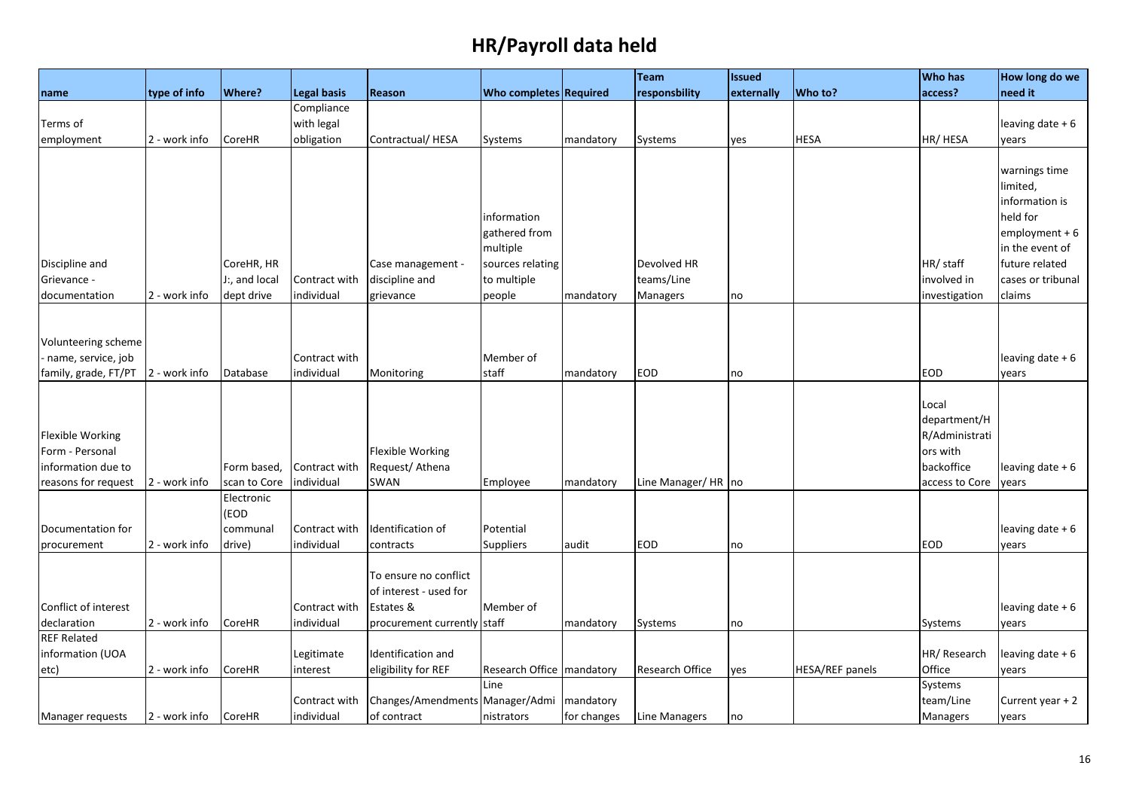|                         |               |                            |                             |                                           |                             |             | Team                   | <b>Issued</b> |                 | <b>Who has</b>         | How long do we    |
|-------------------------|---------------|----------------------------|-----------------------------|-------------------------------------------|-----------------------------|-------------|------------------------|---------------|-----------------|------------------------|-------------------|
| name                    | type of info  | <b>Where?</b>              | <b>Legal basis</b>          | Reason                                    | Who completes Required      |             | responsbility          | externally    | Who to?         | access?                | need it           |
|                         |               |                            | Compliance                  |                                           |                             |             |                        |               |                 |                        |                   |
| Terms of                |               |                            | with legal                  |                                           |                             |             |                        |               |                 |                        | leaving date + 6  |
| employment              | 2 - work info | CoreHR                     | obligation                  | Contractual/HESA                          | Systems                     | mandatory   | Systems                | yes           | <b>HESA</b>     | HR/HESA                | years             |
|                         |               |                            |                             |                                           |                             |             |                        |               |                 |                        |                   |
|                         |               |                            |                             |                                           |                             |             |                        |               |                 |                        | warnings time     |
|                         |               |                            |                             |                                           |                             |             |                        |               |                 |                        | limited,          |
|                         |               |                            |                             |                                           |                             |             |                        |               |                 |                        | information is    |
|                         |               |                            |                             |                                           | information                 |             |                        |               |                 |                        | held for          |
|                         |               |                            |                             |                                           | gathered from               |             |                        |               |                 |                        | $employment + 6$  |
|                         |               |                            |                             |                                           | multiple                    |             |                        |               |                 |                        | in the event of   |
| Discipline and          |               | CoreHR, HR                 |                             | Case management -                         | sources relating            |             | Devolved HR            |               |                 | HR/ staff              | future related    |
| Grievance -             |               | J:, and local              | Contract with               | discipline and                            | to multiple                 |             | teams/Line             |               |                 | involved in            | cases or tribunal |
| documentation           | 2 - work info | dept drive                 | individual                  | grievance                                 | people                      | mandatory   | <b>Managers</b>        | no            |                 | investigation          | claims            |
|                         |               |                            |                             |                                           |                             |             |                        |               |                 |                        |                   |
|                         |               |                            |                             |                                           |                             |             |                        |               |                 |                        |                   |
| Volunteering scheme     |               |                            |                             |                                           |                             |             |                        |               |                 |                        |                   |
| name, service, job      |               |                            | Contract with               |                                           | Member of                   |             |                        |               |                 |                        | leaving date $+6$ |
| family, grade, FT/PT    | 2 - work info | Database                   | individual                  | Monitoring                                | staff                       | mandatory   | <b>EOD</b>             | no            |                 | <b>EOD</b>             | years             |
|                         |               |                            |                             |                                           |                             |             |                        |               |                 |                        |                   |
|                         |               |                            |                             |                                           |                             |             |                        |               |                 | Local                  |                   |
|                         |               |                            |                             |                                           |                             |             |                        |               |                 | department/H           |                   |
| <b>Flexible Working</b> |               |                            |                             |                                           |                             |             |                        |               |                 | R/Administrati         |                   |
| Form - Personal         |               |                            |                             | <b>Flexible Working</b><br>Request/Athena |                             |             |                        |               |                 | ors with<br>backoffice |                   |
| information due to      | 2 - work info | Form based,                | Contract with<br>individual | SWAN                                      |                             |             |                        |               |                 |                        | leaving date + 6  |
| reasons for request     |               | scan to Core<br>Electronic |                             |                                           | Employee                    | mandatory   | Line Manager/HR   no   |               |                 | access to Core         | vears             |
|                         |               | (EOD                       |                             |                                           |                             |             |                        |               |                 |                        |                   |
| Documentation for       |               | communal                   | Contract with               | Identification of                         | Potential                   |             |                        |               |                 |                        | leaving date $+6$ |
| procurement             | 2 - work info | drive)                     | individual                  | contracts                                 | Suppliers                   | audit       | EOD                    | no            |                 | <b>EOD</b>             | years             |
|                         |               |                            |                             |                                           |                             |             |                        |               |                 |                        |                   |
|                         |               |                            |                             | To ensure no conflict                     |                             |             |                        |               |                 |                        |                   |
|                         |               |                            |                             | of interest - used for                    |                             |             |                        |               |                 |                        |                   |
| Conflict of interest    |               |                            | Contract with               | Estates &                                 | Member of                   |             |                        |               |                 |                        | leaving date + 6  |
| declaration             | 2 - work info | CoreHR                     | individual                  | procurement currently staff               |                             | mandatory   | Systems                | no            |                 | Systems                | years             |
| <b>REF Related</b>      |               |                            |                             |                                           |                             |             |                        |               |                 |                        |                   |
| information (UOA        |               |                            | Legitimate                  | Identification and                        |                             |             |                        |               |                 | HR/ Research           | leaving date + 6  |
| etc)                    | 2 - work info | CoreHR                     | interest                    | eligibility for REF                       | Research Office   mandatory |             | <b>Research Office</b> | yes           | HESA/REF panels | Office                 | years             |
|                         |               |                            |                             |                                           | Line                        |             |                        |               |                 | Systems                |                   |
|                         |               |                            | Contract with               | Changes/Amendments Manager/Admi           |                             | mandatory   |                        |               |                 | team/Line              | Current year + 2  |
| Manager requests        | 2 - work info | CoreHR                     | individual                  | of contract                               | nistrators                  | for changes | Line Managers          | no            |                 | Managers               | years             |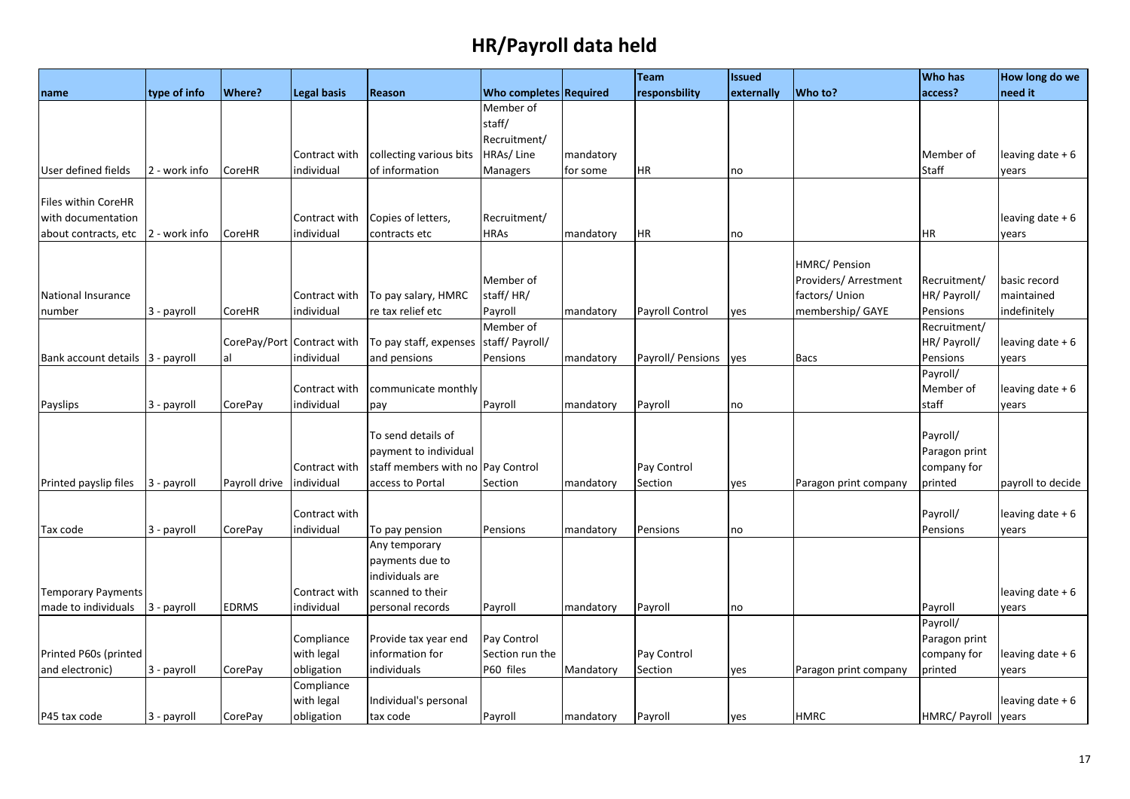|                                  |               |               |                            |                                   |                               |           | <b>Team</b>       | <b>Issued</b> |                       | <b>Who has</b>      | How long do we    |
|----------------------------------|---------------|---------------|----------------------------|-----------------------------------|-------------------------------|-----------|-------------------|---------------|-----------------------|---------------------|-------------------|
| name                             | type of info  | Where?        | <b>Legal basis</b>         | <b>Reason</b>                     | <b>Who completes Required</b> |           | responsbility     | externally    | Who to?               | access?             | need it           |
|                                  |               |               |                            |                                   | Member of                     |           |                   |               |                       |                     |                   |
|                                  |               |               |                            |                                   | staff/                        |           |                   |               |                       |                     |                   |
|                                  |               |               |                            |                                   | Recruitment/                  |           |                   |               |                       |                     |                   |
|                                  |               |               | Contract with              | collecting various bits           | HRAs/Line                     | mandatory |                   |               |                       | Member of           | leaving date $+6$ |
| User defined fields              | 2 - work info | CoreHR        | individual                 | of information                    | Managers                      | for some  | <b>HR</b>         | no            |                       | Staff               | years             |
|                                  |               |               |                            |                                   |                               |           |                   |               |                       |                     |                   |
| Files within CoreHR              |               |               |                            |                                   |                               |           |                   |               |                       |                     |                   |
| with documentation               |               |               | Contract with              | Copies of letters,                | Recruitment/                  |           |                   |               |                       |                     | leaving date $+6$ |
| about contracts, etc             | 2 - work info | CoreHR        | individual                 | contracts etc                     | HRAs                          | mandatory | <b>HR</b>         | no            |                       | HR                  | years             |
|                                  |               |               |                            |                                   |                               |           |                   |               |                       |                     |                   |
|                                  |               |               |                            |                                   |                               |           |                   |               | <b>HMRC/ Pension</b>  |                     |                   |
|                                  |               |               |                            |                                   | Member of                     |           |                   |               | Providers/ Arrestment | Recruitment/        | basic record      |
| National Insurance               |               |               | Contract with              | To pay salary, HMRC               | staff/HR/                     |           |                   |               | factors/ Union        | HR/ Payroll/        | maintained        |
| number                           | 3 - payroll   | CoreHR        | individual                 | re tax relief etc                 | Payroll                       | mandatory | Payroll Control   | yes           | membership/GAYE       | Pensions            | indefinitely      |
|                                  |               |               |                            |                                   | Member of                     |           |                   |               |                       | Recruitment/        |                   |
|                                  |               |               | CorePay/Port Contract with | To pay staff, expenses            | staff/ Payroll/               |           |                   |               |                       | HR/ Payroll/        | leaving date $+6$ |
| Bank account details 3 - payroll |               | al            | individual                 | and pensions                      | Pensions                      | mandatory | Payroll/ Pensions | yes           | <b>Bacs</b>           | Pensions            | years             |
|                                  |               |               |                            |                                   |                               |           |                   |               |                       | Payroll/            |                   |
|                                  |               |               | Contract with              | communicate monthly               |                               |           |                   |               |                       | Member of           | leaving date $+6$ |
| Payslips                         | 3 - payroll   | CorePay       | individual                 | pay                               | Payroll                       | mandatory | Payroll           | no            |                       | staff               | years             |
|                                  |               |               |                            |                                   |                               |           |                   |               |                       |                     |                   |
|                                  |               |               |                            | To send details of                |                               |           |                   |               |                       | Payroll/            |                   |
|                                  |               |               |                            | payment to individual             |                               |           |                   |               |                       | Paragon print       |                   |
|                                  |               |               | Contract with              | staff members with no Pay Control |                               |           | Pay Control       |               |                       | company for         |                   |
| Printed payslip files            | 3 - payroll   | Payroll drive | individual                 | access to Portal                  | Section                       | mandatory | Section           | yes           | Paragon print company | printed             | payroll to decide |
|                                  |               |               |                            |                                   |                               |           |                   |               |                       |                     |                   |
|                                  |               |               | Contract with              |                                   |                               |           |                   |               |                       | Payroll/            | leaving date $+6$ |
| Tax code                         | 3 - payroll   | CorePay       | individual                 | To pay pension                    | Pensions                      | mandatory | Pensions          | no            |                       | Pensions            | years             |
|                                  |               |               |                            | Any temporary                     |                               |           |                   |               |                       |                     |                   |
|                                  |               |               |                            | payments due to                   |                               |           |                   |               |                       |                     |                   |
|                                  |               |               |                            | individuals are                   |                               |           |                   |               |                       |                     |                   |
| <b>Temporary Payments</b>        |               |               | Contract with              | scanned to their                  |                               |           |                   |               |                       |                     | leaving date + 6  |
| made to individuals              | 3 - payroll   | <b>EDRMS</b>  | individual                 | personal records                  | Payroll                       | mandatory | Payroll           | no            |                       | Payroll             | years             |
|                                  |               |               |                            |                                   |                               |           |                   |               |                       | Payroll/            |                   |
|                                  |               |               | Compliance                 | Provide tax year end              | Pay Control                   |           |                   |               |                       | Paragon print       |                   |
| Printed P60s (printed            |               |               | with legal                 | information for                   | Section run the               |           | Pay Control       |               |                       | company for         | leaving date $+6$ |
| and electronic)                  | 3 - payroll   | CorePay       | obligation                 | individuals                       | P60 files                     | Mandatory | Section           | yes           | Paragon print company | printed             | years             |
|                                  |               |               | Compliance                 |                                   |                               |           |                   |               |                       |                     |                   |
|                                  |               |               | with legal                 | Individual's personal             |                               |           |                   |               |                       |                     | leaving date $+6$ |
| P45 tax code                     | 3 - payroll   | CorePay       | obligation                 | tax code                          | Payroll                       | mandatory | Payroll           | yes           | <b>HMRC</b>           | HMRC/ Payroll years |                   |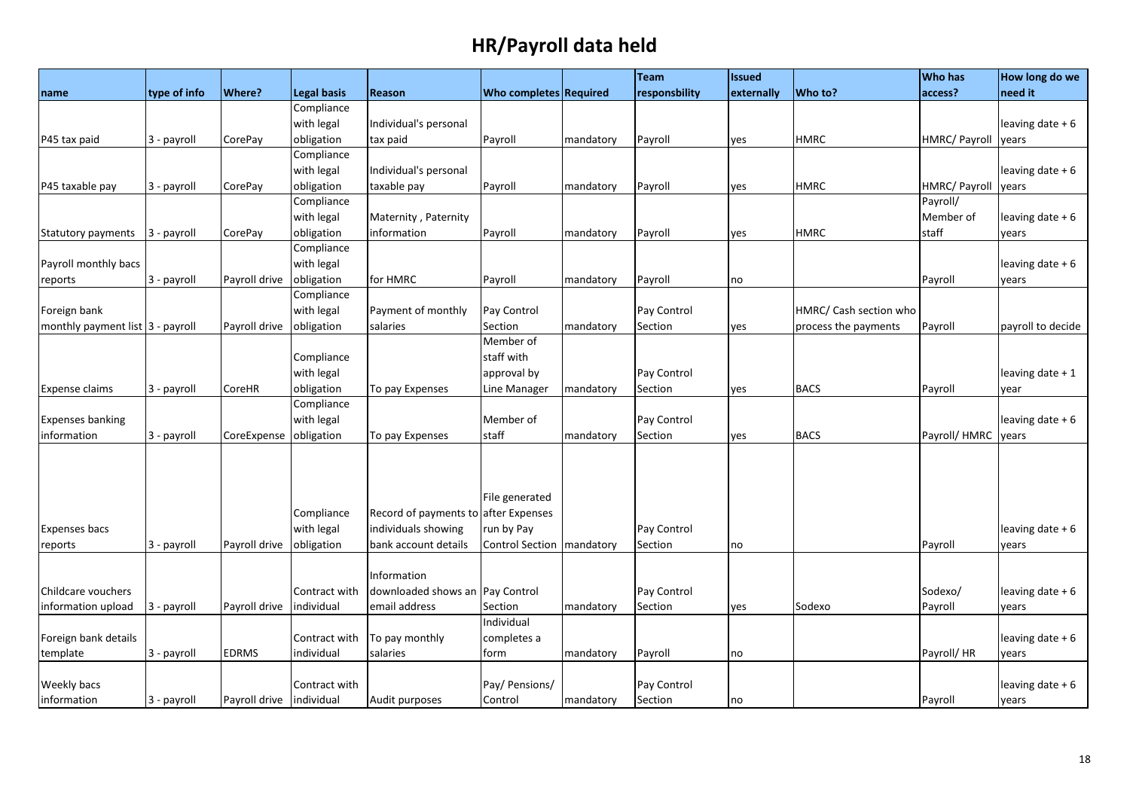|                                  |              |                          |                    |                                      |                               |           | <b>Team</b>   | <b>Issued</b> |                        | <b>Who has</b> | How long do we    |
|----------------------------------|--------------|--------------------------|--------------------|--------------------------------------|-------------------------------|-----------|---------------|---------------|------------------------|----------------|-------------------|
| name                             | type of info | <b>Where?</b>            | <b>Legal basis</b> | Reason                               | <b>Who completes Required</b> |           | responsbility | externally    | Who to?                | access?        | need it           |
|                                  |              |                          | Compliance         |                                      |                               |           |               |               |                        |                |                   |
|                                  |              |                          | with legal         | Individual's personal                |                               |           |               |               |                        |                | leaving date $+6$ |
| P45 tax paid                     | 3 - payroll  | CorePay                  | obligation         | tax paid                             | Payroll                       | mandatory | Payroll       | yes           | <b>HMRC</b>            | HMRC/ Payroll  | years             |
|                                  |              |                          | Compliance         |                                      |                               |           |               |               |                        |                |                   |
|                                  |              |                          | with legal         | Individual's personal                |                               |           |               |               |                        |                | leaving date + 6  |
| P45 taxable pay                  | 3 - payroll  | <b>CorePay</b>           | obligation         | taxable pay                          | Payroll                       | mandatory | Payroll       | yes           | <b>HMRC</b>            | HMRC/ Payroll  | years             |
|                                  |              |                          | Compliance         |                                      |                               |           |               |               |                        | Payroll/       |                   |
|                                  |              |                          | with legal         | Maternity, Paternity                 |                               |           |               |               |                        | Member of      | leaving date + 6  |
| Statutory payments               | 3 - payroll  | CorePay                  | obligation         | information                          | Payroll                       | mandatory | Payroll       | yes           | <b>HMRC</b>            | staff          | years             |
|                                  |              |                          | Compliance         |                                      |                               |           |               |               |                        |                |                   |
| Payroll monthly bacs             |              |                          | with legal         |                                      |                               |           |               |               |                        |                | leaving date $+6$ |
| reports                          | 3 - payroll  | Payroll drive            | obligation         | for HMRC                             | Payroll                       | mandatory | Payroll       | no            |                        | Payroll        | years             |
|                                  |              |                          | Compliance         |                                      |                               |           |               |               |                        |                |                   |
| Foreign bank                     |              |                          | with legal         | Payment of monthly                   | Pay Control                   |           | Pay Control   |               | HMRC/ Cash section who |                |                   |
| monthly payment list 3 - payroll |              | Payroll drive            | obligation         | salaries                             | Section                       | mandatory | Section       | yes           | process the payments   | Payroll        | payroll to decide |
|                                  |              |                          |                    |                                      | Member of                     |           |               |               |                        |                |                   |
|                                  |              |                          | Compliance         |                                      | staff with                    |           |               |               |                        |                |                   |
|                                  |              |                          | with legal         |                                      | approval by                   |           | Pay Control   |               |                        |                | leaving date + 1  |
| <b>Expense claims</b>            | 3 - payroll  | CoreHR                   | obligation         | To pay Expenses                      | Line Manager                  | mandatory | Section       | yes           | <b>BACS</b>            | Payroll        | year              |
|                                  |              |                          | Compliance         |                                      |                               |           |               |               |                        |                |                   |
| <b>Expenses banking</b>          |              |                          | with legal         |                                      | Member of                     |           | Pay Control   |               |                        |                | leaving date $+6$ |
| information                      | 3 - payroll  | CoreExpense              | obligation         | To pay Expenses                      | staff                         | mandatory | Section       | yes           | <b>BACS</b>            | Payroll/HMRC   | years             |
|                                  |              |                          |                    |                                      |                               |           |               |               |                        |                |                   |
|                                  |              |                          |                    |                                      |                               |           |               |               |                        |                |                   |
|                                  |              |                          |                    |                                      |                               |           |               |               |                        |                |                   |
|                                  |              |                          |                    |                                      | File generated                |           |               |               |                        |                |                   |
|                                  |              |                          | Compliance         | Record of payments to after Expenses |                               |           |               |               |                        |                |                   |
| <b>Expenses bacs</b>             |              |                          | with legal         | individuals showing                  | run by Pay                    |           | Pay Control   |               |                        |                | leaving date + 6  |
| reports                          | 3 - payroll  | Payroll drive            | obligation         | bank account details                 | Control Section   mandatory   |           | Section       | no            |                        | Payroll        | years             |
|                                  |              |                          |                    |                                      |                               |           |               |               |                        |                |                   |
|                                  |              |                          |                    | Information                          |                               |           |               |               |                        |                |                   |
| Childcare vouchers               |              |                          | Contract with      | downloaded shows an Pay Control      |                               |           | Pay Control   |               |                        | Sodexo/        | leaving date + 6  |
| information upload               | 3 - payroll  | Payroll drive            | individual         | email address                        | Section                       | mandatory | Section       | yes           | Sodexo                 | Payroll        | years             |
|                                  |              |                          |                    |                                      | Individual                    |           |               |               |                        |                |                   |
| Foreign bank details             |              |                          | Contract with      | To pay monthly                       | completes a                   |           |               |               |                        |                | leaving date $+6$ |
| template                         | 3 - payroll  | <b>EDRMS</b>             | individual         | salaries                             | form                          | mandatory | Payroll       | no            |                        | Payroll/HR     | years             |
|                                  |              |                          |                    |                                      |                               |           |               |               |                        |                |                   |
| Weekly bacs                      |              |                          | Contract with      |                                      | Pay/ Pensions/                |           | Pay Control   |               |                        |                | leaving date $+6$ |
| information                      | 3 - payroll  | Payroll drive individual |                    | Audit purposes                       | Control                       | mandatory | Section       | no            |                        | Payroll        | years             |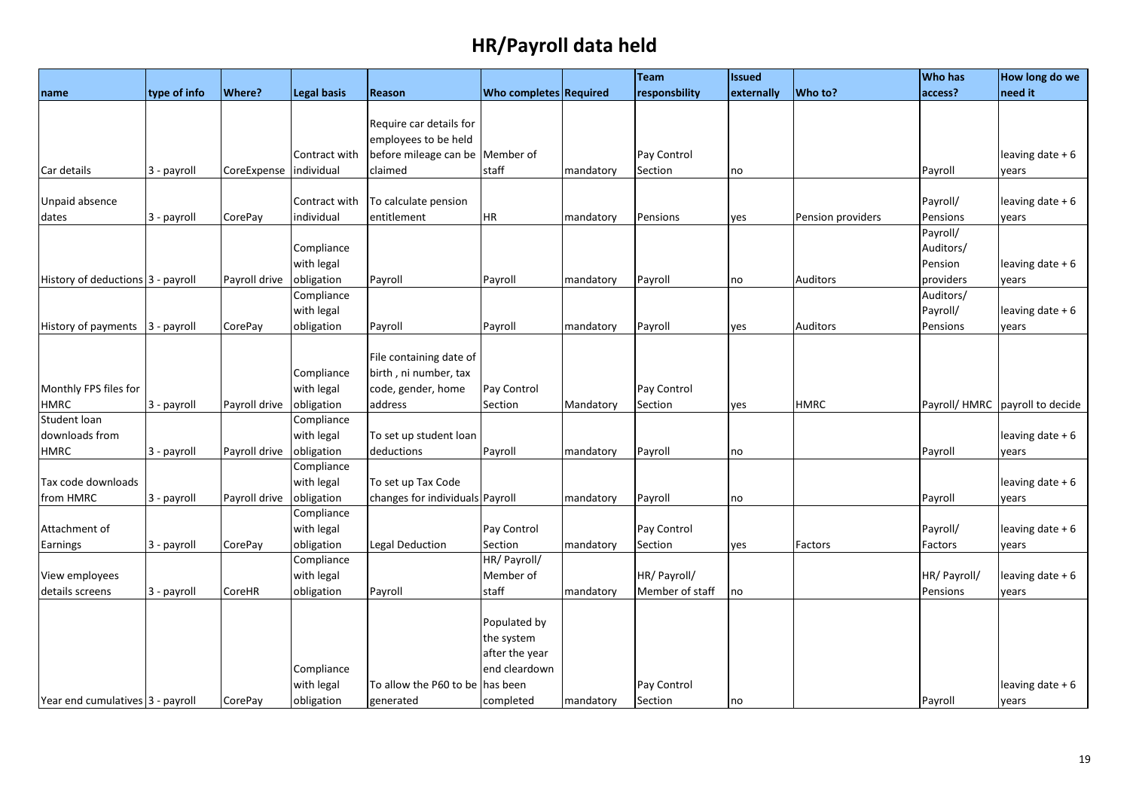|                                   |              |               |                    |                                 |                               |           | Team            | <b>Issued</b> |                   | <b>Who has</b> | How long do we    |
|-----------------------------------|--------------|---------------|--------------------|---------------------------------|-------------------------------|-----------|-----------------|---------------|-------------------|----------------|-------------------|
| name                              | type of info | <b>Where?</b> | <b>Legal basis</b> | Reason                          | <b>Who completes Required</b> |           | responsbility   | externally    | Who to?           | access?        | need it           |
|                                   |              |               |                    |                                 |                               |           |                 |               |                   |                |                   |
|                                   |              |               |                    | Require car details for         |                               |           |                 |               |                   |                |                   |
|                                   |              |               |                    | employees to be held            |                               |           |                 |               |                   |                |                   |
|                                   |              |               | Contract with      | before mileage can be Member of |                               |           | Pay Control     |               |                   |                | leaving date + 6  |
| Car details                       | 3 - payroll  | CoreExpense   | individual         | claimed                         | staff                         | mandatory | Section         | no            |                   | Payroll        | years             |
|                                   |              |               |                    |                                 |                               |           |                 |               |                   |                |                   |
| Unpaid absence                    |              |               | Contract with      | To calculate pension            |                               |           |                 |               |                   | Payroll/       | leaving date $+6$ |
| dates                             | 3 - payroll  | CorePay       | individual         | entitlement                     | <b>HR</b>                     | mandatory | Pensions        | yes           | Pension providers | Pensions       | years             |
|                                   |              |               |                    |                                 |                               |           |                 |               |                   | Payroll/       |                   |
|                                   |              |               | Compliance         |                                 |                               |           |                 |               |                   | Auditors/      |                   |
|                                   |              |               | with legal         |                                 |                               |           |                 |               |                   | Pension        | leaving date $+6$ |
| History of deductions 3 - payroll |              | Payroll drive | obligation         | Payroll                         | Payroll                       | mandatory | Payroll         | no            | <b>Auditors</b>   | providers      | years             |
|                                   |              |               | Compliance         |                                 |                               |           |                 |               |                   | Auditors/      |                   |
|                                   |              |               | with legal         |                                 |                               |           |                 |               |                   | Payroll/       | leaving date + 6  |
| History of payments               | 3 - payroll  | CorePay       | obligation         | Payroll                         | Payroll                       | mandatory | Payroll         | yes           | <b>Auditors</b>   | Pensions       | years             |
|                                   |              |               |                    |                                 |                               |           |                 |               |                   |                |                   |
|                                   |              |               |                    | File containing date of         |                               |           |                 |               |                   |                |                   |
|                                   |              |               | Compliance         | birth, ni number, tax           |                               |           |                 |               |                   |                |                   |
| Monthly FPS files for             |              |               | with legal         | code, gender, home              | Pay Control                   |           | Pay Control     |               |                   |                |                   |
| <b>HMRC</b>                       | 3 - payroll  | Payroll drive | obligation         | address                         | Section                       | Mandatory | Section         | yes           | <b>HMRC</b>       | Payroll/HMRC   | payroll to decide |
| Student loan                      |              |               | Compliance         |                                 |                               |           |                 |               |                   |                |                   |
| downloads from                    |              |               | with legal         | To set up student loan          |                               |           |                 |               |                   |                | leaving date + 6  |
| <b>HMRC</b>                       | 3 - payroll  | Payroll drive | obligation         | deductions                      | Payroll                       | mandatory | Payroll         | no            |                   | Payroll        | years             |
|                                   |              |               | Compliance         |                                 |                               |           |                 |               |                   |                |                   |
| Tax code downloads                |              |               | with legal         | To set up Tax Code              |                               |           |                 |               |                   |                | leaving date $+6$ |
| from HMRC                         | 3 - payroll  | Payroll drive | obligation         | changes for individuals Payroll |                               | mandatory | Payroll         | no            |                   | Payroll        | years             |
|                                   |              |               | Compliance         |                                 |                               |           |                 |               |                   |                |                   |
| Attachment of                     |              |               | with legal         |                                 | Pay Control                   |           | Pay Control     |               |                   | Payroll/       | leaving date + 6  |
| Earnings                          | 3 - payroll  | CorePay       | obligation         | Legal Deduction                 | Section                       | mandatory | Section         | yes           | Factors           | Factors        | years             |
|                                   |              |               | Compliance         |                                 | HR/ Payroll/                  |           |                 |               |                   |                |                   |
| View employees                    |              |               | with legal         |                                 | Member of                     |           | HR/ Payroll/    |               |                   | HR/ Payroll/   | leaving date + 6  |
| details screens                   | 3 - payroll  | CoreHR        | obligation         | Payroll                         | staff                         | mandatory | Member of staff | no            |                   | Pensions       | years             |
|                                   |              |               |                    |                                 |                               |           |                 |               |                   |                |                   |
|                                   |              |               |                    |                                 | Populated by                  |           |                 |               |                   |                |                   |
|                                   |              |               |                    |                                 | the system                    |           |                 |               |                   |                |                   |
|                                   |              |               |                    |                                 | after the year                |           |                 |               |                   |                |                   |
|                                   |              |               | Compliance         |                                 | end cleardown                 |           |                 |               |                   |                |                   |
|                                   |              |               | with legal         | To allow the P60 to be          | has been                      |           | Pay Control     |               |                   |                | leaving date + 6  |
| Year end cumulatives 3 - payroll  |              | CorePay       | obligation         | generated                       | completed                     | mandatory | Section         | no            |                   | Payroll        | years             |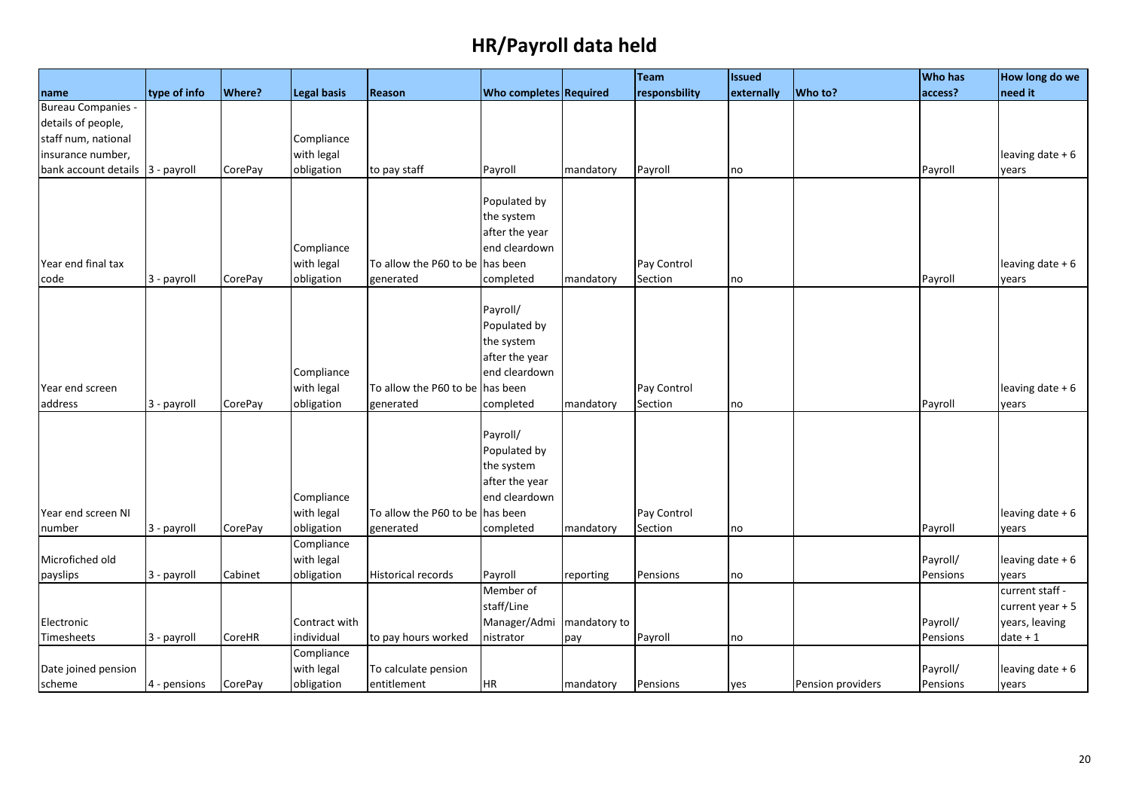|                                  |              |         |                    |                                 |                               |              | Team          | <b>Issued</b> |                   | <b>Who has</b> | How long do we    |
|----------------------------------|--------------|---------|--------------------|---------------------------------|-------------------------------|--------------|---------------|---------------|-------------------|----------------|-------------------|
| name                             | type of info | Where?  | <b>Legal basis</b> | Reason                          | <b>Who completes Required</b> |              | responsbility | externally    | Who to?           | access?        | need it           |
| <b>Bureau Companies -</b>        |              |         |                    |                                 |                               |              |               |               |                   |                |                   |
| details of people,               |              |         |                    |                                 |                               |              |               |               |                   |                |                   |
| staff num, national              |              |         | Compliance         |                                 |                               |              |               |               |                   |                |                   |
| insurance number,                |              |         | with legal         |                                 |                               |              |               |               |                   |                | leaving date + 6  |
| bank account details 3 - payroll |              | CorePay | obligation         | to pay staff                    | Payroll                       | mandatory    | Payroll       | no            |                   | Payroll        | years             |
|                                  |              |         |                    |                                 |                               |              |               |               |                   |                |                   |
|                                  |              |         |                    |                                 | Populated by                  |              |               |               |                   |                |                   |
|                                  |              |         |                    |                                 | the system                    |              |               |               |                   |                |                   |
|                                  |              |         |                    |                                 | after the year                |              |               |               |                   |                |                   |
|                                  |              |         | Compliance         |                                 | end cleardown                 |              |               |               |                   |                |                   |
| Year end final tax               |              |         | with legal         | To allow the P60 to be has been |                               |              | Pay Control   |               |                   |                | leaving date + 6  |
| code                             | 3 - payroll  | CorePay | obligation         | generated                       | completed                     | mandatory    | Section       | no            |                   | Payroll        | years             |
|                                  |              |         |                    |                                 |                               |              |               |               |                   |                |                   |
|                                  |              |         |                    |                                 | Payroll/                      |              |               |               |                   |                |                   |
|                                  |              |         |                    |                                 | Populated by                  |              |               |               |                   |                |                   |
|                                  |              |         |                    |                                 | the system                    |              |               |               |                   |                |                   |
|                                  |              |         |                    |                                 | after the year                |              |               |               |                   |                |                   |
|                                  |              |         | Compliance         |                                 | end cleardown                 |              |               |               |                   |                |                   |
| Year end screen                  |              |         | with legal         | To allow the P60 to be has been |                               |              | Pay Control   |               |                   |                | leaving date + 6  |
| address                          | 3 - payroll  | CorePay | obligation         | generated                       | completed                     | mandatory    | Section       | no            |                   | Payroll        | years             |
|                                  |              |         |                    |                                 |                               |              |               |               |                   |                |                   |
|                                  |              |         |                    |                                 | Payroll/                      |              |               |               |                   |                |                   |
|                                  |              |         |                    |                                 | Populated by                  |              |               |               |                   |                |                   |
|                                  |              |         |                    |                                 | the system                    |              |               |               |                   |                |                   |
|                                  |              |         |                    |                                 | after the year                |              |               |               |                   |                |                   |
|                                  |              |         | Compliance         |                                 | end cleardown                 |              |               |               |                   |                |                   |
| Year end screen NI               |              |         | with legal         | To allow the P60 to be has been |                               |              | Pay Control   |               |                   |                | leaving date + 6  |
| number                           | 3 - payroll  | CorePay | obligation         | generated                       | completed                     | mandatory    | Section       | no            |                   | Payroll        | years             |
|                                  |              |         | Compliance         |                                 |                               |              |               |               |                   |                |                   |
| Microfiched old                  |              |         | with legal         |                                 |                               |              |               |               |                   | Payroll/       | leaving date + 6  |
| payslips                         | 3 - payroll  | Cabinet | obligation         | <b>Historical records</b>       | Payroll                       | reporting    | Pensions      | no            |                   | Pensions       | vears             |
|                                  |              |         |                    |                                 | Member of                     |              |               |               |                   |                | current staff -   |
|                                  |              |         |                    |                                 | staff/Line                    |              |               |               |                   |                | current year $+5$ |
| Electronic                       |              |         | Contract with      |                                 | Manager/Admi                  | mandatory to |               |               |                   | Payroll/       | years, leaving    |
| Timesheets                       | 3 - payroll  | CoreHR  | individual         | to pay hours worked             | nistrator                     | pay          | Payroll       | no            |                   | Pensions       | $date + 1$        |
|                                  |              |         | Compliance         |                                 |                               |              |               |               |                   |                |                   |
| Date joined pension              |              |         | with legal         | To calculate pension            |                               |              |               |               |                   | Payroll/       | leaving date + 6  |
| scheme                           | 4 - pensions | CorePay | obligation         | entitlement                     | HR                            | mandatory    | Pensions      | yes           | Pension providers | Pensions       | years             |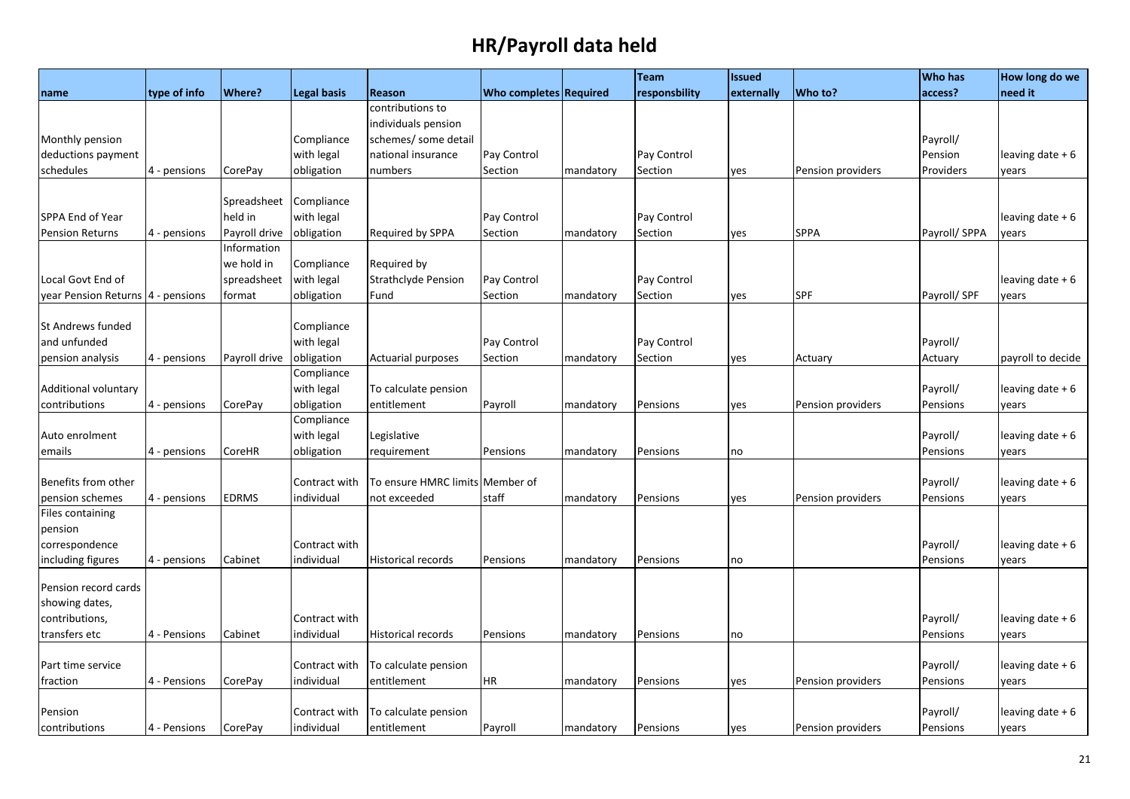|                                     |              |               |                             |                            |                               |           | <b>Team</b>   | <b>Issued</b> |                   | <b>Who has</b>       | How long do we            |
|-------------------------------------|--------------|---------------|-----------------------------|----------------------------|-------------------------------|-----------|---------------|---------------|-------------------|----------------------|---------------------------|
| name                                | type of info | <b>Where?</b> | <b>Legal basis</b>          | Reason                     | <b>Who completes Required</b> |           | responsbility | externally    | Who to?           | access?              | need it                   |
|                                     |              |               |                             | contributions to           |                               |           |               |               |                   |                      |                           |
|                                     |              |               |                             | individuals pension        |                               |           |               |               |                   |                      |                           |
| Monthly pension                     |              |               | Compliance                  | schemes/ some detail       |                               |           |               |               |                   | Payroll/             |                           |
| deductions payment                  |              |               | with legal                  | national insurance         | Pay Control                   |           | Pay Control   |               |                   | Pension              | leaving date $+6$         |
| schedules                           | 4 - pensions | CorePay       | obligation                  | numbers                    | Section                       | mandatory | Section       | yes           | Pension providers | Providers            | years                     |
|                                     |              |               |                             |                            |                               |           |               |               |                   |                      |                           |
|                                     |              | Spreadsheet   | Compliance                  |                            |                               |           |               |               |                   |                      |                           |
| SPPA End of Year                    |              | held in       | with legal                  |                            | Pay Control                   |           | Pay Control   |               |                   |                      | leaving date $+6$         |
| <b>Pension Returns</b>              | 4 - pensions | Payroll drive | obligation                  | Required by SPPA           | Section                       | mandatory | Section       | yes           | <b>SPPA</b>       | Payroll/SPPA         | vears                     |
|                                     |              | Information   |                             |                            |                               |           |               |               |                   |                      |                           |
|                                     |              | we hold in    | Compliance                  | Required by                |                               |           |               |               |                   |                      |                           |
| Local Govt End of                   |              | spreadsheet   | with legal                  | <b>Strathclyde Pension</b> | Pay Control                   |           | Pay Control   |               |                   |                      | leaving date + 6          |
| year Pension Returns   4 - pensions |              | format        | obligation                  | Fund                       | Section                       | mandatory | Section       | yes           | SPF               | Payroll/SPF          | vears                     |
|                                     |              |               |                             |                            |                               |           |               |               |                   |                      |                           |
| <b>St Andrews funded</b>            |              |               | Compliance                  |                            |                               |           |               |               |                   |                      |                           |
| and unfunded                        |              |               | with legal                  |                            | Pay Control                   |           | Pay Control   |               |                   | Payroll/             |                           |
| pension analysis                    | 4 - pensions | Payroll drive | obligation                  | <b>Actuarial purposes</b>  | Section                       | mandatory | Section       | yes           | Actuary           | Actuary              | payroll to decide         |
|                                     |              |               | Compliance                  |                            |                               |           |               |               |                   |                      |                           |
| Additional voluntary                |              |               | with legal                  | To calculate pension       |                               |           |               |               |                   | Payroll/             | leaving date $+6$         |
| contributions                       | 4 - pensions | CorePay       | obligation                  | entitlement                | Payroll                       | mandatory | Pensions      | yes           | Pension providers | Pensions             | years                     |
|                                     |              |               | Compliance                  |                            |                               |           |               |               |                   |                      |                           |
| Auto enrolment                      |              |               | with legal                  | Legislative                |                               |           |               |               |                   | Payroll/             | leaving date $+6$         |
| emails                              | 4 - pensions | CoreHR        | obligation                  | requirement                | Pensions                      | mandatory | Pensions      | no            |                   | Pensions             | vears                     |
| Benefits from other                 |              |               |                             | To ensure HMRC limits      |                               |           |               |               |                   |                      |                           |
| pension schemes                     | 4 - pensions | <b>EDRMS</b>  | Contract with<br>individual | not exceeded               | Member of<br>staff            | mandatory | Pensions      |               | Pension providers | Payroll/<br>Pensions | leaving date + 6<br>years |
| <b>Files containing</b>             |              |               |                             |                            |                               |           |               | yes           |                   |                      |                           |
| pension                             |              |               |                             |                            |                               |           |               |               |                   |                      |                           |
| correspondence                      |              |               | Contract with               |                            |                               |           |               |               |                   | Payroll/             | leaving date + 6          |
| including figures                   | 4 - pensions | Cabinet       | individual                  | <b>Historical records</b>  | Pensions                      | mandatory | Pensions      | no            |                   | Pensions             | years                     |
|                                     |              |               |                             |                            |                               |           |               |               |                   |                      |                           |
| Pension record cards                |              |               |                             |                            |                               |           |               |               |                   |                      |                           |
| showing dates,                      |              |               |                             |                            |                               |           |               |               |                   |                      |                           |
| contributions,                      |              |               | Contract with               |                            |                               |           |               |               |                   | Payroll/             | leaving date $+6$         |
| transfers etc                       | 4 - Pensions | Cabinet       | individual                  | Historical records         | Pensions                      | mandatory | Pensions      | no            |                   | Pensions             | years                     |
|                                     |              |               |                             |                            |                               |           |               |               |                   |                      |                           |
| Part time service                   |              |               | Contract with               | To calculate pension       |                               |           |               |               |                   | Payroll/             | leaving date $+6$         |
| fraction                            | 4 - Pensions | CorePay       | individual                  | entitlement                | HR                            | mandatory | Pensions      | yes           | Pension providers | Pensions             | years                     |
|                                     |              |               |                             |                            |                               |           |               |               |                   |                      |                           |
| Pension                             |              |               | Contract with               | To calculate pension       |                               |           |               |               |                   | Payroll/             | leaving date $+6$         |
| contributions                       | 4 - Pensions | CorePay       | individual                  | entitlement                | Payroll                       | mandatory | Pensions      | yes           | Pension providers | Pensions             | years                     |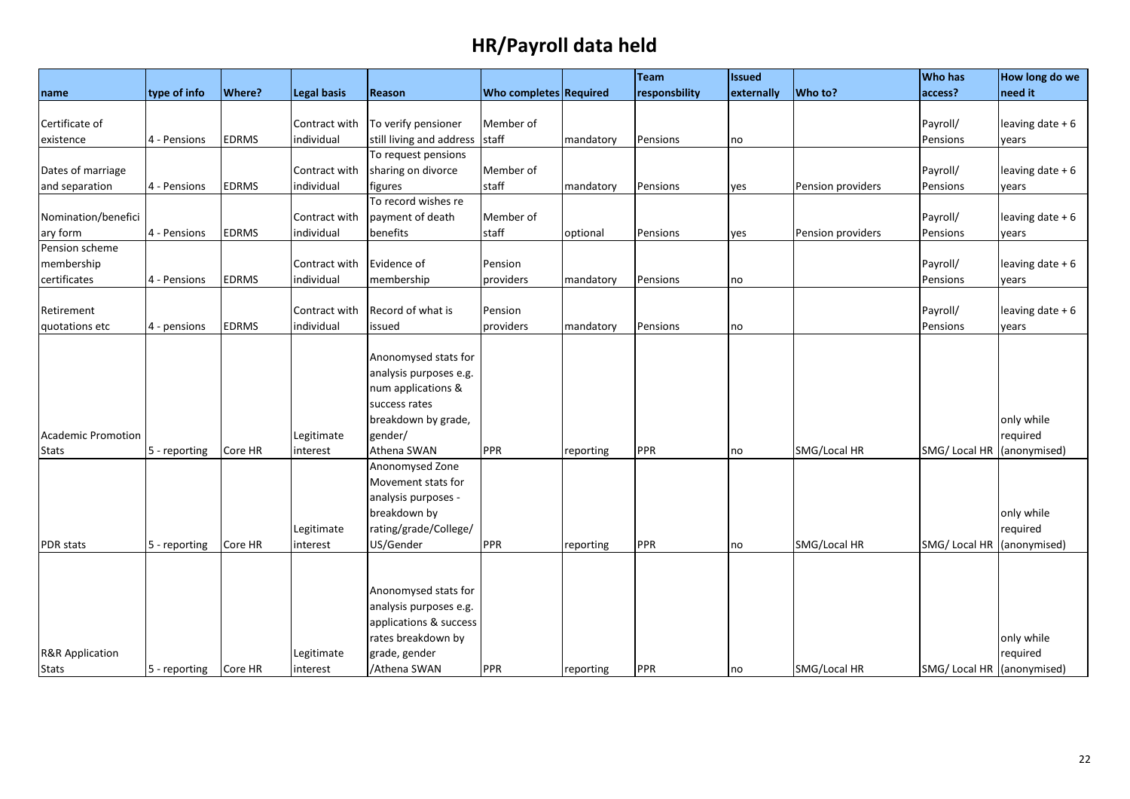|                            |                       |               |                    |                          |                        |           | Team          | <b>Issued</b> |                   | <b>Who has</b>             | How long do we    |
|----------------------------|-----------------------|---------------|--------------------|--------------------------|------------------------|-----------|---------------|---------------|-------------------|----------------------------|-------------------|
| name                       | type of info          | <b>Where?</b> | <b>Legal basis</b> | Reason                   | Who completes Required |           | responsbility | externally    | Who to?           | access?                    | need it           |
|                            |                       |               |                    |                          |                        |           |               |               |                   |                            |                   |
| Certificate of             |                       |               | Contract with      | To verify pensioner      | Member of              |           |               |               |                   | Payroll/                   | leaving date $+6$ |
| existence                  | 4 - Pensions          | EDRMS         | individual         | still living and address | staff                  | mandatory | Pensions      | no            |                   | Pensions                   | years             |
|                            |                       |               |                    | To request pensions      |                        |           |               |               |                   |                            |                   |
| Dates of marriage          |                       |               | Contract with      | sharing on divorce       | Member of              |           |               |               |                   | Payroll/                   | leaving date $+6$ |
| and separation             | 4 - Pensions          | <b>EDRMS</b>  | individual         | figures                  | staff                  | mandatory | Pensions      | yes           | Pension providers | Pensions                   | years             |
|                            |                       |               |                    | To record wishes re      |                        |           |               |               |                   |                            |                   |
| Nomination/benefici        |                       |               | Contract with      | payment of death         | Member of              |           |               |               |                   | Payroll/                   | leaving date $+6$ |
| ary form                   | 4 - Pensions          | <b>EDRMS</b>  | individual         | benefits                 | staff                  | optional  | Pensions      | yes           | Pension providers | Pensions                   | years             |
| Pension scheme             |                       |               |                    |                          |                        |           |               |               |                   |                            |                   |
| membership                 |                       |               | Contract with      | Evidence of              | Pension                |           |               |               |                   | Payroll/                   | leaving date $+6$ |
| certificates               | 4 - Pensions          | <b>EDRMS</b>  | individual         | membership               | providers              | mandatory | Pensions      | no            |                   | Pensions                   | years             |
|                            |                       |               |                    |                          |                        |           |               |               |                   |                            |                   |
| Retirement                 |                       |               | Contract with      | Record of what is        | Pension                |           |               |               |                   | Payroll/                   | leaving date $+6$ |
| quotations etc             | 4 - pensions          | <b>EDRMS</b>  | individual         | issued                   | providers              | mandatory | Pensions      | no            |                   | Pensions                   | years             |
|                            |                       |               |                    |                          |                        |           |               |               |                   |                            |                   |
|                            |                       |               |                    | Anonomysed stats for     |                        |           |               |               |                   |                            |                   |
|                            |                       |               |                    | analysis purposes e.g.   |                        |           |               |               |                   |                            |                   |
|                            |                       |               |                    | num applications &       |                        |           |               |               |                   |                            |                   |
|                            |                       |               |                    | success rates            |                        |           |               |               |                   |                            |                   |
|                            |                       |               |                    | breakdown by grade,      |                        |           |               |               |                   |                            | only while        |
| <b>Academic Promotion</b>  |                       |               | Legitimate         | gender/                  |                        |           |               |               |                   |                            | required          |
| <b>Stats</b>               | 5 - reporting         | Core HR       | interest           | Athena SWAN              | <b>PPR</b>             | reporting | PPR           | no            | SMG/Local HR      | SMG/Local HR               | (anonymised)      |
|                            |                       |               |                    | Anonomysed Zone          |                        |           |               |               |                   |                            |                   |
|                            |                       |               |                    | Movement stats for       |                        |           |               |               |                   |                            |                   |
|                            |                       |               |                    | analysis purposes -      |                        |           |               |               |                   |                            |                   |
|                            |                       |               |                    | breakdown by             |                        |           |               |               |                   |                            | only while        |
|                            |                       |               | Legitimate         | rating/grade/College/    |                        |           |               |               |                   |                            | required          |
| <b>PDR</b> stats           | 5 - reporting         | Core HR       | interest           | US/Gender                | PPR                    | reporting | PPR           | no            | SMG/Local HR      | SMG/Local HR               | (anonymised)      |
|                            |                       |               |                    |                          |                        |           |               |               |                   |                            |                   |
|                            |                       |               |                    |                          |                        |           |               |               |                   |                            |                   |
|                            |                       |               |                    | Anonomysed stats for     |                        |           |               |               |                   |                            |                   |
|                            |                       |               |                    | analysis purposes e.g.   |                        |           |               |               |                   |                            |                   |
|                            |                       |               |                    | applications & success   |                        |           |               |               |                   |                            |                   |
|                            |                       |               |                    | rates breakdown by       |                        |           |               |               |                   |                            | only while        |
|                            |                       |               |                    | grade, gender            |                        |           |               |               |                   |                            | required          |
| <b>R&amp;R Application</b> |                       |               | Legitimate         | /Athena SWAN             | PPR                    |           | PPR           |               | SMG/Local HR      | SMG/ Local HR (anonymised) |                   |
| <b>Stats</b>               | 5 - reporting Core HR |               | interest           |                          |                        | reporting |               | no            |                   |                            |                   |